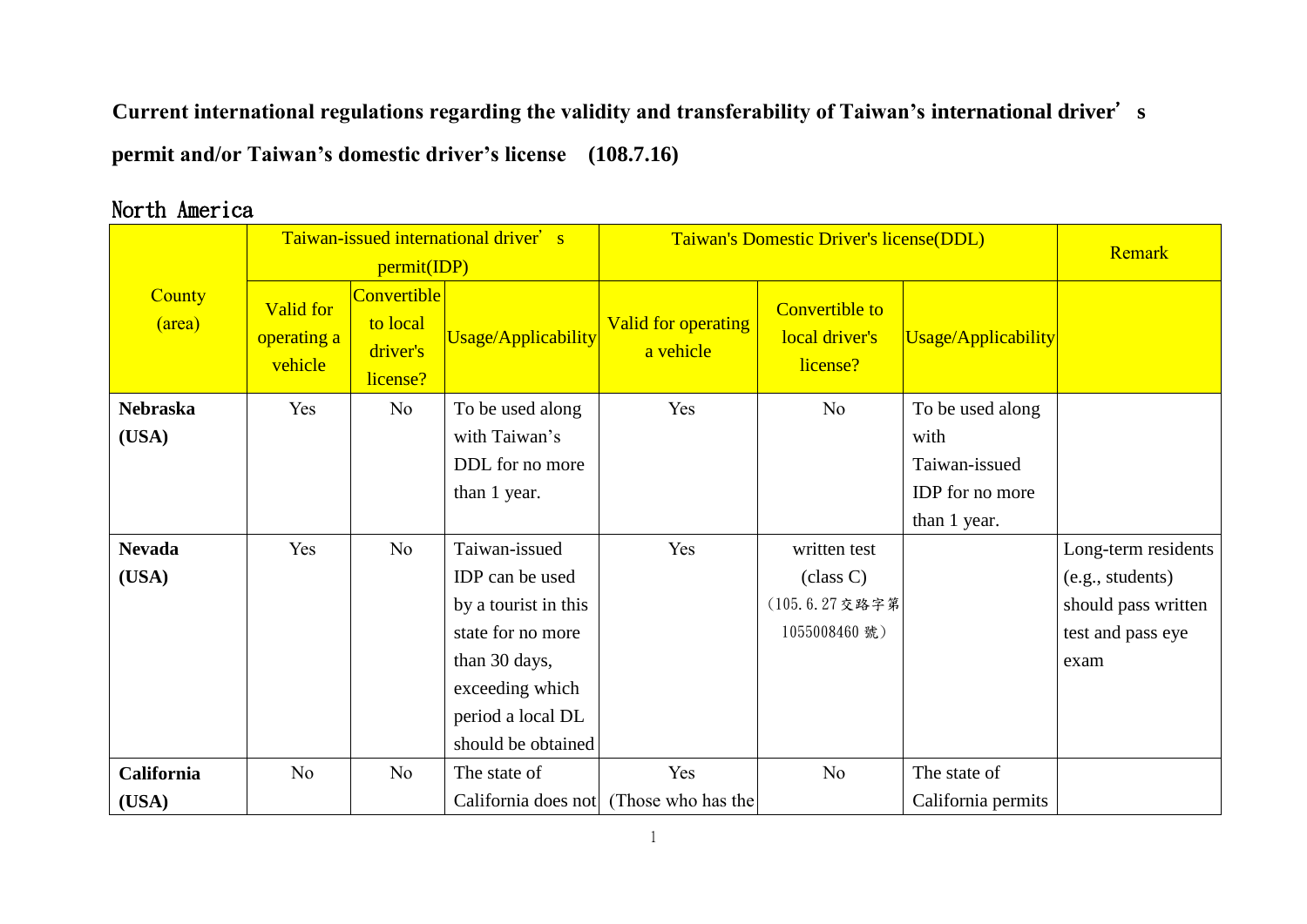**Current international regulations regarding the validity and transferability of Taiwan's international driver**'**s permit and/or Taiwan's domestic driver's license (108.7.16)**

## **County** (area) Taiwan-issued international driver's permit(IDP) Taiwan's Domestic Driver's license(DDL) Remark Valid for operating a vehicle **Convertible** to local driver's license? Usage/Applicability Valid for operating a vehicle Convertible to local driver's license? Usage/Applicability **Nebraska (USA)** Yes No To be used along with Taiwan's DDL for no more than 1 year. Yes No To be used along with Taiwan-issued IDP for no more than 1 year. **Nevada (USA)** Yes | No | Taiwan-issued IDP can be used by a tourist in this state for no more than 30 days, exceeding which period a local DL should be obtained Yes written test (class C) (105.6.27交路字第 1055008460 號) Long-term residents (e.g., students) should pass written test and pass eye exam **California (USA)** No  $\overline{a}$  No  $\overline{a}$  The state of California does not Yes (Those who has the No The state of California permits

## North America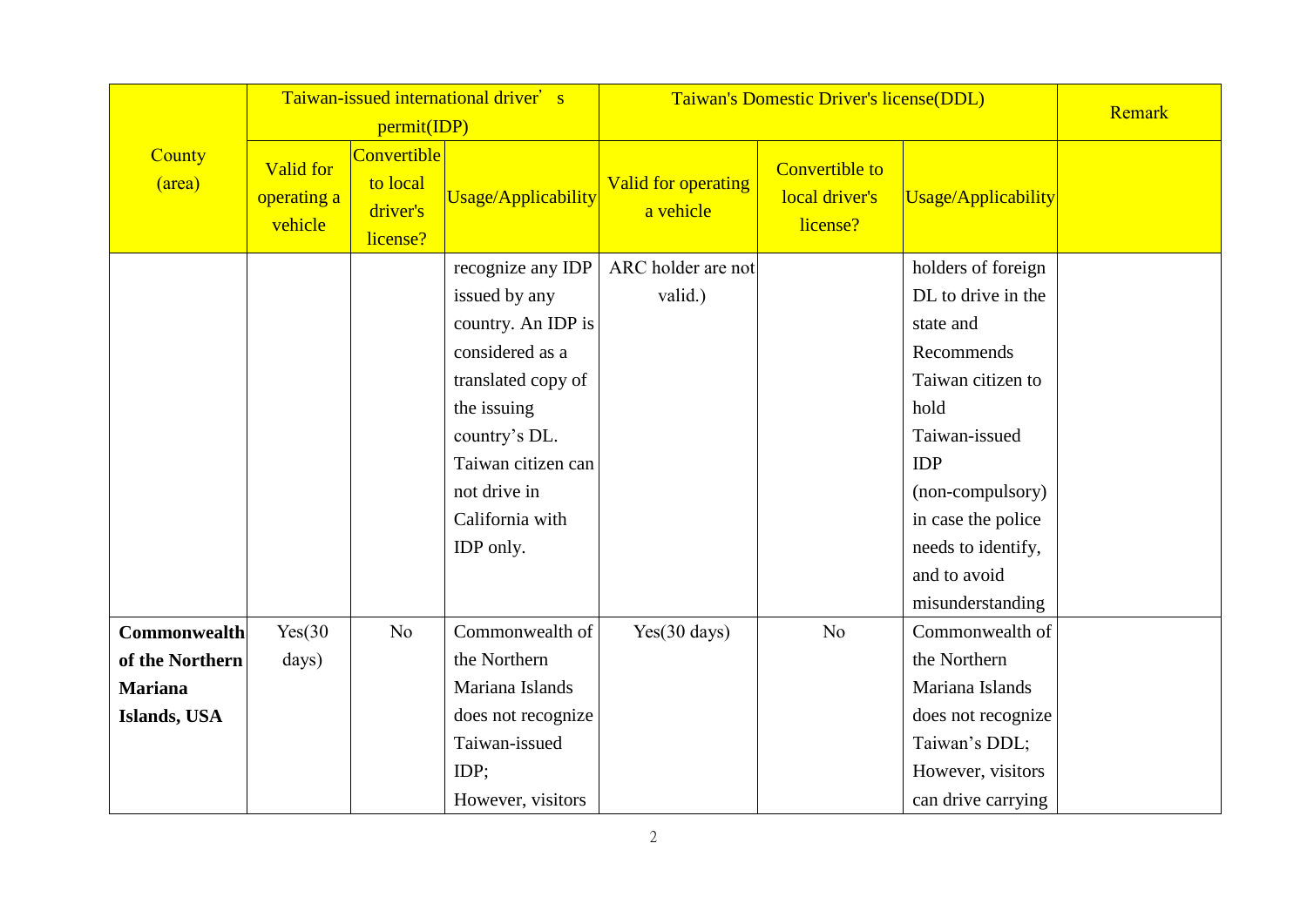|                                 |                                            | permit(IDP)                                     | Taiwan-issued international driver's                                                                                                                                                                    | Taiwan's Domestic Driver's license(DDL) |                                                     | Remark                                                                                                                                                                                                                              |  |
|---------------------------------|--------------------------------------------|-------------------------------------------------|---------------------------------------------------------------------------------------------------------------------------------------------------------------------------------------------------------|-----------------------------------------|-----------------------------------------------------|-------------------------------------------------------------------------------------------------------------------------------------------------------------------------------------------------------------------------------------|--|
| County<br>(area)                | <b>Valid for</b><br>operating a<br>vehicle | Convertible<br>to local<br>driver's<br>license? | <b>Usage/Applicability</b>                                                                                                                                                                              | <b>Valid for operating</b><br>a vehicle | <b>Convertible to</b><br>local driver's<br>license? | <b>Usage/Applicability</b>                                                                                                                                                                                                          |  |
|                                 |                                            |                                                 | recognize any IDP<br>issued by any<br>country. An IDP is<br>considered as a<br>translated copy of<br>the issuing<br>country's DL.<br>Taiwan citizen can<br>not drive in<br>California with<br>IDP only. | ARC holder are not<br>valid.)           |                                                     | holders of foreign<br>DL to drive in the<br>state and<br>Recommends<br>Taiwan citizen to<br>hold<br>Taiwan-issued<br><b>IDP</b><br>(non-compulsory)<br>in case the police<br>needs to identify,<br>and to avoid<br>misunderstanding |  |
| Commonwealth<br>of the Northern | Yes(30)<br>days)                           | N <sub>o</sub>                                  | Commonwealth of<br>the Northern                                                                                                                                                                         | Yes(30 days)                            | N <sub>o</sub>                                      | Commonwealth of<br>the Northern                                                                                                                                                                                                     |  |
| <b>Mariana</b>                  |                                            |                                                 | Mariana Islands                                                                                                                                                                                         |                                         |                                                     | Mariana Islands                                                                                                                                                                                                                     |  |
| Islands, USA                    |                                            |                                                 | does not recognize                                                                                                                                                                                      |                                         |                                                     | does not recognize                                                                                                                                                                                                                  |  |
|                                 |                                            |                                                 | Taiwan-issued                                                                                                                                                                                           |                                         |                                                     | Taiwan's DDL;                                                                                                                                                                                                                       |  |
|                                 |                                            |                                                 | IDP;                                                                                                                                                                                                    |                                         |                                                     | However, visitors                                                                                                                                                                                                                   |  |
|                                 |                                            |                                                 | However, visitors                                                                                                                                                                                       |                                         |                                                     | can drive carrying                                                                                                                                                                                                                  |  |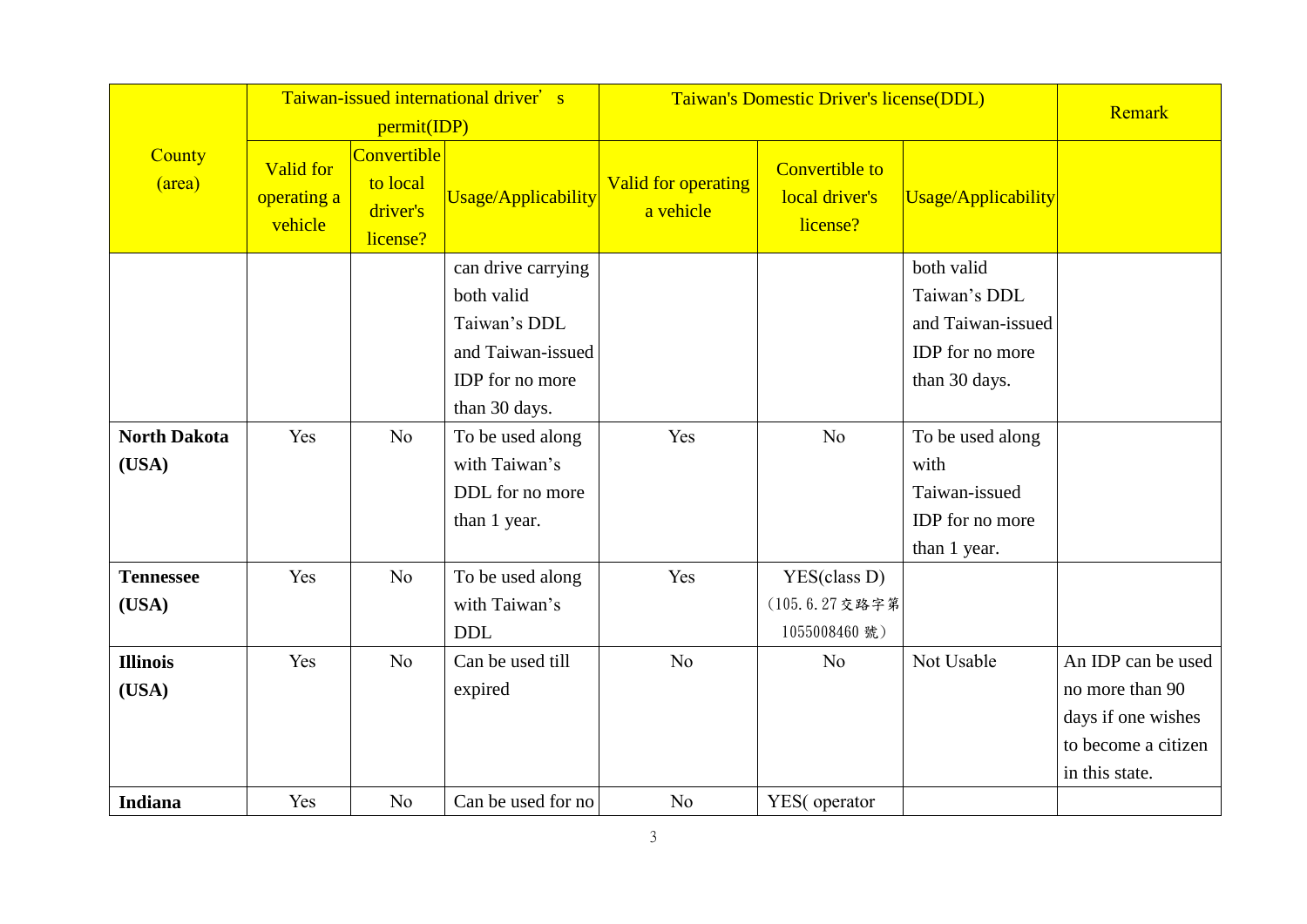|                              |                                            | permit(IDP)                                     | Taiwan-issued international driver's                                                                      | Taiwan's Domestic Driver's license(DDL) |                                                     | Remark                                                                              |                                                                                                      |
|------------------------------|--------------------------------------------|-------------------------------------------------|-----------------------------------------------------------------------------------------------------------|-----------------------------------------|-----------------------------------------------------|-------------------------------------------------------------------------------------|------------------------------------------------------------------------------------------------------|
| County<br>(area)             | <b>Valid for</b><br>operating a<br>vehicle | Convertible<br>to local<br>driver's<br>license? | Usage/Applicability                                                                                       | <b>Valid for operating</b><br>a vehicle | <b>Convertible to</b><br>local driver's<br>license? | Usage/Applicability                                                                 |                                                                                                      |
|                              |                                            |                                                 | can drive carrying<br>both valid<br>Taiwan's DDL<br>and Taiwan-issued<br>IDP for no more<br>than 30 days. |                                         |                                                     | both valid<br>Taiwan's DDL<br>and Taiwan-issued<br>IDP for no more<br>than 30 days. |                                                                                                      |
| <b>North Dakota</b><br>(USA) | Yes                                        | N <sub>o</sub>                                  | To be used along<br>with Taiwan's<br>DDL for no more<br>than 1 year.                                      | Yes                                     | No                                                  | To be used along<br>with<br>Taiwan-issued<br>IDP for no more<br>than 1 year.        |                                                                                                      |
| <b>Tennessee</b><br>(USA)    | Yes                                        | N <sub>o</sub>                                  | To be used along<br>with Taiwan's<br><b>DDL</b>                                                           | Yes                                     | YES(class D)<br>(105.6.27交路字第<br>1055008460 號)      |                                                                                     |                                                                                                      |
| <b>Illinois</b><br>(USA)     | Yes                                        | N <sub>o</sub>                                  | Can be used till<br>expired                                                                               | N <sub>o</sub>                          | N <sub>o</sub>                                      | Not Usable                                                                          | An IDP can be used<br>no more than 90<br>days if one wishes<br>to become a citizen<br>in this state. |
| <b>Indiana</b>               | Yes                                        | N <sub>o</sub>                                  | Can be used for no                                                                                        | N <sub>o</sub>                          | YES(operator                                        |                                                                                     |                                                                                                      |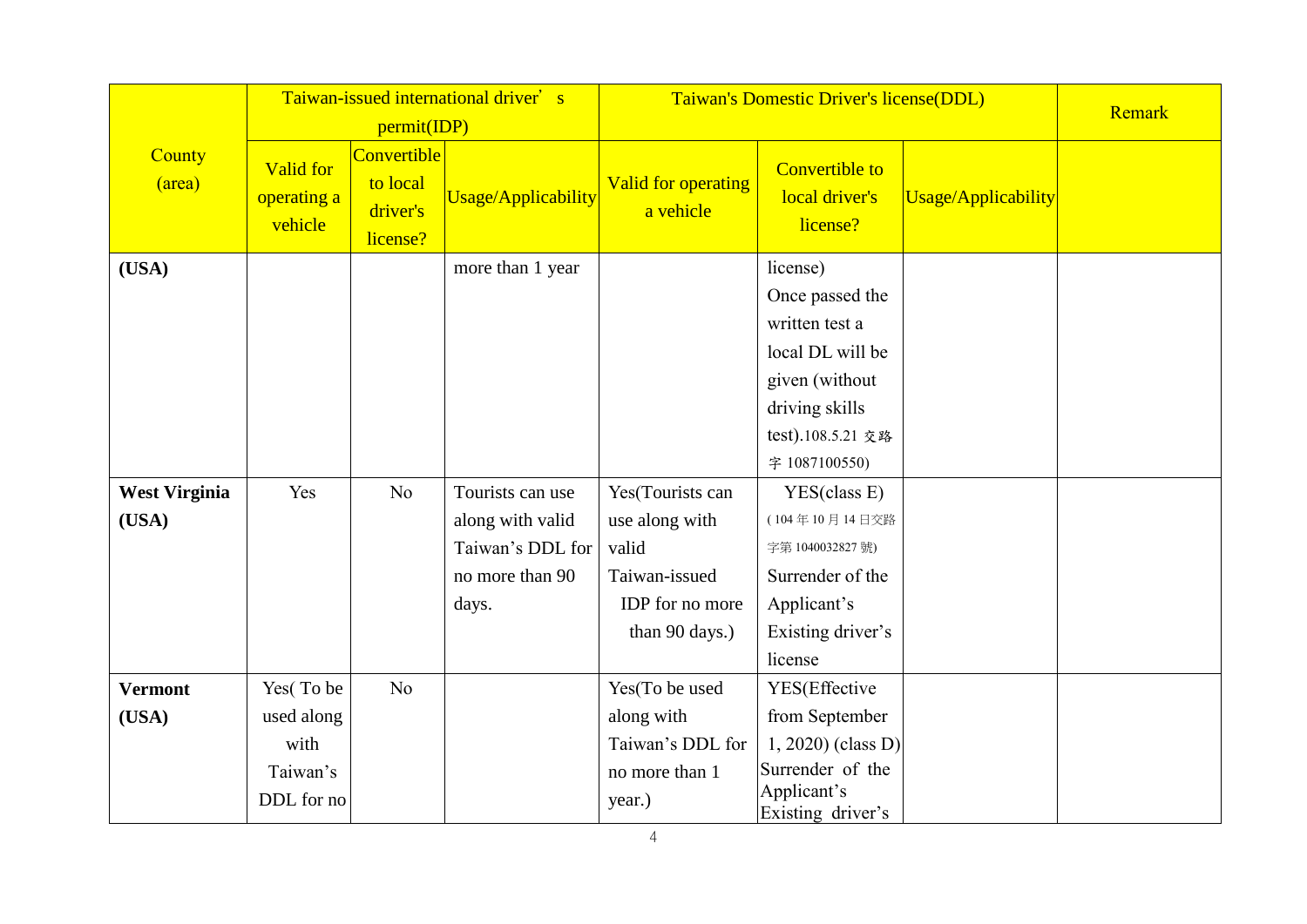|                      |                                            |                                                 | Taiwan-issued international driver's | Taiwan's Domestic Driver's license(DDL) |                                                     | Remark              |  |
|----------------------|--------------------------------------------|-------------------------------------------------|--------------------------------------|-----------------------------------------|-----------------------------------------------------|---------------------|--|
|                      |                                            | permit(IDP)                                     |                                      |                                         |                                                     |                     |  |
| County<br>(area)     | <b>Valid for</b><br>operating a<br>vehicle | Convertible<br>to local<br>driver's<br>license? | <b>Usage/Applicability</b>           | <b>Valid for operating</b><br>a vehicle | <b>Convertible to</b><br>local driver's<br>license? | Usage/Applicability |  |
| (USA)                |                                            |                                                 | more than 1 year                     |                                         | license)                                            |                     |  |
|                      |                                            |                                                 |                                      |                                         | Once passed the                                     |                     |  |
|                      |                                            |                                                 |                                      |                                         | written test a                                      |                     |  |
|                      |                                            |                                                 |                                      |                                         | local DL will be                                    |                     |  |
|                      |                                            |                                                 |                                      |                                         | given (without                                      |                     |  |
|                      |                                            |                                                 |                                      |                                         | driving skills                                      |                     |  |
|                      |                                            |                                                 |                                      |                                         | test).108.5.21 交路                                   |                     |  |
|                      |                                            |                                                 |                                      |                                         | 字 1087100550)                                       |                     |  |
| <b>West Virginia</b> | Yes                                        | N <sub>o</sub>                                  | Tourists can use                     | Yes(Tourists can                        | YES(class E)                                        |                     |  |
| (USA)                |                                            |                                                 | along with valid                     | use along with                          | (104年10月14日交路                                       |                     |  |
|                      |                                            |                                                 | Taiwan's DDL for                     | valid                                   | 字第 1040032827號)                                     |                     |  |
|                      |                                            |                                                 | no more than 90                      | Taiwan-issued                           | Surrender of the                                    |                     |  |
|                      |                                            |                                                 | days.                                | IDP for no more                         | Applicant's                                         |                     |  |
|                      |                                            |                                                 |                                      | than 90 days.)                          | Existing driver's                                   |                     |  |
|                      |                                            |                                                 |                                      |                                         | license                                             |                     |  |
| <b>Vermont</b>       | Yes(To be                                  | No                                              |                                      | Yes(To be used                          | YES(Effective                                       |                     |  |
| (USA)                | used along                                 |                                                 |                                      | along with                              | from September                                      |                     |  |
|                      | with                                       |                                                 |                                      | Taiwan's DDL for                        | 1, 2020) (class D)                                  |                     |  |
|                      | Taiwan's                                   |                                                 |                                      | no more than 1                          | Surrender of the                                    |                     |  |
|                      | DDL for no                                 |                                                 |                                      | year.)                                  | Applicant's<br>Existing driver's                    |                     |  |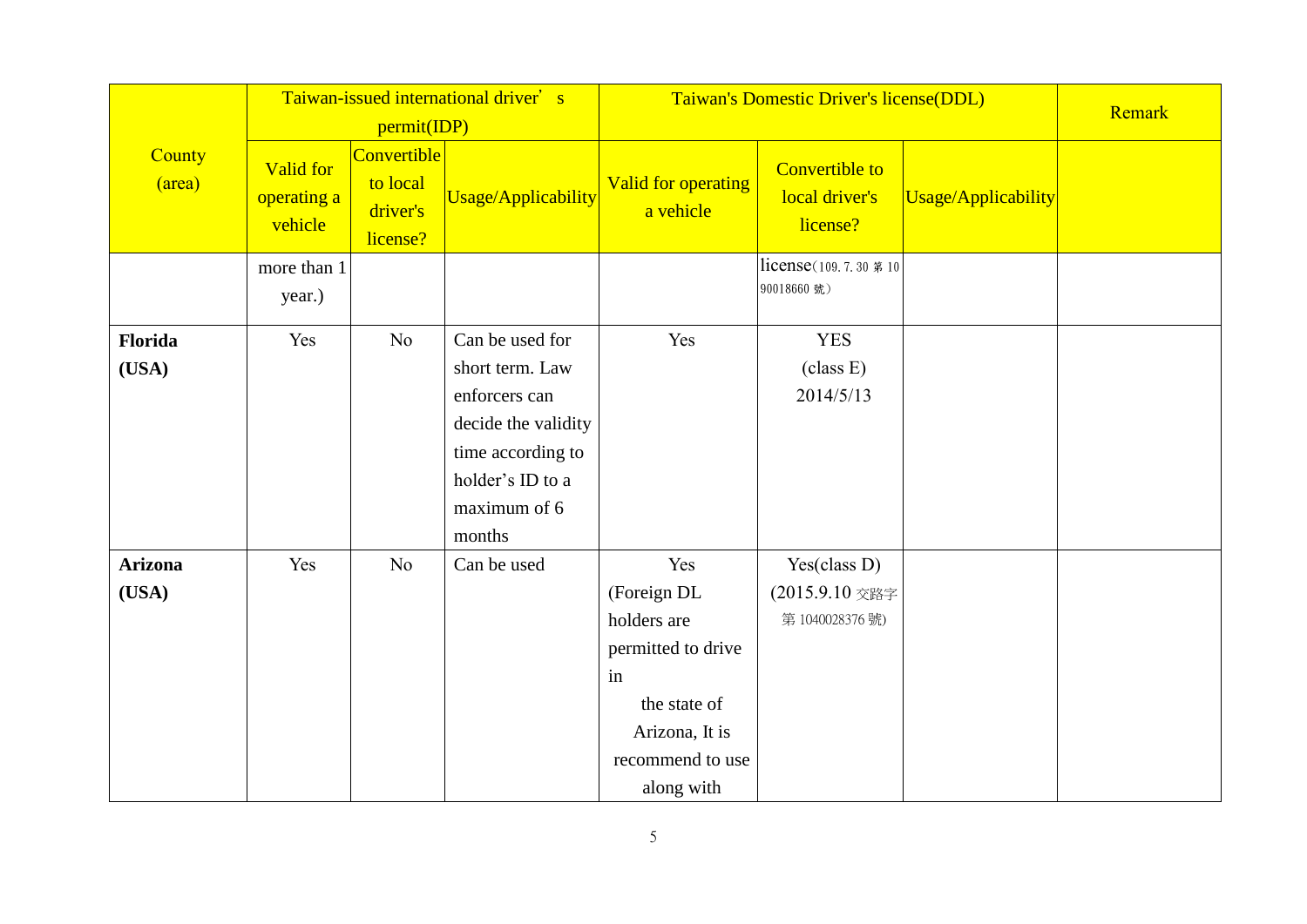|                  |                                            |                                                 | Taiwan-issued international driver's |                                  | Taiwan's Domestic Driver's license(DDL)             |                     | Remark |
|------------------|--------------------------------------------|-------------------------------------------------|--------------------------------------|----------------------------------|-----------------------------------------------------|---------------------|--------|
|                  |                                            | permit(IDP)                                     |                                      |                                  |                                                     |                     |        |
| County<br>(area) | <b>Valid for</b><br>operating a<br>vehicle | Convertible<br>to local<br>driver's<br>license? | Usage/Applicability                  | Valid for operating<br>a vehicle | <b>Convertible to</b><br>local driver's<br>license? | Usage/Applicability |        |
|                  | more than 1                                |                                                 |                                      |                                  | license(109.7.30 第10                                |                     |        |
|                  | year.)                                     |                                                 |                                      |                                  | 90018660 號)                                         |                     |        |
| Florida          | Yes                                        | N <sub>o</sub>                                  | Can be used for                      | Yes                              | <b>YES</b>                                          |                     |        |
| (USA)            |                                            |                                                 | short term. Law                      |                                  | (class E)                                           |                     |        |
|                  |                                            |                                                 | enforcers can                        |                                  | 2014/5/13                                           |                     |        |
|                  |                                            |                                                 | decide the validity                  |                                  |                                                     |                     |        |
|                  |                                            |                                                 | time according to                    |                                  |                                                     |                     |        |
|                  |                                            |                                                 | holder's ID to a                     |                                  |                                                     |                     |        |
|                  |                                            |                                                 | maximum of 6                         |                                  |                                                     |                     |        |
|                  |                                            |                                                 | months                               |                                  |                                                     |                     |        |
| <b>Arizona</b>   | Yes                                        | No                                              | Can be used                          | Yes                              | Yes(class D)                                        |                     |        |
| (USA)            |                                            |                                                 |                                      | (Foreign DL                      | (2015.9.10 交路字                                      |                     |        |
|                  |                                            |                                                 |                                      | holders are                      | 第1040028376號)                                       |                     |        |
|                  |                                            |                                                 |                                      | permitted to drive               |                                                     |                     |        |
|                  |                                            |                                                 |                                      | in                               |                                                     |                     |        |
|                  |                                            |                                                 |                                      | the state of                     |                                                     |                     |        |
|                  |                                            |                                                 |                                      | Arizona, It is                   |                                                     |                     |        |
|                  |                                            |                                                 |                                      | recommend to use                 |                                                     |                     |        |
|                  |                                            |                                                 |                                      | along with                       |                                                     |                     |        |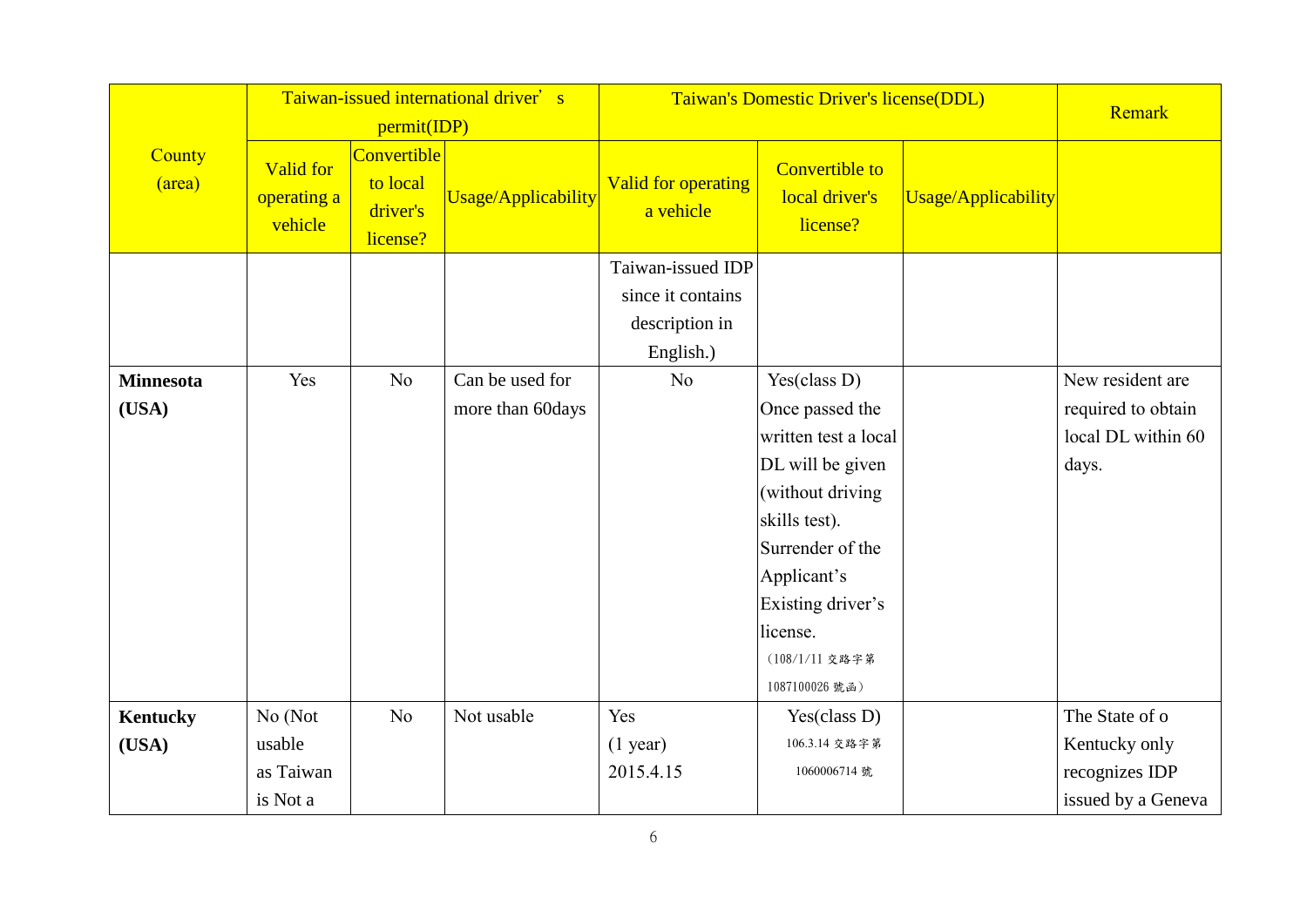|                           |                                            | permit(IDP)                                     | Taiwan-issued international driver's |                                                                       | Taiwan's Domestic Driver's license(DDL)                                                                                                                                               |                     |                                                                       |  |
|---------------------------|--------------------------------------------|-------------------------------------------------|--------------------------------------|-----------------------------------------------------------------------|---------------------------------------------------------------------------------------------------------------------------------------------------------------------------------------|---------------------|-----------------------------------------------------------------------|--|
| County<br>(area)          | <b>Valid for</b><br>operating a<br>vehicle | Convertible<br>to local<br>driver's<br>license? | Usage/Applicability                  | Valid for operating<br>a vehicle                                      | <b>Convertible to</b><br>local driver's<br>license?                                                                                                                                   | Usage/Applicability |                                                                       |  |
|                           |                                            |                                                 |                                      | Taiwan-issued IDP<br>since it contains<br>description in<br>English.) |                                                                                                                                                                                       |                     |                                                                       |  |
| <b>Minnesota</b><br>(USA) | Yes                                        | N <sub>o</sub>                                  | Can be used for<br>more than 60days  | N <sub>o</sub>                                                        | Yes (class D)<br>Once passed the<br>written test a local<br>DL will be given<br>(without driving<br>skills test).<br>Surrender of the<br>Applicant's<br>Existing driver's<br>license. |                     | New resident are<br>required to obtain<br>local DL within 60<br>days. |  |
| Kentucky<br>(USA)         | No (Not<br>usable<br>as Taiwan             | N <sub>o</sub>                                  | Not usable                           | Yes<br>$(1$ year)<br>2015.4.15                                        | (108/1/11 交路字第<br>1087100026號函)<br>Yes(class D)<br>106.3.14 交路字第<br>1060006714 號                                                                                                      |                     | The State of o<br>Kentucky only<br>recognizes IDP                     |  |
|                           | is Not a                                   |                                                 |                                      |                                                                       |                                                                                                                                                                                       |                     | issued by a Geneva                                                    |  |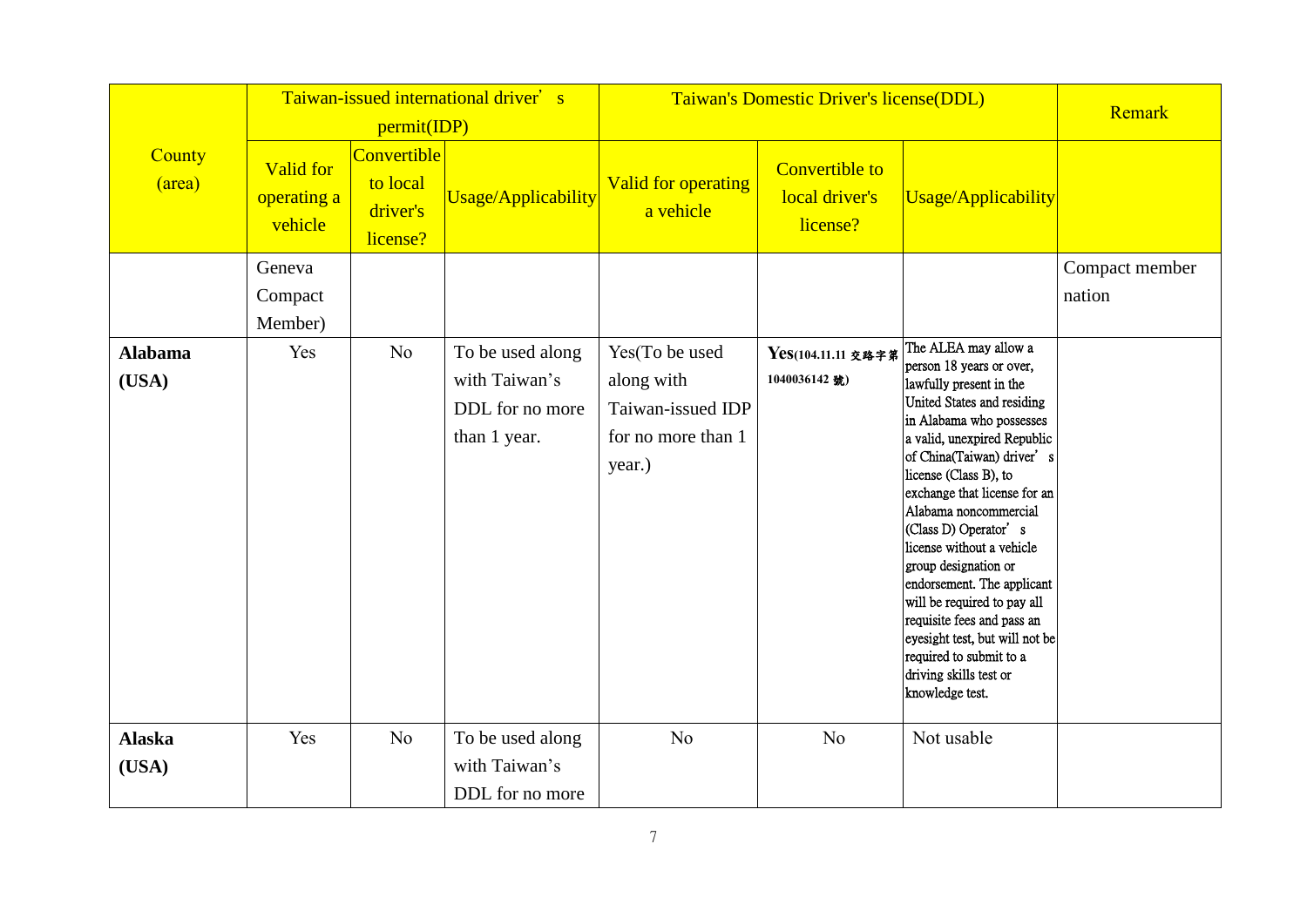|                         |                                            | permit(IDP)                                     | Taiwan-issued international driver's                                 | Taiwan's Domestic Driver's license(DDL)                                           |                                                     | Remark                                                                                                                                                                                                                                                                                                                                                                                                                                                                                                                                                                |                          |
|-------------------------|--------------------------------------------|-------------------------------------------------|----------------------------------------------------------------------|-----------------------------------------------------------------------------------|-----------------------------------------------------|-----------------------------------------------------------------------------------------------------------------------------------------------------------------------------------------------------------------------------------------------------------------------------------------------------------------------------------------------------------------------------------------------------------------------------------------------------------------------------------------------------------------------------------------------------------------------|--------------------------|
| County<br>(area)        | <b>Valid for</b><br>operating a<br>vehicle | Convertible<br>to local<br>driver's<br>license? | Usage/Applicability                                                  | <b>Valid for operating</b><br>a vehicle                                           | <b>Convertible to</b><br>local driver's<br>license? | Usage/Applicability                                                                                                                                                                                                                                                                                                                                                                                                                                                                                                                                                   |                          |
|                         | Geneva<br>Compact<br>Member)               |                                                 |                                                                      |                                                                                   |                                                     |                                                                                                                                                                                                                                                                                                                                                                                                                                                                                                                                                                       | Compact member<br>nation |
| <b>Alabama</b><br>(USA) | Yes                                        | No                                              | To be used along<br>with Taiwan's<br>DDL for no more<br>than 1 year. | Yes(To be used<br>along with<br>Taiwan-issued IDP<br>for no more than 1<br>year.) | Yes(104.11.11 交路字第<br>1040036142號)                  | The ALEA may allow a<br>person 18 years or over,<br>lawfully present in the<br>United States and residing<br>in Alabama who possesses<br>a valid, unexpired Republic<br>of China(Taiwan) driver's<br>license (Class B), to<br>exchange that license for an<br>Alabama noncommercial<br>(Class D) Operator's<br>license without a vehicle<br>group designation or<br>endorsement. The applicant<br>will be required to pay all<br>requisite fees and pass an<br>eyesight test, but will not be<br>required to submit to a<br>driving skills test or<br>knowledge test. |                          |
| <b>Alaska</b><br>(USA)  | Yes                                        | N <sub>o</sub>                                  | To be used along<br>with Taiwan's                                    | N <sub>o</sub>                                                                    | N <sub>o</sub>                                      | Not usable                                                                                                                                                                                                                                                                                                                                                                                                                                                                                                                                                            |                          |
|                         |                                            |                                                 | DDL for no more                                                      |                                                                                   |                                                     |                                                                                                                                                                                                                                                                                                                                                                                                                                                                                                                                                                       |                          |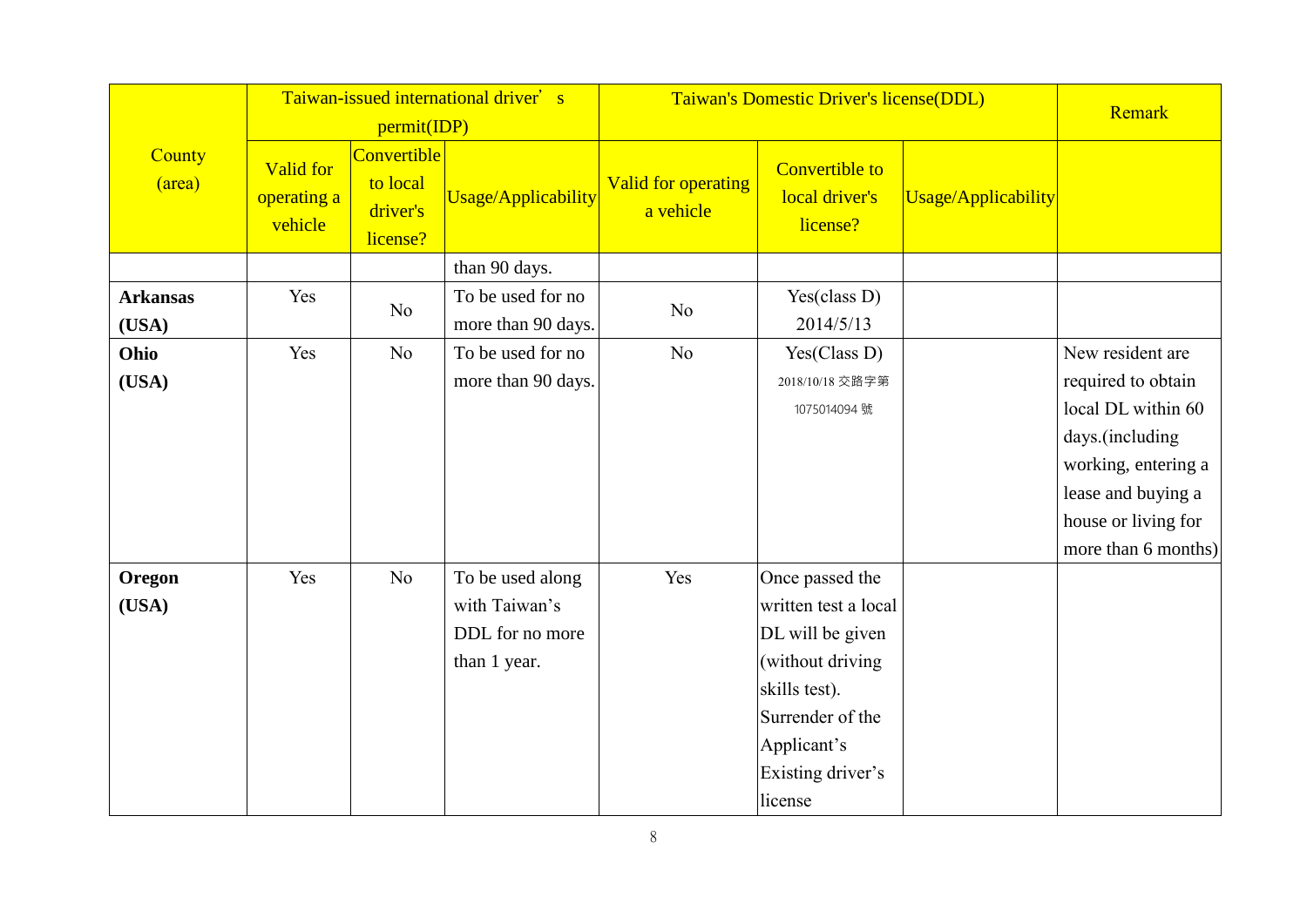|                          | Taiwan-issued international driver's<br>permit(IDP) |                                                        |                                                                      |                                         | Taiwan's Domestic Driver's license(DDL)                                                                                                                             |                     |                                                                                                                                                                            |  |
|--------------------------|-----------------------------------------------------|--------------------------------------------------------|----------------------------------------------------------------------|-----------------------------------------|---------------------------------------------------------------------------------------------------------------------------------------------------------------------|---------------------|----------------------------------------------------------------------------------------------------------------------------------------------------------------------------|--|
| <b>County</b><br>(area)  | Valid for<br>operating a<br>vehicle                 | <b>Convertible</b><br>to local<br>driver's<br>license? | Usage/Applicability                                                  | <b>Valid for operating</b><br>a vehicle | <b>Convertible to</b><br>local driver's<br>license?                                                                                                                 | Usage/Applicability |                                                                                                                                                                            |  |
|                          |                                                     |                                                        | than 90 days.                                                        |                                         |                                                                                                                                                                     |                     |                                                                                                                                                                            |  |
| <b>Arkansas</b><br>(USA) | Yes                                                 | No                                                     | To be used for no<br>more than 90 days.                              | N <sub>o</sub>                          | Yes(class D)<br>2014/5/13                                                                                                                                           |                     |                                                                                                                                                                            |  |
| Ohio<br>(USA)            | Yes                                                 | N <sub>o</sub>                                         | To be used for no<br>more than 90 days.                              | N <sub>o</sub>                          | Yes(Class D)<br>2018/10/18 交路字第<br>1075014094 號                                                                                                                     |                     | New resident are<br>required to obtain<br>local DL within 60<br>days.(including<br>working, entering a<br>lease and buying a<br>house or living for<br>more than 6 months) |  |
| Oregon<br>(USA)          | Yes                                                 | No                                                     | To be used along<br>with Taiwan's<br>DDL for no more<br>than 1 year. | Yes                                     | Once passed the<br>written test a local<br>DL will be given<br>(without driving<br>skills test).<br>Surrender of the<br>Applicant's<br>Existing driver's<br>license |                     |                                                                                                                                                                            |  |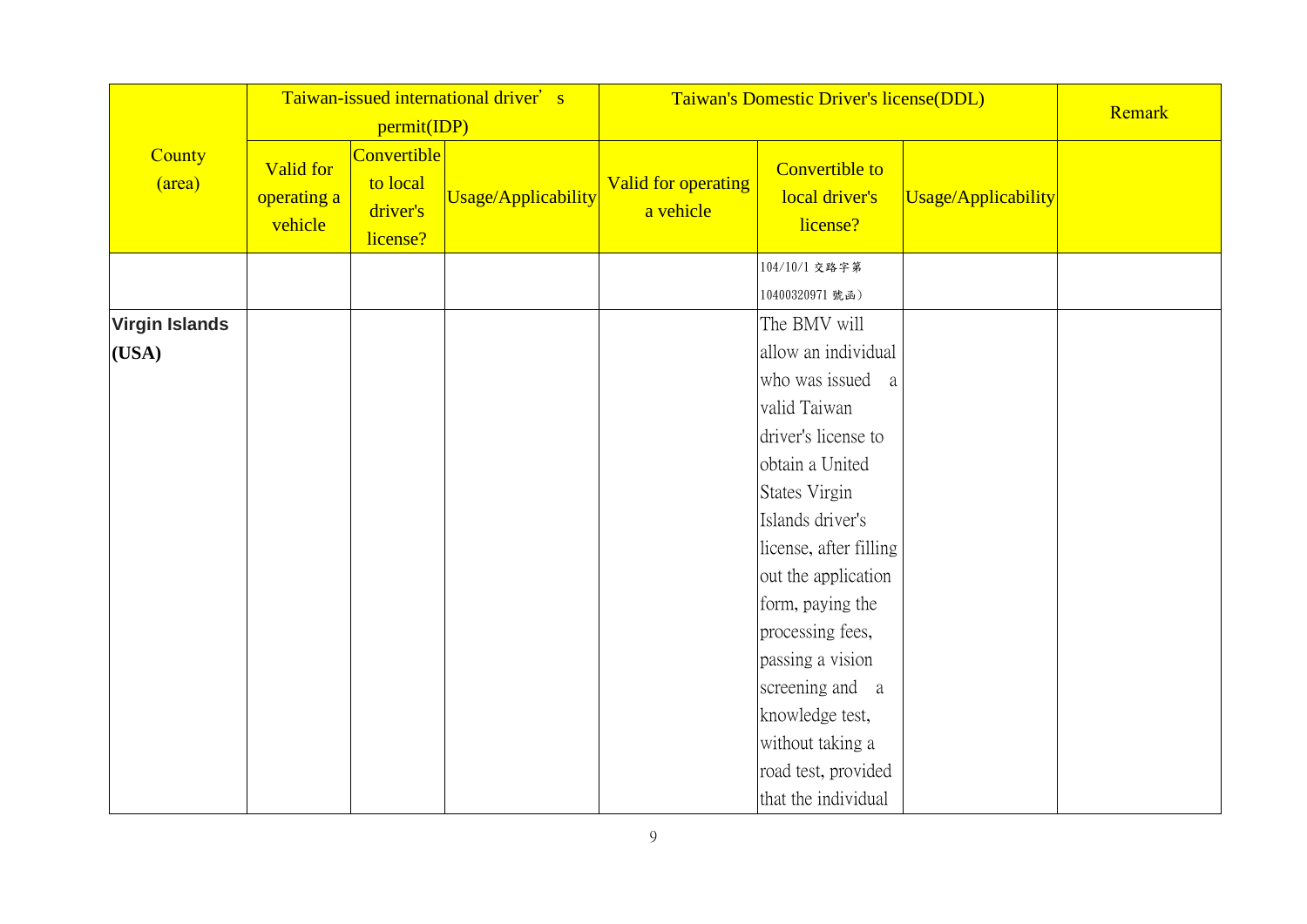|                       |                                     | permit(IDP)                                     | Taiwan-issued international driver's | Taiwan's Domestic Driver's license(DDL) | Remark                                              |                     |  |
|-----------------------|-------------------------------------|-------------------------------------------------|--------------------------------------|-----------------------------------------|-----------------------------------------------------|---------------------|--|
| County<br>(area)      | Valid for<br>operating a<br>vehicle | Convertible<br>to local<br>driver's<br>license? | Usage/Applicability                  | <b>Valid for operating</b><br>a vehicle | <b>Convertible to</b><br>local driver's<br>license? | Usage/Applicability |  |
|                       |                                     |                                                 |                                      |                                         | 104/10/1 交路字第                                       |                     |  |
|                       |                                     |                                                 |                                      |                                         | 10400320971 號函)                                     |                     |  |
| <b>Virgin Islands</b> |                                     |                                                 |                                      |                                         | The BMV will                                        |                     |  |
| (USA)                 |                                     |                                                 |                                      |                                         | allow an individual                                 |                     |  |
|                       |                                     |                                                 |                                      |                                         | who was issued a                                    |                     |  |
|                       |                                     |                                                 |                                      |                                         | valid Taiwan                                        |                     |  |
|                       |                                     |                                                 |                                      |                                         | driver's license to                                 |                     |  |
|                       |                                     |                                                 |                                      |                                         | obtain a United                                     |                     |  |
|                       |                                     |                                                 |                                      |                                         | States Virgin                                       |                     |  |
|                       |                                     |                                                 |                                      |                                         | Islands driver's                                    |                     |  |
|                       |                                     |                                                 |                                      |                                         | license, after filling                              |                     |  |
|                       |                                     |                                                 |                                      |                                         | out the application                                 |                     |  |
|                       |                                     |                                                 |                                      |                                         | form, paying the                                    |                     |  |
|                       |                                     |                                                 |                                      |                                         | processing fees,                                    |                     |  |
|                       |                                     |                                                 |                                      |                                         | passing a vision                                    |                     |  |
|                       |                                     |                                                 |                                      |                                         | screening and a                                     |                     |  |
|                       |                                     |                                                 |                                      |                                         | knowledge test,                                     |                     |  |
|                       |                                     |                                                 |                                      |                                         | without taking a                                    |                     |  |
|                       |                                     |                                                 |                                      |                                         | road test, provided                                 |                     |  |
|                       |                                     |                                                 |                                      |                                         | that the individual                                 |                     |  |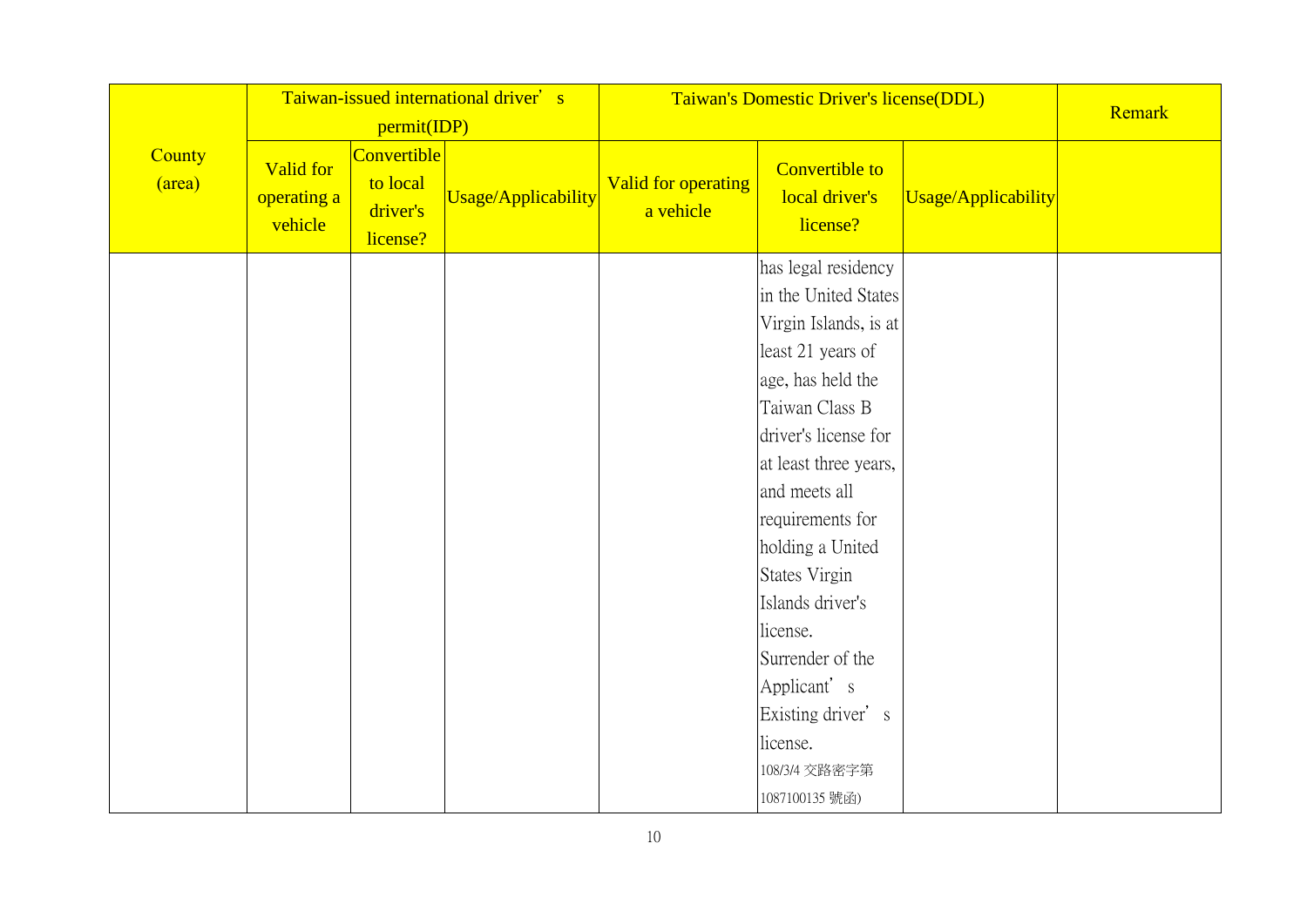|                  |                                            | permit(IDP)                                     | Taiwan-issued international driver's |                                  | Taiwan's Domestic Driver's license(DDL)                                                                                                                                                                                                                                                                                                                                                            |                     |  |  |  |
|------------------|--------------------------------------------|-------------------------------------------------|--------------------------------------|----------------------------------|----------------------------------------------------------------------------------------------------------------------------------------------------------------------------------------------------------------------------------------------------------------------------------------------------------------------------------------------------------------------------------------------------|---------------------|--|--|--|
| County<br>(area) | <b>Valid for</b><br>operating a<br>vehicle | Convertible<br>to local<br>driver's<br>license? | Usage/Applicability                  | Valid for operating<br>a vehicle | Convertible to<br>local driver's<br>license?                                                                                                                                                                                                                                                                                                                                                       | Usage/Applicability |  |  |  |
|                  |                                            |                                                 |                                      |                                  | has legal residency<br>in the United States<br>Virgin Islands, is at<br>least 21 years of<br>age, has held the<br>Taiwan Class B<br>driver's license for<br>at least three years,<br>and meets all<br>requirements for<br>holding a United<br>States Virgin<br>Islands driver's<br>license.<br>Surrender of the<br>Applicant's<br>Existing driver's<br>license.<br>108/3/4 交路密字第<br>1087100135 號函) |                     |  |  |  |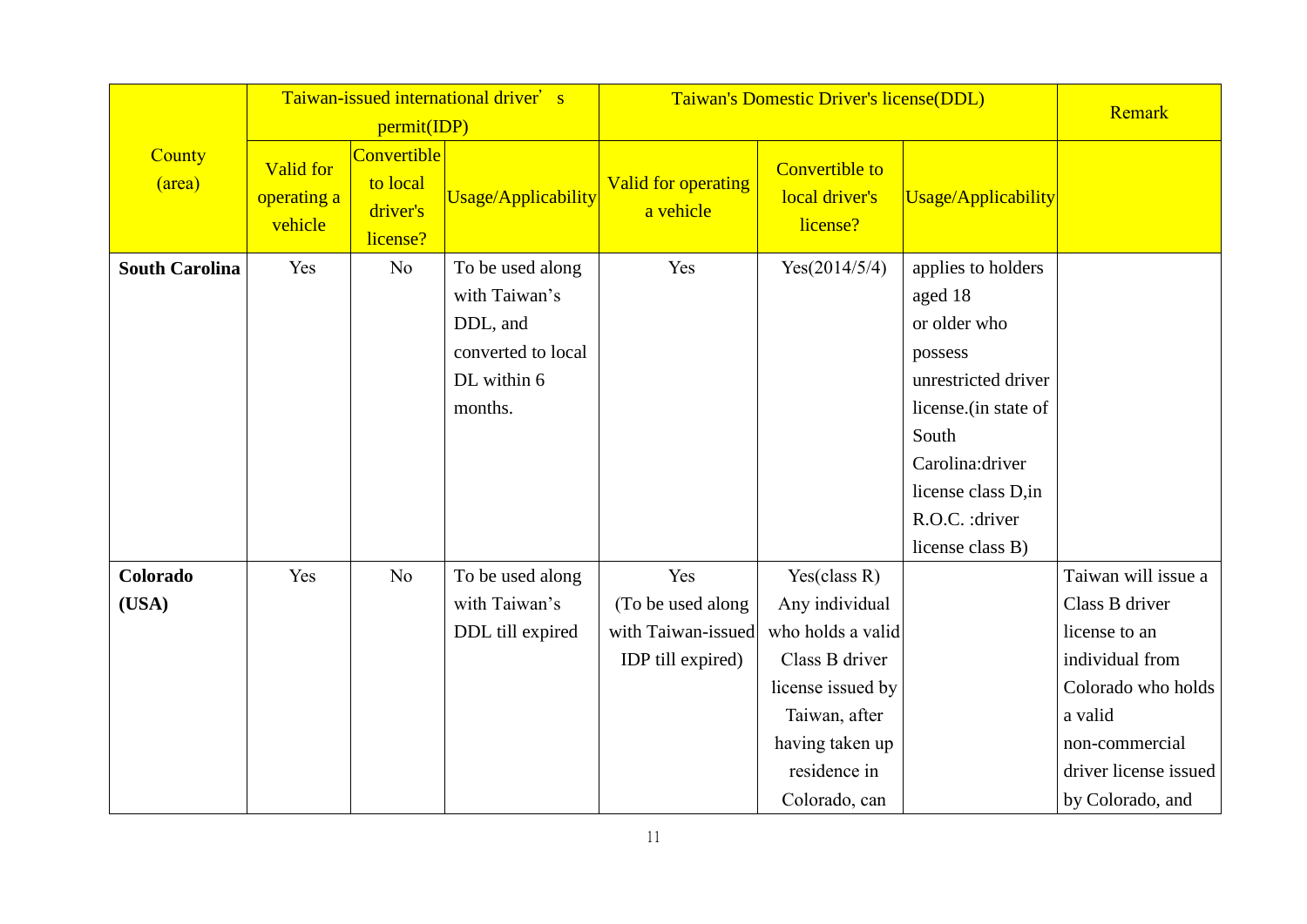|                       |                                            | permit(IDP)                                     | Taiwan-issued international driver's                                                          |                                                                     | Taiwan's Domestic Driver's license(DDL)                                                                                                                            |                                                                                                                                                                                                   | Remark                                                                                                                                                                    |
|-----------------------|--------------------------------------------|-------------------------------------------------|-----------------------------------------------------------------------------------------------|---------------------------------------------------------------------|--------------------------------------------------------------------------------------------------------------------------------------------------------------------|---------------------------------------------------------------------------------------------------------------------------------------------------------------------------------------------------|---------------------------------------------------------------------------------------------------------------------------------------------------------------------------|
| County<br>(area)      | <b>Valid for</b><br>operating a<br>vehicle | Convertible<br>to local<br>driver's<br>license? | Usage/Applicability                                                                           | <b>Valid for operating</b><br>a vehicle                             | <b>Convertible to</b><br>local driver's<br>license?                                                                                                                | Usage/Applicability                                                                                                                                                                               |                                                                                                                                                                           |
| <b>South Carolina</b> | Yes                                        | N <sub>o</sub>                                  | To be used along<br>with Taiwan's<br>DDL, and<br>converted to local<br>DL within 6<br>months. | Yes                                                                 | Yes(2014/5/4)                                                                                                                                                      | applies to holders<br>aged 18<br>or older who<br>possess<br>unrestricted driver<br>license. (in state of<br>South<br>Carolina:driver<br>license class D,in<br>R.O.C. : driver<br>license class B) |                                                                                                                                                                           |
| Colorado<br>(USA)     | Yes                                        | N <sub>o</sub>                                  | To be used along<br>with Taiwan's<br>DDL till expired                                         | Yes<br>(To be used along<br>with Taiwan-issued<br>IDP till expired) | Yes(class $R$ )<br>Any individual<br>who holds a valid<br>Class B driver<br>license issued by<br>Taiwan, after<br>having taken up<br>residence in<br>Colorado, can |                                                                                                                                                                                                   | Taiwan will issue a<br>Class B driver<br>license to an<br>individual from<br>Colorado who holds<br>a valid<br>non-commercial<br>driver license issued<br>by Colorado, and |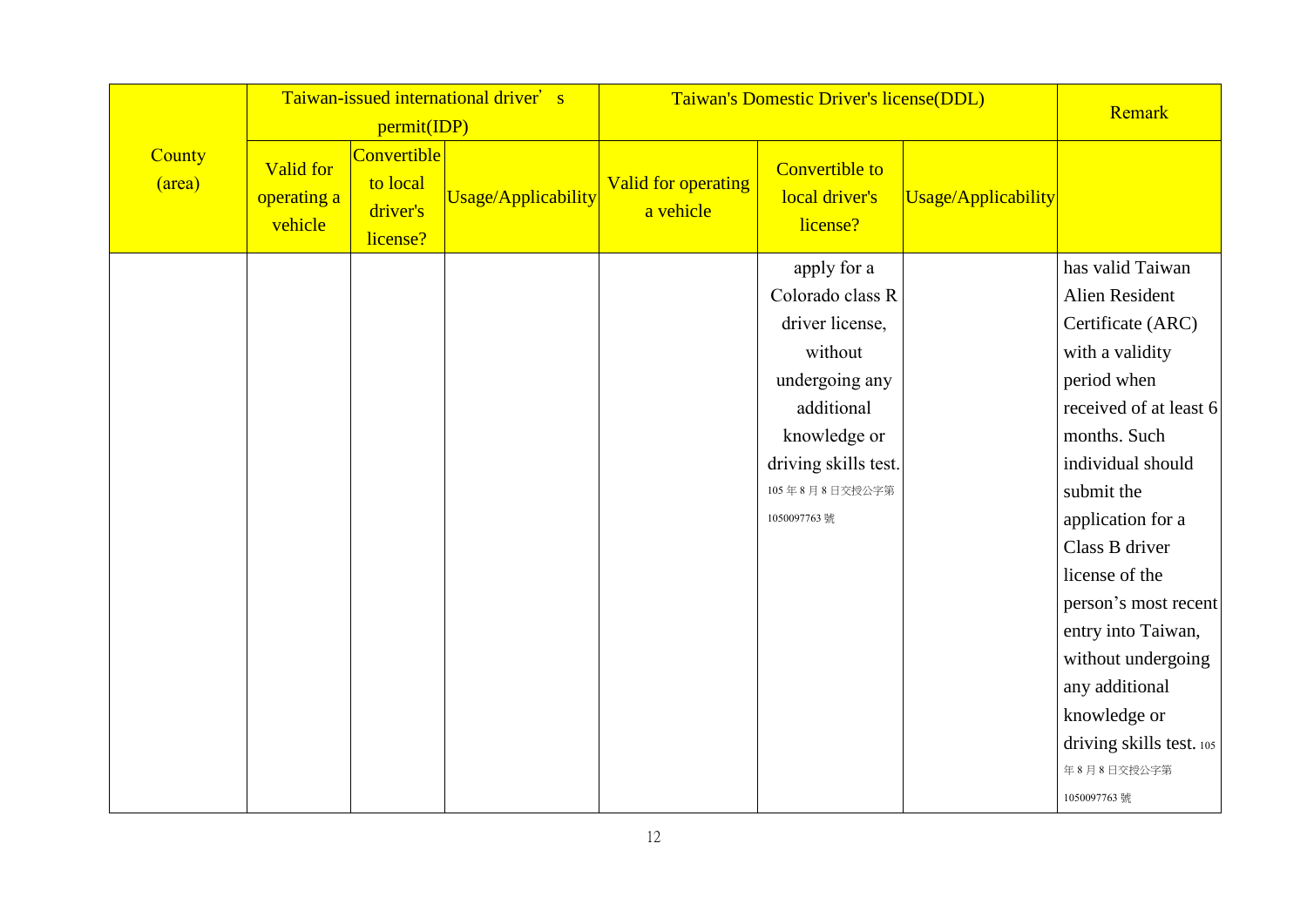|                  |                                            | permit(IDP)                                     | Taiwan-issued international driver's |                                         | Taiwan's Domestic Driver's license(DDL)                                                                                                                                |                     | Remark                                                                                                                                                                                                                                                                                                                                                                          |
|------------------|--------------------------------------------|-------------------------------------------------|--------------------------------------|-----------------------------------------|------------------------------------------------------------------------------------------------------------------------------------------------------------------------|---------------------|---------------------------------------------------------------------------------------------------------------------------------------------------------------------------------------------------------------------------------------------------------------------------------------------------------------------------------------------------------------------------------|
| County<br>(area) | <b>Valid for</b><br>operating a<br>vehicle | Convertible<br>to local<br>driver's<br>license? | Usage/Applicability                  | <b>Valid for operating</b><br>a vehicle | <b>Convertible to</b><br>local driver's<br>license?                                                                                                                    | Usage/Applicability |                                                                                                                                                                                                                                                                                                                                                                                 |
|                  |                                            |                                                 |                                      |                                         | apply for a<br>Colorado class R<br>driver license,<br>without<br>undergoing any<br>additional<br>knowledge or<br>driving skills test.<br>105年8月8日交授公字第<br>1050097763 號 |                     | has valid Taiwan<br>Alien Resident<br>Certificate (ARC)<br>with a validity<br>period when<br>received of at least 6<br>months. Such<br>individual should<br>submit the<br>application for a<br>Class B driver<br>license of the<br>person's most recent<br>entry into Taiwan,<br>without undergoing<br>any additional<br>knowledge or<br>driving skills test. 105<br>年8月8日交授公字第 |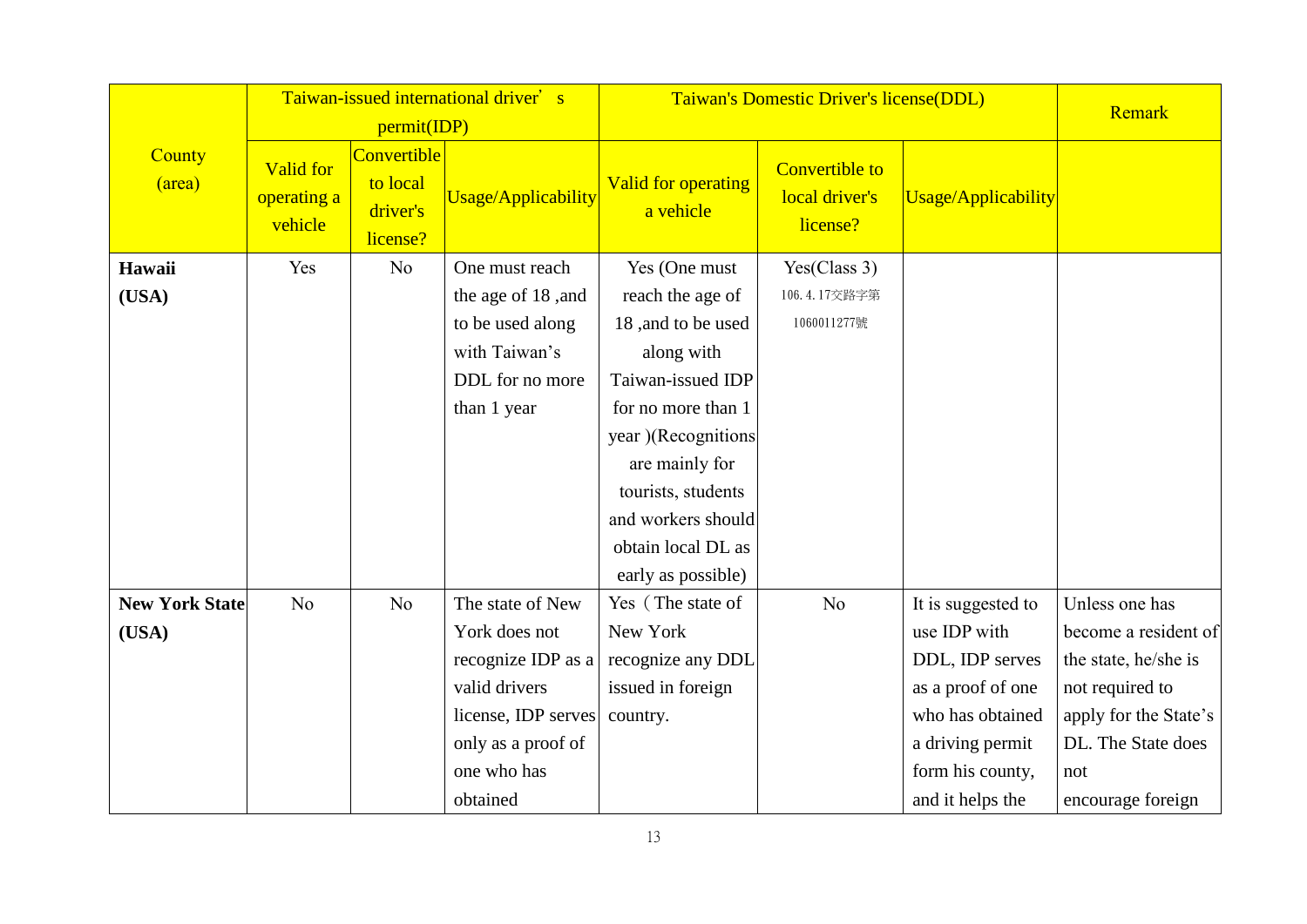|                       |                                            | permit(IDP)                                     | Taiwan-issued international driver's |                                         | Taiwan's Domestic Driver's license(DDL)             |                     | Remark                |
|-----------------------|--------------------------------------------|-------------------------------------------------|--------------------------------------|-----------------------------------------|-----------------------------------------------------|---------------------|-----------------------|
| County<br>(area)      | <b>Valid for</b><br>operating a<br>vehicle | Convertible<br>to local<br>driver's<br>license? | <b>Usage/Applicability</b>           | <b>Valid for operating</b><br>a vehicle | <b>Convertible to</b><br>local driver's<br>license? | Usage/Applicability |                       |
| Hawaii                | Yes                                        | No                                              | One must reach                       | Yes (One must                           | Yes(Class 3)                                        |                     |                       |
| (USA)                 |                                            |                                                 | the age of 18, and                   | reach the age of                        | 106.4.17交路字第                                        |                     |                       |
|                       |                                            |                                                 | to be used along                     | 18, and to be used                      | 1060011277號                                         |                     |                       |
|                       |                                            |                                                 | with Taiwan's                        | along with                              |                                                     |                     |                       |
|                       |                                            |                                                 | DDL for no more                      | Taiwan-issued IDP                       |                                                     |                     |                       |
|                       |                                            |                                                 | than 1 year                          | for no more than 1                      |                                                     |                     |                       |
|                       |                                            |                                                 |                                      | year )(Recognitions                     |                                                     |                     |                       |
|                       |                                            |                                                 |                                      | are mainly for                          |                                                     |                     |                       |
|                       |                                            |                                                 |                                      | tourists, students                      |                                                     |                     |                       |
|                       |                                            |                                                 |                                      | and workers should                      |                                                     |                     |                       |
|                       |                                            |                                                 |                                      | obtain local DL as                      |                                                     |                     |                       |
|                       |                                            |                                                 |                                      | early as possible)                      |                                                     |                     |                       |
| <b>New York State</b> | No                                         | No                                              | The state of New                     | Yes (The state of                       | No                                                  | It is suggested to  | Unless one has        |
| (USA)                 |                                            |                                                 | York does not                        | New York                                |                                                     | use IDP with        | become a resident of  |
|                       |                                            |                                                 | recognize IDP as $a$                 | recognize any DDL                       |                                                     | DDL, IDP serves     | the state, he/she is  |
|                       |                                            |                                                 | valid drivers                        | issued in foreign                       |                                                     | as a proof of one   | not required to       |
|                       |                                            |                                                 | license, IDP serves                  | country.                                |                                                     | who has obtained    | apply for the State's |
|                       |                                            |                                                 | only as a proof of                   |                                         |                                                     | a driving permit    | DL. The State does    |
|                       |                                            |                                                 | one who has                          |                                         |                                                     | form his county,    | not                   |
|                       |                                            |                                                 | obtained                             |                                         |                                                     | and it helps the    | encourage foreign     |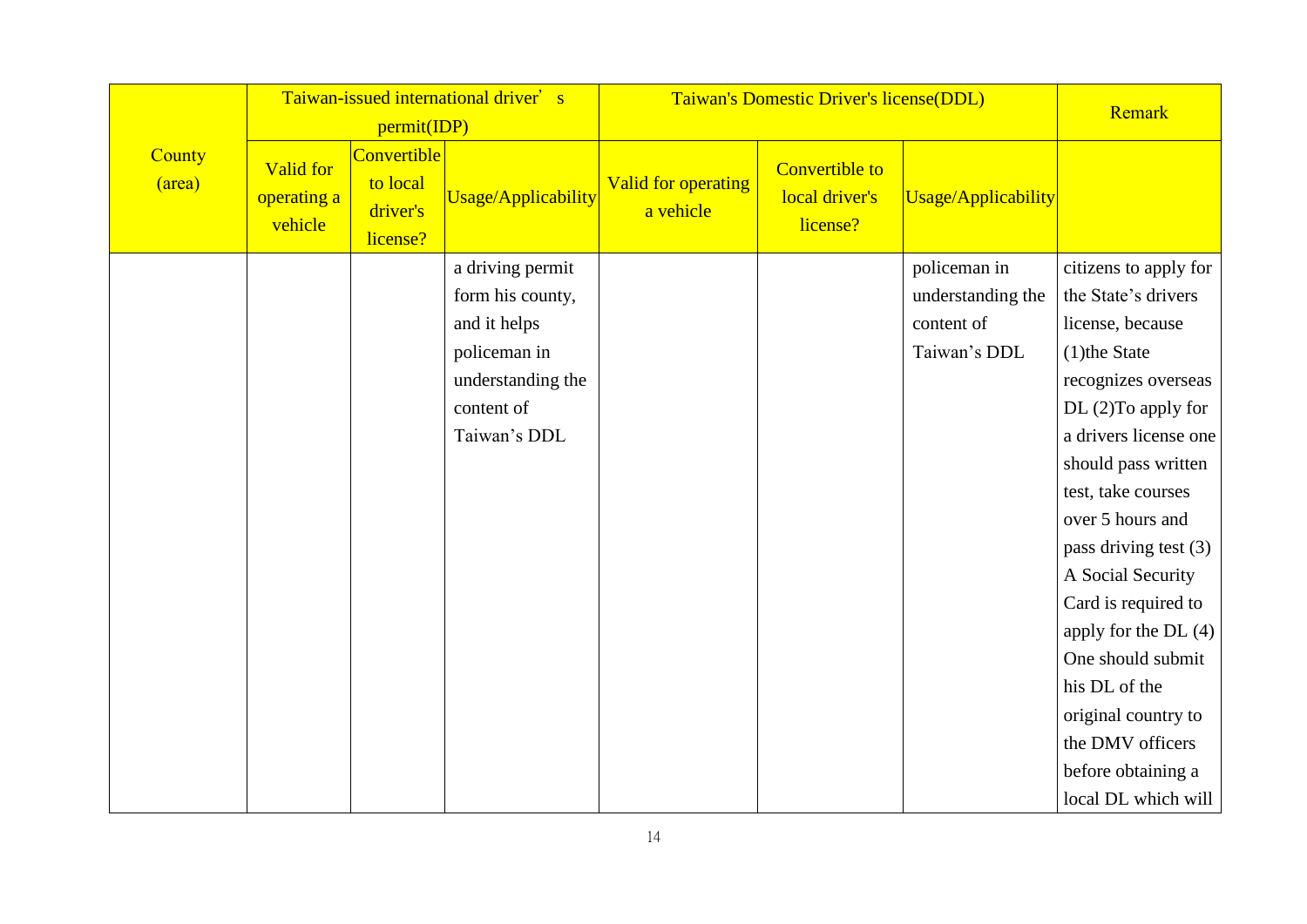|                  |                                            | permit(IDP)                                     | Taiwan-issued international driver's                                                                                    |                                         | Taiwan's Domestic Driver's license(DDL)             |                                                                 | Remark                                                                                                                                                                                                                                                                                                                                                                                                                                                      |
|------------------|--------------------------------------------|-------------------------------------------------|-------------------------------------------------------------------------------------------------------------------------|-----------------------------------------|-----------------------------------------------------|-----------------------------------------------------------------|-------------------------------------------------------------------------------------------------------------------------------------------------------------------------------------------------------------------------------------------------------------------------------------------------------------------------------------------------------------------------------------------------------------------------------------------------------------|
| County<br>(area) | <b>Valid for</b><br>operating a<br>vehicle | Convertible<br>to local<br>driver's<br>license? | Usage/Applicability                                                                                                     | <b>Valid for operating</b><br>a vehicle | <b>Convertible to</b><br>local driver's<br>license? | Usage/Applicability                                             |                                                                                                                                                                                                                                                                                                                                                                                                                                                             |
|                  |                                            |                                                 | a driving permit<br>form his county,<br>and it helps<br>policeman in<br>understanding the<br>content of<br>Taiwan's DDL |                                         |                                                     | policeman in<br>understanding the<br>content of<br>Taiwan's DDL | citizens to apply for<br>the State's drivers<br>license, because<br>$(1)$ the State<br>recognizes overseas<br>$DL(2)$ To apply for<br>a drivers license one<br>should pass written<br>test, take courses<br>over 5 hours and<br>pass driving test $(3)$<br>A Social Security<br>Card is required to<br>apply for the DL $(4)$<br>One should submit<br>his DL of the<br>original country to<br>the DMV officers<br>before obtaining a<br>local DL which will |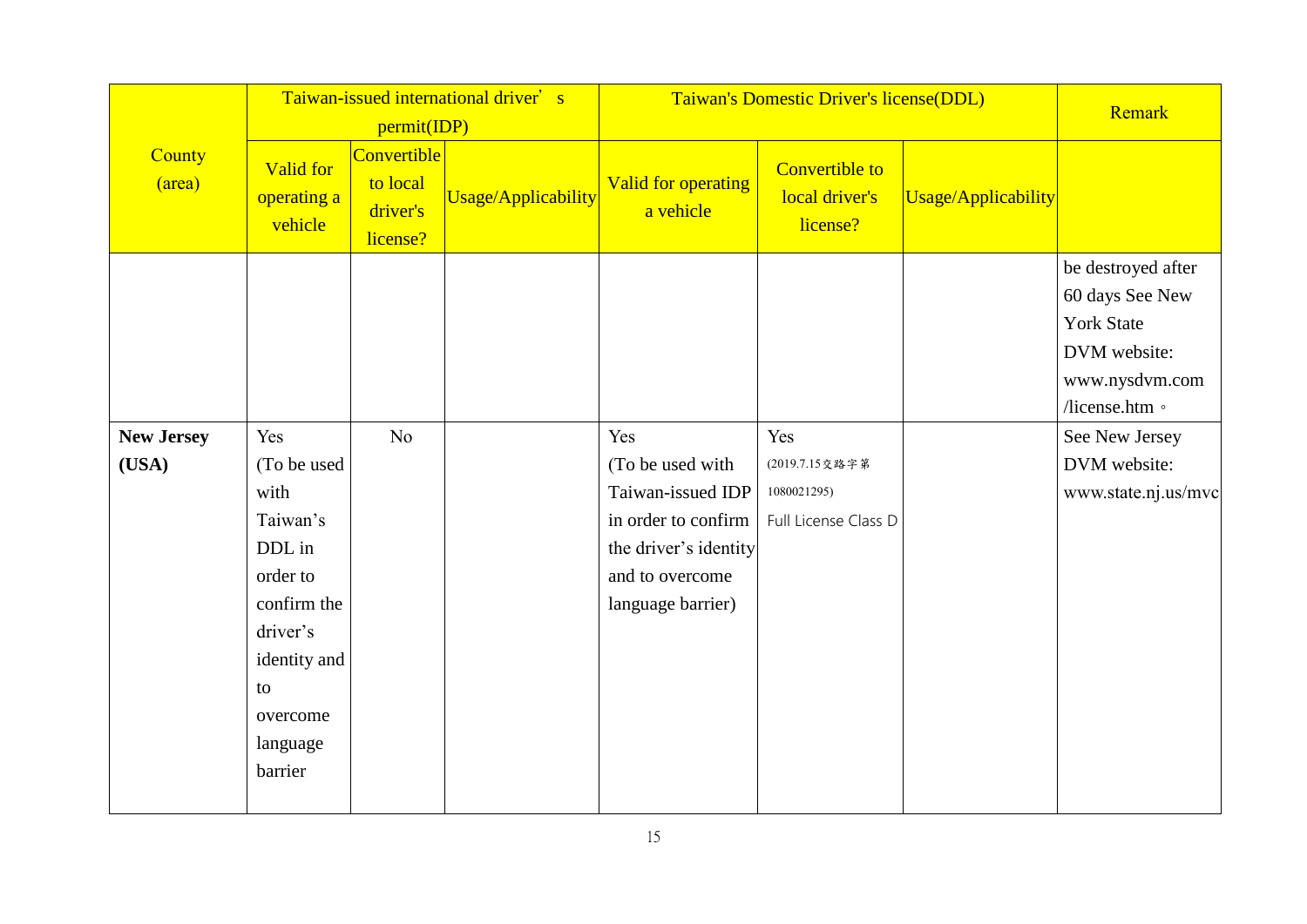|                   | Taiwan-issued international driver's<br>permit(IDP) |                                                 |                     |                                  | Taiwan's Domestic Driver's license(DDL)             |                     | Remark                                                                                                         |
|-------------------|-----------------------------------------------------|-------------------------------------------------|---------------------|----------------------------------|-----------------------------------------------------|---------------------|----------------------------------------------------------------------------------------------------------------|
| County<br>(area)  | <b>Valid for</b><br>operating a<br>vehicle          | Convertible<br>to local<br>driver's<br>license? | Usage/Applicability | Valid for operating<br>a vehicle | <b>Convertible to</b><br>local driver's<br>license? | Usage/Applicability |                                                                                                                |
|                   |                                                     |                                                 |                     |                                  |                                                     |                     | be destroyed after<br>60 days See New<br><b>York State</b><br>DVM website:<br>www.nysdvm.com<br>/license.htm 。 |
| <b>New Jersey</b> | Yes                                                 | N <sub>o</sub>                                  |                     | Yes                              | Yes                                                 |                     | See New Jersey                                                                                                 |
| (USA)             | (To be used                                         |                                                 |                     | (To be used with                 | (2019.7.15交路字第                                      |                     | DVM website:                                                                                                   |
|                   | with                                                |                                                 |                     | Taiwan-issued IDP                | 1080021295)                                         |                     | www.state.nj.us/mvc                                                                                            |
|                   | Taiwan's                                            |                                                 |                     | in order to confirm              | Full License Class D                                |                     |                                                                                                                |
|                   | DDL in                                              |                                                 |                     | the driver's identity            |                                                     |                     |                                                                                                                |
|                   | order to                                            |                                                 |                     | and to overcome                  |                                                     |                     |                                                                                                                |
|                   | confirm the                                         |                                                 |                     | language barrier)                |                                                     |                     |                                                                                                                |
|                   | driver's                                            |                                                 |                     |                                  |                                                     |                     |                                                                                                                |
|                   | identity and                                        |                                                 |                     |                                  |                                                     |                     |                                                                                                                |
|                   | to                                                  |                                                 |                     |                                  |                                                     |                     |                                                                                                                |
|                   | overcome                                            |                                                 |                     |                                  |                                                     |                     |                                                                                                                |
|                   | language                                            |                                                 |                     |                                  |                                                     |                     |                                                                                                                |
|                   | barrier                                             |                                                 |                     |                                  |                                                     |                     |                                                                                                                |
|                   |                                                     |                                                 |                     |                                  |                                                     |                     |                                                                                                                |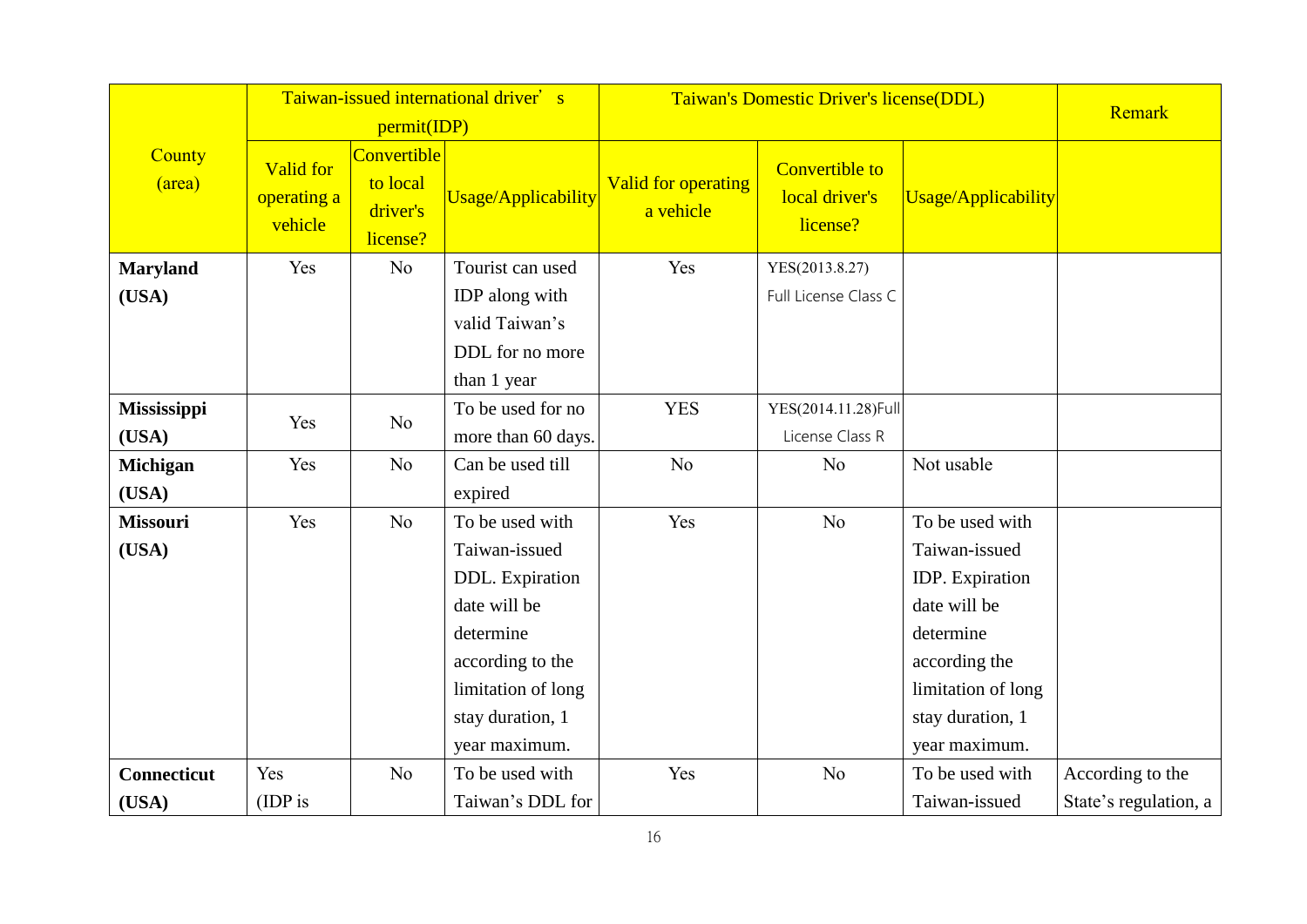|                    |                                     |                                                 | Taiwan-issued international driver's |                                         | Taiwan's Domestic Driver's license(DDL)             |                     |                       |  |  |
|--------------------|-------------------------------------|-------------------------------------------------|--------------------------------------|-----------------------------------------|-----------------------------------------------------|---------------------|-----------------------|--|--|
|                    |                                     | permit(IDP)                                     |                                      |                                         |                                                     |                     | Remark                |  |  |
| County<br>(area)   | Valid for<br>operating a<br>vehicle | Convertible<br>to local<br>driver's<br>license? | Usage/Applicability                  | <b>Valid for operating</b><br>a vehicle | <b>Convertible to</b><br>local driver's<br>license? | Usage/Applicability |                       |  |  |
| <b>Maryland</b>    | Yes                                 | N <sub>o</sub>                                  | Tourist can used                     | Yes                                     | YES(2013.8.27)                                      |                     |                       |  |  |
| (USA)              |                                     |                                                 | IDP along with                       |                                         | Full License Class C                                |                     |                       |  |  |
|                    |                                     |                                                 | valid Taiwan's                       |                                         |                                                     |                     |                       |  |  |
|                    |                                     |                                                 | DDL for no more                      |                                         |                                                     |                     |                       |  |  |
|                    |                                     |                                                 | than 1 year                          |                                         |                                                     |                     |                       |  |  |
| <b>Mississippi</b> |                                     |                                                 | To be used for no                    | <b>YES</b>                              | YES(2014.11.28)Full                                 |                     |                       |  |  |
| (USA)              | Yes                                 | N <sub>o</sub>                                  | more than 60 days.                   |                                         | License Class R                                     |                     |                       |  |  |
| <b>Michigan</b>    | Yes                                 | N <sub>o</sub>                                  | Can be used till                     | N <sub>o</sub>                          | No                                                  | Not usable          |                       |  |  |
| (USA)              |                                     |                                                 | expired                              |                                         |                                                     |                     |                       |  |  |
| <b>Missouri</b>    | Yes                                 | N <sub>o</sub>                                  | To be used with                      | Yes                                     | No                                                  | To be used with     |                       |  |  |
| (USA)              |                                     |                                                 | Taiwan-issued                        |                                         |                                                     | Taiwan-issued       |                       |  |  |
|                    |                                     |                                                 | DDL. Expiration                      |                                         |                                                     | IDP. Expiration     |                       |  |  |
|                    |                                     |                                                 | date will be                         |                                         |                                                     | date will be        |                       |  |  |
|                    |                                     |                                                 | determine                            |                                         |                                                     | determine           |                       |  |  |
|                    |                                     |                                                 | according to the                     |                                         |                                                     | according the       |                       |  |  |
|                    |                                     |                                                 | limitation of long                   |                                         |                                                     | limitation of long  |                       |  |  |
|                    |                                     |                                                 | stay duration, 1                     |                                         |                                                     | stay duration, 1    |                       |  |  |
|                    |                                     |                                                 | year maximum.                        |                                         |                                                     | year maximum.       |                       |  |  |
| <b>Connecticut</b> | Yes                                 | N <sub>o</sub>                                  | To be used with                      | Yes                                     | N <sub>o</sub>                                      | To be used with     | According to the      |  |  |
| (USA)              | (IDP is                             |                                                 | Taiwan's DDL for                     |                                         |                                                     | Taiwan-issued       | State's regulation, a |  |  |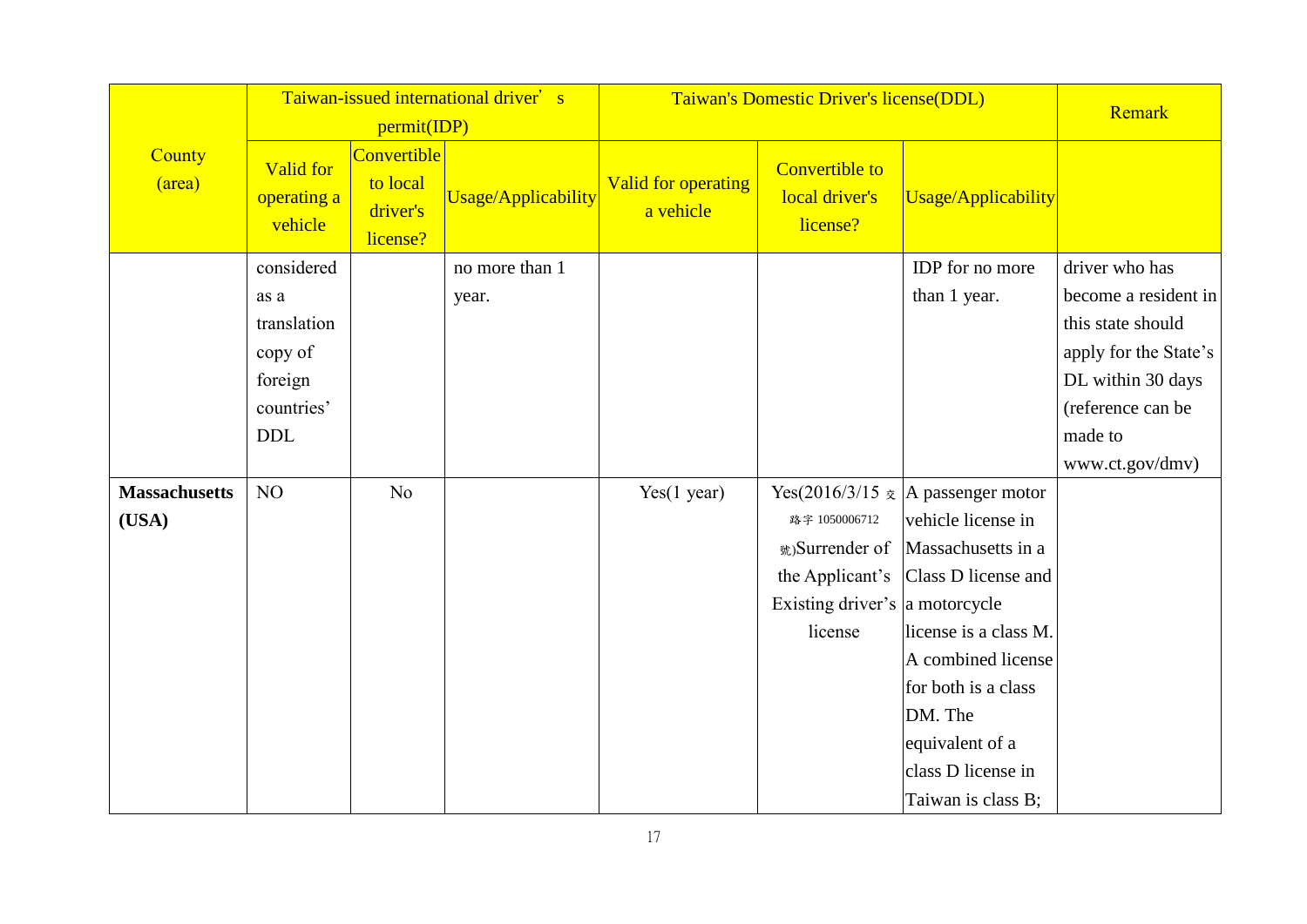|                               |                                                                                     | permit(IDP)                                            | Taiwan-issued international driver's | Taiwan's Domestic Driver's license(DDL) | Remark                                                                                          |                                                                                                                                                                                                                                                                         |                                                                                                                                                              |
|-------------------------------|-------------------------------------------------------------------------------------|--------------------------------------------------------|--------------------------------------|-----------------------------------------|-------------------------------------------------------------------------------------------------|-------------------------------------------------------------------------------------------------------------------------------------------------------------------------------------------------------------------------------------------------------------------------|--------------------------------------------------------------------------------------------------------------------------------------------------------------|
| County<br>(area)              | <b>Valid for</b><br>operating a<br>vehicle                                          | <b>Convertible</b><br>to local<br>driver's<br>license? | Usage/Applicability                  | Valid for operating<br>a vehicle        | <b>Convertible to</b><br>local driver's<br>license?                                             | Usage/Applicability                                                                                                                                                                                                                                                     |                                                                                                                                                              |
|                               | considered<br>as a<br>translation<br>copy of<br>foreign<br>countries'<br><b>DDL</b> |                                                        | no more than 1<br>year.              |                                         |                                                                                                 | IDP for no more<br>than 1 year.                                                                                                                                                                                                                                         | driver who has<br>become a resident in<br>this state should<br>apply for the State's<br>DL within 30 days<br>(reference can be<br>made to<br>www.ct.gov/dmv) |
| <b>Massachusetts</b><br>(USA) | NO                                                                                  | No                                                     |                                      | Yes(1 year)                             | 路字 1050006712<br>號)Surrender of<br>the Applicant's<br>Existing driver's a motorcycle<br>license | Yes(2016/3/15 $\bar{\mathcal{R}}$  A passenger motor<br>vehicle license in<br>Massachusetts in a<br>Class D license and<br>license is a class M.<br>A combined license<br>for both is a class<br>DM. The<br>equivalent of a<br>class D license in<br>Taiwan is class B; |                                                                                                                                                              |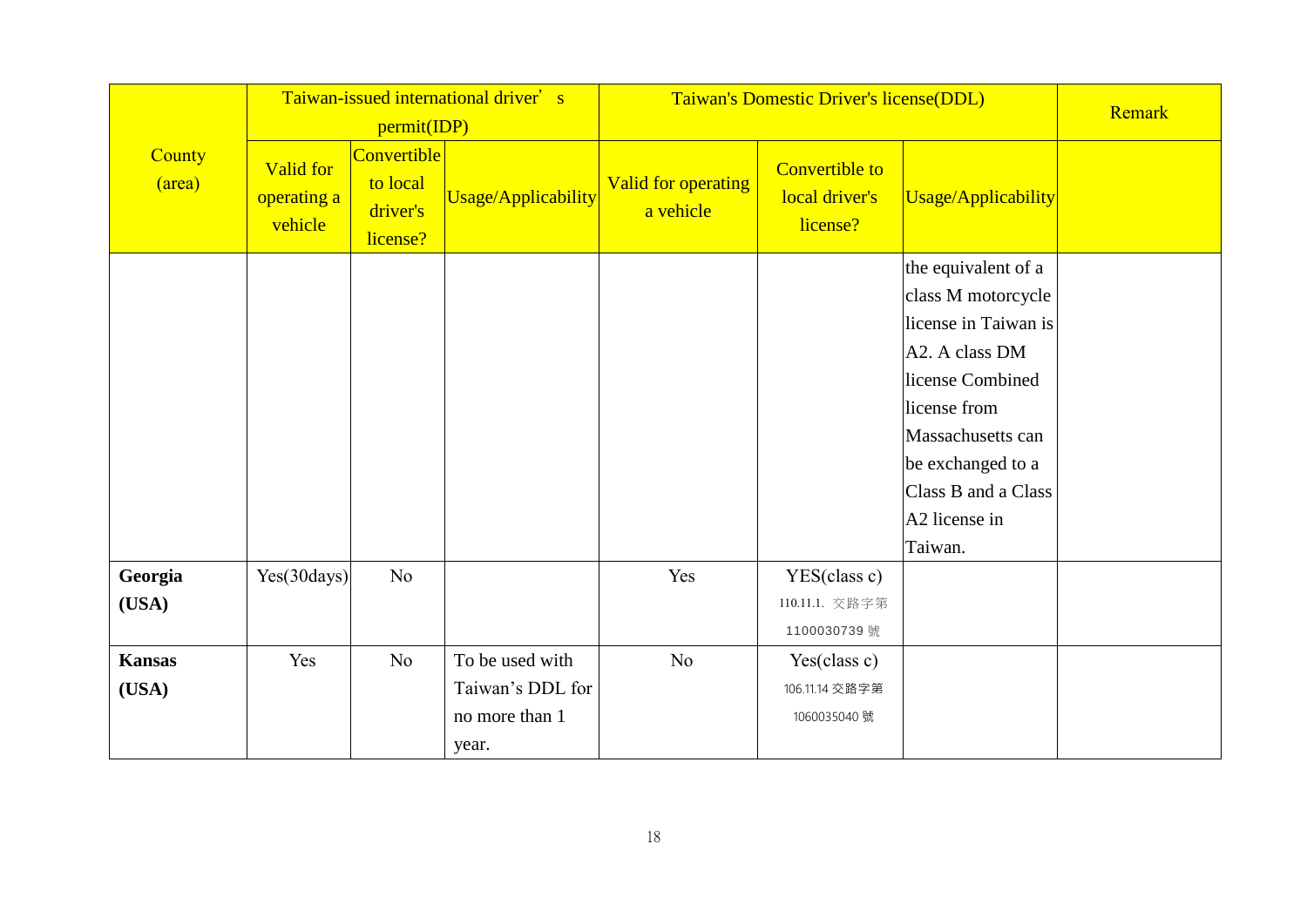|                        |                                     |                                                 | Taiwan-issued international driver's                           |                                         | Taiwan's Domestic Driver's license(DDL)             |                                                                                                                                                                                                                                  |        |  |
|------------------------|-------------------------------------|-------------------------------------------------|----------------------------------------------------------------|-----------------------------------------|-----------------------------------------------------|----------------------------------------------------------------------------------------------------------------------------------------------------------------------------------------------------------------------------------|--------|--|
|                        |                                     | permit(IDP)                                     |                                                                |                                         |                                                     |                                                                                                                                                                                                                                  | Remark |  |
| County<br>(area)       | Valid for<br>operating a<br>vehicle | Convertible<br>to local<br>driver's<br>license? | Usage/Applicability                                            | <b>Valid for operating</b><br>a vehicle | <b>Convertible to</b><br>local driver's<br>license? | Usage/Applicability                                                                                                                                                                                                              |        |  |
|                        |                                     |                                                 |                                                                |                                         |                                                     | the equivalent of a<br>class M motorcycle<br>license in Taiwan is<br>A2. A class DM<br>license Combined<br>license from<br>Massachusetts can<br>be exchanged to a<br>Class B and a Class<br>A <sub>2</sub> license in<br>Taiwan. |        |  |
| Georgia<br>(USA)       | Yes(30 days)                        | No                                              |                                                                | Yes                                     | YES(class c)<br>110.11.1. 交路字第<br>1100030739 號      |                                                                                                                                                                                                                                  |        |  |
| <b>Kansas</b><br>(USA) | Yes                                 | No                                              | To be used with<br>Taiwan's DDL for<br>no more than 1<br>year. | No                                      | Yes(class c)<br>106.11.14 交路字第<br>1060035040 號      |                                                                                                                                                                                                                                  |        |  |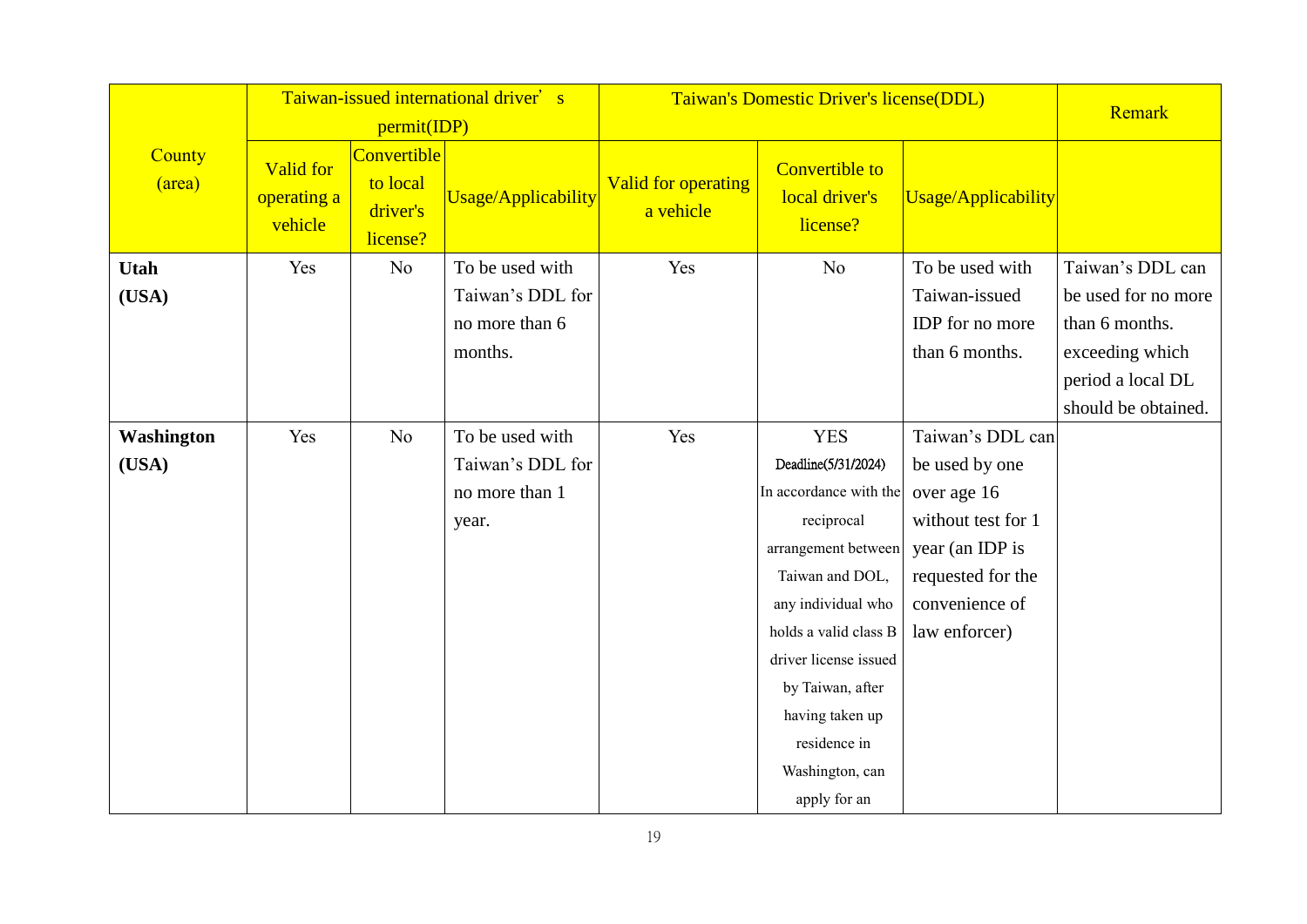|                      |                                            | permit(IDP)                                     | Taiwan-issued international driver's                             | Taiwan's Domestic Driver's license(DDL) |                                                                                                                                                                                                                                                                                       | Remark                                                                                                                                             |                                                                                                                          |
|----------------------|--------------------------------------------|-------------------------------------------------|------------------------------------------------------------------|-----------------------------------------|---------------------------------------------------------------------------------------------------------------------------------------------------------------------------------------------------------------------------------------------------------------------------------------|----------------------------------------------------------------------------------------------------------------------------------------------------|--------------------------------------------------------------------------------------------------------------------------|
| County<br>(area)     | <b>Valid for</b><br>operating a<br>vehicle | Convertible<br>to local<br>driver's<br>license? | Usage/Applicability                                              | Valid for operating<br>a vehicle        | <b>Convertible to</b><br>local driver's<br>license?                                                                                                                                                                                                                                   | Usage/Applicability                                                                                                                                |                                                                                                                          |
| <b>Utah</b><br>(USA) | Yes                                        | No                                              | To be used with<br>Taiwan's DDL for<br>no more than 6<br>months. | Yes                                     | N <sub>o</sub>                                                                                                                                                                                                                                                                        | To be used with<br>Taiwan-issued<br><b>IDP</b> for no more<br>than 6 months.                                                                       | Taiwan's DDL can<br>be used for no more<br>than 6 months.<br>exceeding which<br>period a local DL<br>should be obtained. |
| Washington<br>(USA)  | Yes                                        | No                                              | To be used with<br>Taiwan's DDL for<br>no more than 1<br>year.   | Yes                                     | <b>YES</b><br>Deadline(5/31/2024)<br>In accordance with the<br>reciprocal<br>arrangement between<br>Taiwan and DOL,<br>any individual who<br>holds a valid class B<br>driver license issued<br>by Taiwan, after<br>having taken up<br>residence in<br>Washington, can<br>apply for an | Taiwan's DDL can<br>be used by one<br>over age 16<br>without test for 1<br>year (an IDP is<br>requested for the<br>convenience of<br>law enforcer) |                                                                                                                          |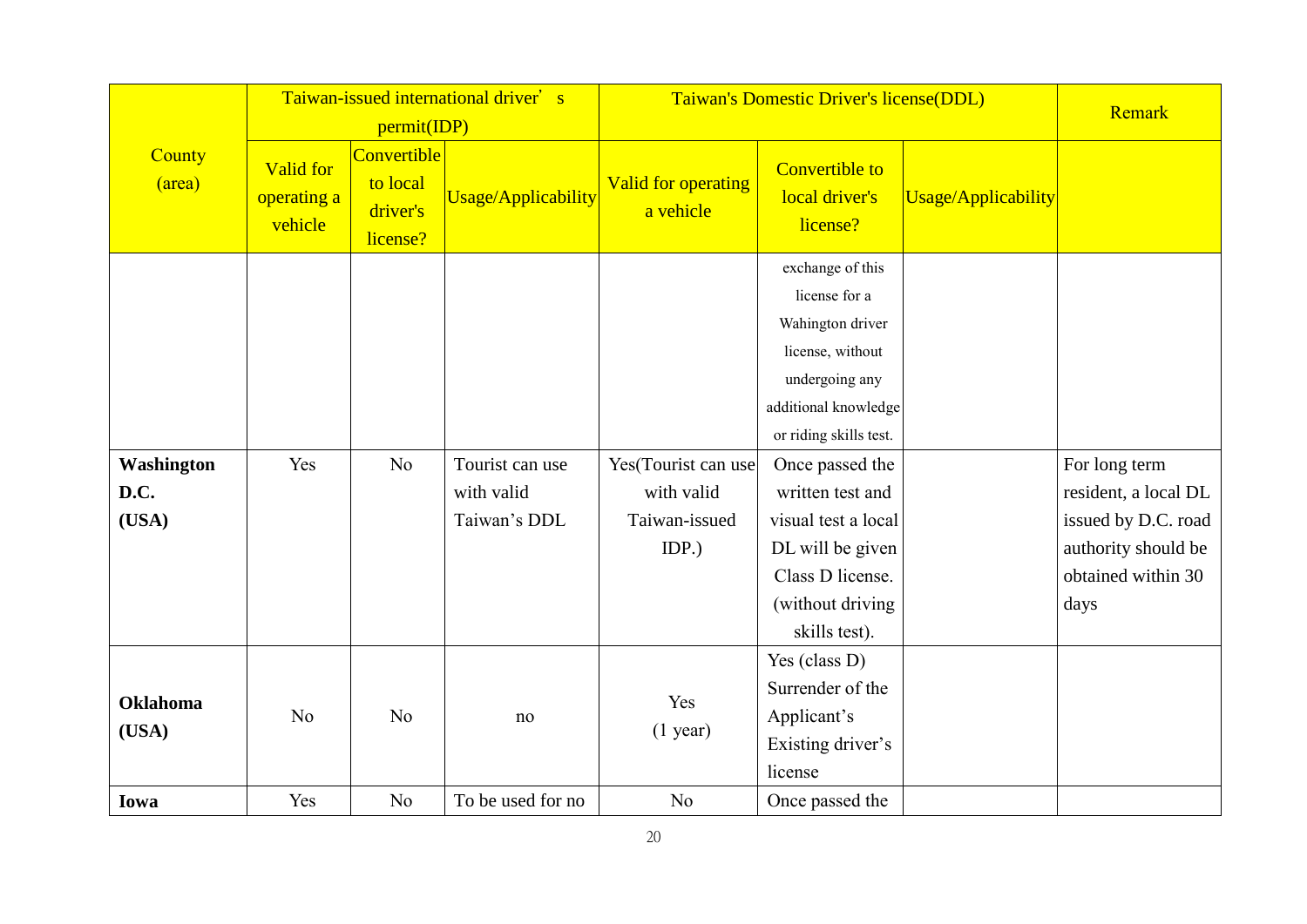|                             |                                            |                                                                | Taiwan-issued international driver's          | Taiwan's Domestic Driver's license(DDL)                     |                                                                                                                                                                                                                                                                                          | Remark              |                                                                                                                   |
|-----------------------------|--------------------------------------------|----------------------------------------------------------------|-----------------------------------------------|-------------------------------------------------------------|------------------------------------------------------------------------------------------------------------------------------------------------------------------------------------------------------------------------------------------------------------------------------------------|---------------------|-------------------------------------------------------------------------------------------------------------------|
| County<br>(area)            | <b>Valid for</b><br>operating a<br>vehicle | permit(IDP)<br>Convertible<br>to local<br>driver's<br>license? | Usage/Applicability                           | <b>Valid for operating</b><br>a vehicle                     | <b>Convertible to</b><br>local driver's<br>license?                                                                                                                                                                                                                                      | Usage/Applicability |                                                                                                                   |
| Washington<br>D.C.<br>(USA) | Yes                                        | N <sub>o</sub>                                                 | Tourist can use<br>with valid<br>Taiwan's DDL | Yes(Tourist can use<br>with valid<br>Taiwan-issued<br>IDP.) | exchange of this<br>license for a<br>Wahington driver<br>license, without<br>undergoing any<br>additional knowledge<br>or riding skills test.<br>Once passed the<br>written test and<br>visual test a local<br>DL will be given<br>Class D license.<br>(without driving<br>skills test). |                     | For long term<br>resident, a local DL<br>issued by D.C. road<br>authority should be<br>obtained within 30<br>days |
| <b>Oklahoma</b><br>(USA)    | N <sub>o</sub>                             | N <sub>o</sub>                                                 | no                                            | Yes<br>$(1$ year)                                           | Yes (class D)<br>Surrender of the<br>Applicant's<br>Existing driver's<br>license                                                                                                                                                                                                         |                     |                                                                                                                   |
| Iowa                        | Yes                                        | N <sub>o</sub>                                                 | To be used for no                             | N <sub>o</sub>                                              | Once passed the                                                                                                                                                                                                                                                                          |                     |                                                                                                                   |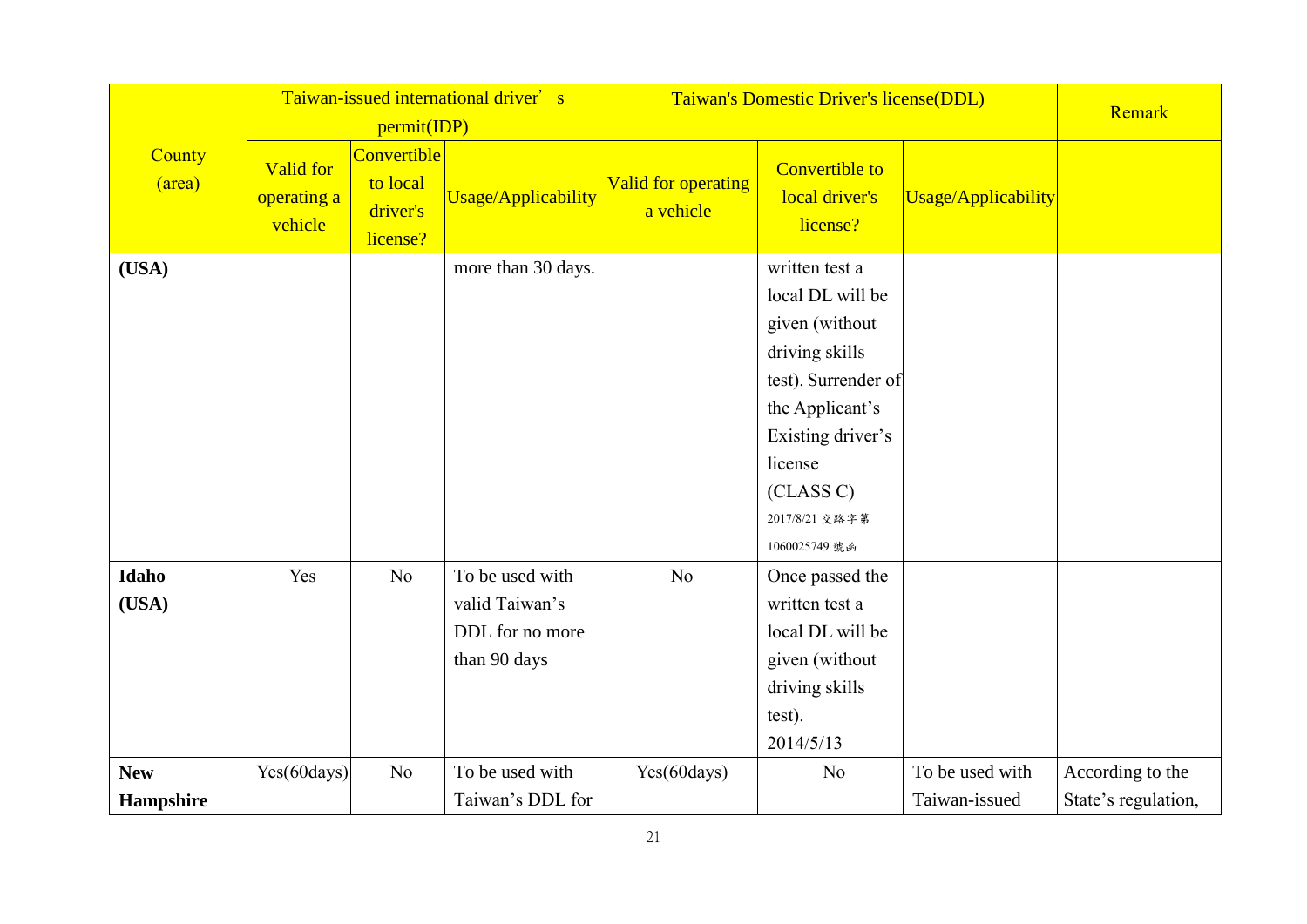|                  |                                     |                                                 | Taiwan-issued international driver's                                 | Taiwan's Domestic Driver's license(DDL) |                                                                                                                                                                                                  | Remark              |                     |
|------------------|-------------------------------------|-------------------------------------------------|----------------------------------------------------------------------|-----------------------------------------|--------------------------------------------------------------------------------------------------------------------------------------------------------------------------------------------------|---------------------|---------------------|
|                  |                                     | permit(IDP)                                     |                                                                      |                                         |                                                                                                                                                                                                  |                     |                     |
| County<br>(area) | Valid for<br>operating a<br>vehicle | Convertible<br>to local<br>driver's<br>license? | <b>Usage/Applicability</b>                                           | <b>Valid for operating</b><br>a vehicle | <b>Convertible to</b><br>local driver's<br>license?                                                                                                                                              | Usage/Applicability |                     |
| (USA)            |                                     |                                                 | more than 30 days.                                                   |                                         | written test a<br>local DL will be<br>given (without<br>driving skills<br>test). Surrender of<br>the Applicant's<br>Existing driver's<br>license<br>(CLASS C)<br>2017/8/21 交路字第<br>1060025749 號函 |                     |                     |
| Idaho<br>(USA)   | Yes                                 | No                                              | To be used with<br>valid Taiwan's<br>DDL for no more<br>than 90 days | N <sub>o</sub>                          | Once passed the<br>written test a<br>local DL will be<br>given (without<br>driving skills<br>test).<br>2014/5/13                                                                                 |                     |                     |
| <b>New</b>       | Yes(60days)                         | No                                              | To be used with                                                      | Yes(60days)                             | N <sub>o</sub>                                                                                                                                                                                   | To be used with     | According to the    |
| Hampshire        |                                     |                                                 | Taiwan's DDL for                                                     |                                         |                                                                                                                                                                                                  | Taiwan-issued       | State's regulation, |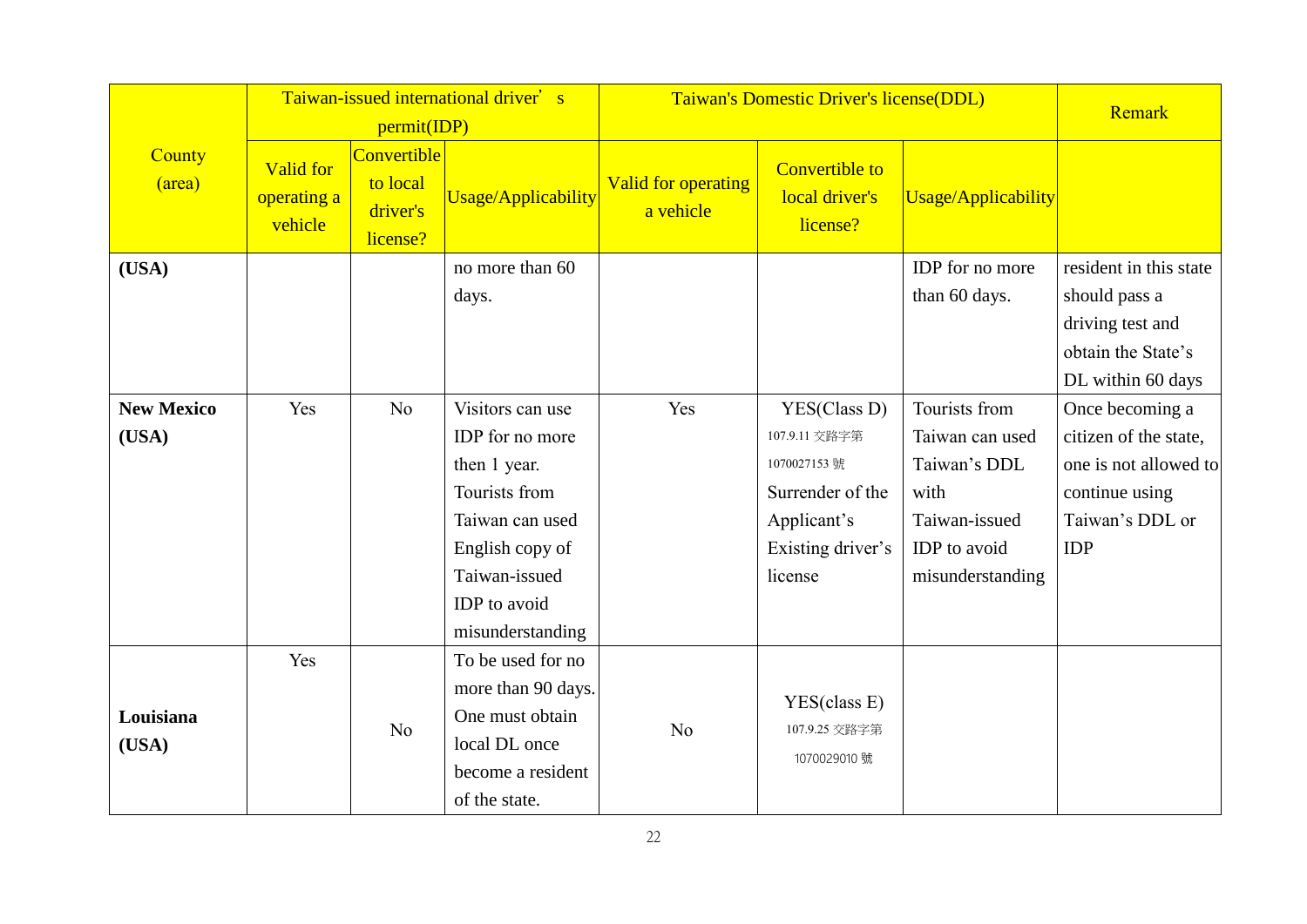|                            |                                     | permit(IDP)                                     | Taiwan-issued international driver's                                                                                                                            | Taiwan's Domestic Driver's license(DDL) |                                                                                                                 | Remark                                                                                                        |                                                                                                                      |
|----------------------------|-------------------------------------|-------------------------------------------------|-----------------------------------------------------------------------------------------------------------------------------------------------------------------|-----------------------------------------|-----------------------------------------------------------------------------------------------------------------|---------------------------------------------------------------------------------------------------------------|----------------------------------------------------------------------------------------------------------------------|
| County<br>(area)           | Valid for<br>operating a<br>vehicle | Convertible<br>to local<br>driver's<br>license? | <b>Usage/Applicability</b>                                                                                                                                      | Valid for operating<br>a vehicle        | <b>Convertible to</b><br>local driver's<br>license?                                                             | Usage/Applicability                                                                                           |                                                                                                                      |
| (USA)                      |                                     |                                                 | no more than 60<br>days.                                                                                                                                        |                                         |                                                                                                                 | IDP for no more<br>than 60 days.                                                                              | resident in this state<br>should pass a<br>driving test and<br>obtain the State's<br>DL within 60 days               |
| <b>New Mexico</b><br>(USA) | Yes                                 | N <sub>o</sub>                                  | Visitors can use<br>IDP for no more<br>then 1 year.<br>Tourists from<br>Taiwan can used<br>English copy of<br>Taiwan-issued<br>IDP to avoid<br>misunderstanding | Yes                                     | YES(Class D)<br>107.9.11 交路字第<br>1070027153號<br>Surrender of the<br>Applicant's<br>Existing driver's<br>license | Tourists from<br>Taiwan can used<br>Taiwan's DDL<br>with<br>Taiwan-issued<br>IDP to avoid<br>misunderstanding | Once becoming a<br>citizen of the state,<br>one is not allowed to<br>continue using<br>Taiwan's DDL or<br><b>IDP</b> |
| Louisiana<br>(USA)         | Yes                                 | N <sub>o</sub>                                  | To be used for no<br>more than 90 days.<br>One must obtain<br>local DL once<br>become a resident<br>of the state.                                               | N <sub>o</sub>                          | YES(class E)<br>107.9.25 交路字第<br>1070029010 號                                                                   |                                                                                                               |                                                                                                                      |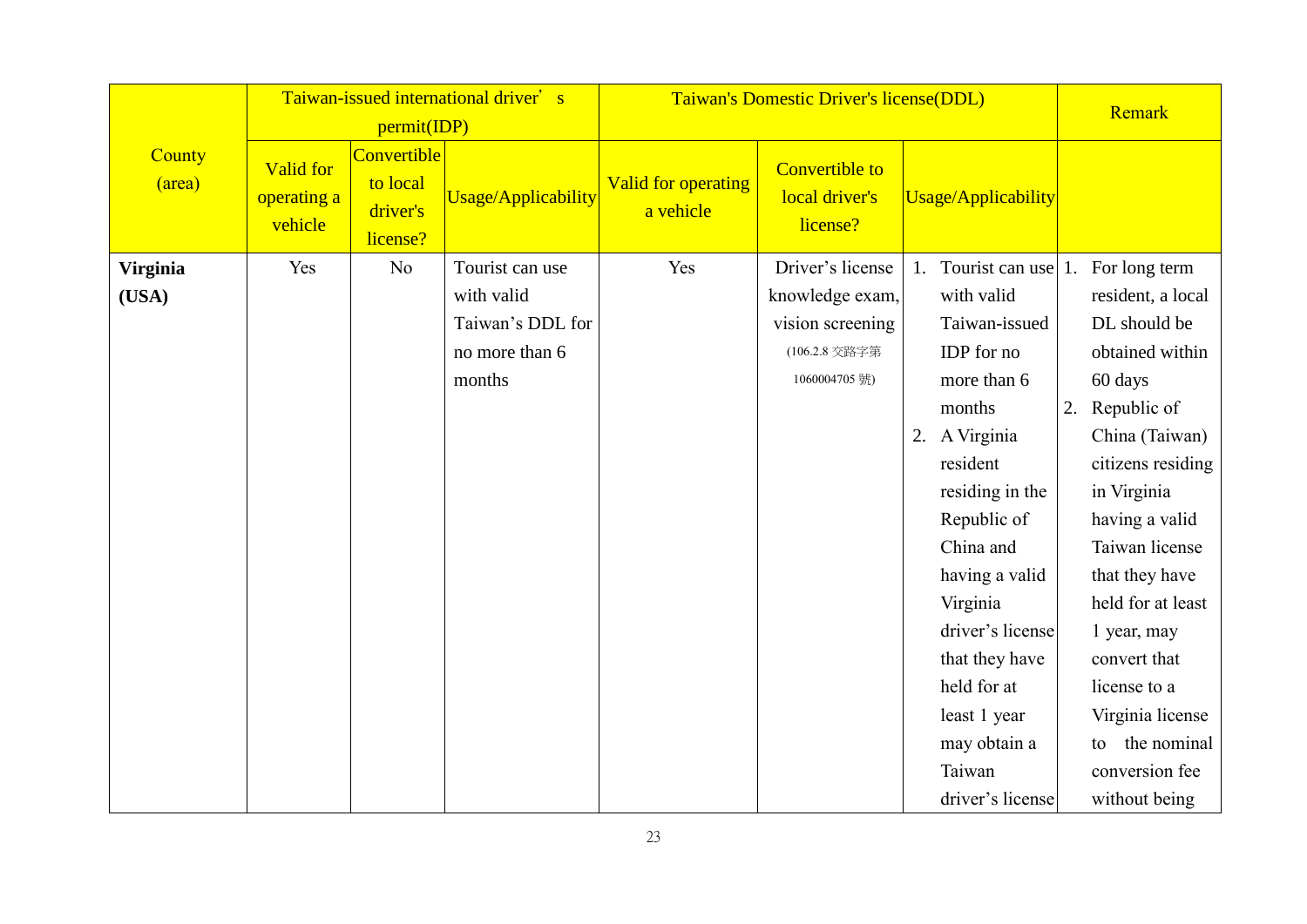|                  |                                            | permit(IDP)                                     | Taiwan-issued international driver's | Taiwan's Domestic Driver's license(DDL) |                                                     |                                     | Remark |                   |
|------------------|--------------------------------------------|-------------------------------------------------|--------------------------------------|-----------------------------------------|-----------------------------------------------------|-------------------------------------|--------|-------------------|
| County<br>(area) | <b>Valid for</b><br>operating a<br>vehicle | Convertible<br>to local<br>driver's<br>license? | <b>Usage/Applicability</b>           | Valid for operating<br>a vehicle        | <b>Convertible to</b><br>local driver's<br>license? | Usage/Applicability                 |        |                   |
| <b>Virginia</b>  | Yes                                        | N <sub>o</sub>                                  | Tourist can use                      | Yes                                     | Driver's license                                    | 1. Tourist can use 1. For long term |        |                   |
| (USA)            |                                            |                                                 | with valid                           |                                         | knowledge exam,                                     | with valid                          |        | resident, a local |
|                  |                                            |                                                 | Taiwan's DDL for                     |                                         | vision screening                                    | Taiwan-issued                       |        | DL should be      |
|                  |                                            |                                                 | no more than 6                       |                                         | (106.2.8 交路字第                                       | IDP for no                          |        | obtained within   |
|                  |                                            |                                                 | months                               |                                         | 1060004705號)                                        | more than 6                         |        | 60 days           |
|                  |                                            |                                                 |                                      |                                         |                                                     | months                              | 2.     | Republic of       |
|                  |                                            |                                                 |                                      |                                         |                                                     | 2. A Virginia                       |        | China (Taiwan)    |
|                  |                                            |                                                 |                                      |                                         |                                                     | resident                            |        | citizens residing |
|                  |                                            |                                                 |                                      |                                         |                                                     | residing in the                     |        | in Virginia       |
|                  |                                            |                                                 |                                      |                                         |                                                     | Republic of                         |        | having a valid    |
|                  |                                            |                                                 |                                      |                                         |                                                     | China and                           |        | Taiwan license    |
|                  |                                            |                                                 |                                      |                                         |                                                     | having a valid                      |        | that they have    |
|                  |                                            |                                                 |                                      |                                         |                                                     | Virginia                            |        | held for at least |
|                  |                                            |                                                 |                                      |                                         |                                                     | driver's license                    |        | 1 year, may       |
|                  |                                            |                                                 |                                      |                                         |                                                     | that they have                      |        | convert that      |
|                  |                                            |                                                 |                                      |                                         |                                                     | held for at                         |        | license to a      |
|                  |                                            |                                                 |                                      |                                         |                                                     | least 1 year                        |        | Virginia license  |
|                  |                                            |                                                 |                                      |                                         |                                                     | may obtain a                        |        | the nominal<br>to |
|                  |                                            |                                                 |                                      |                                         |                                                     | Taiwan                              |        | conversion fee    |
|                  |                                            |                                                 |                                      |                                         |                                                     | driver's license                    |        | without being     |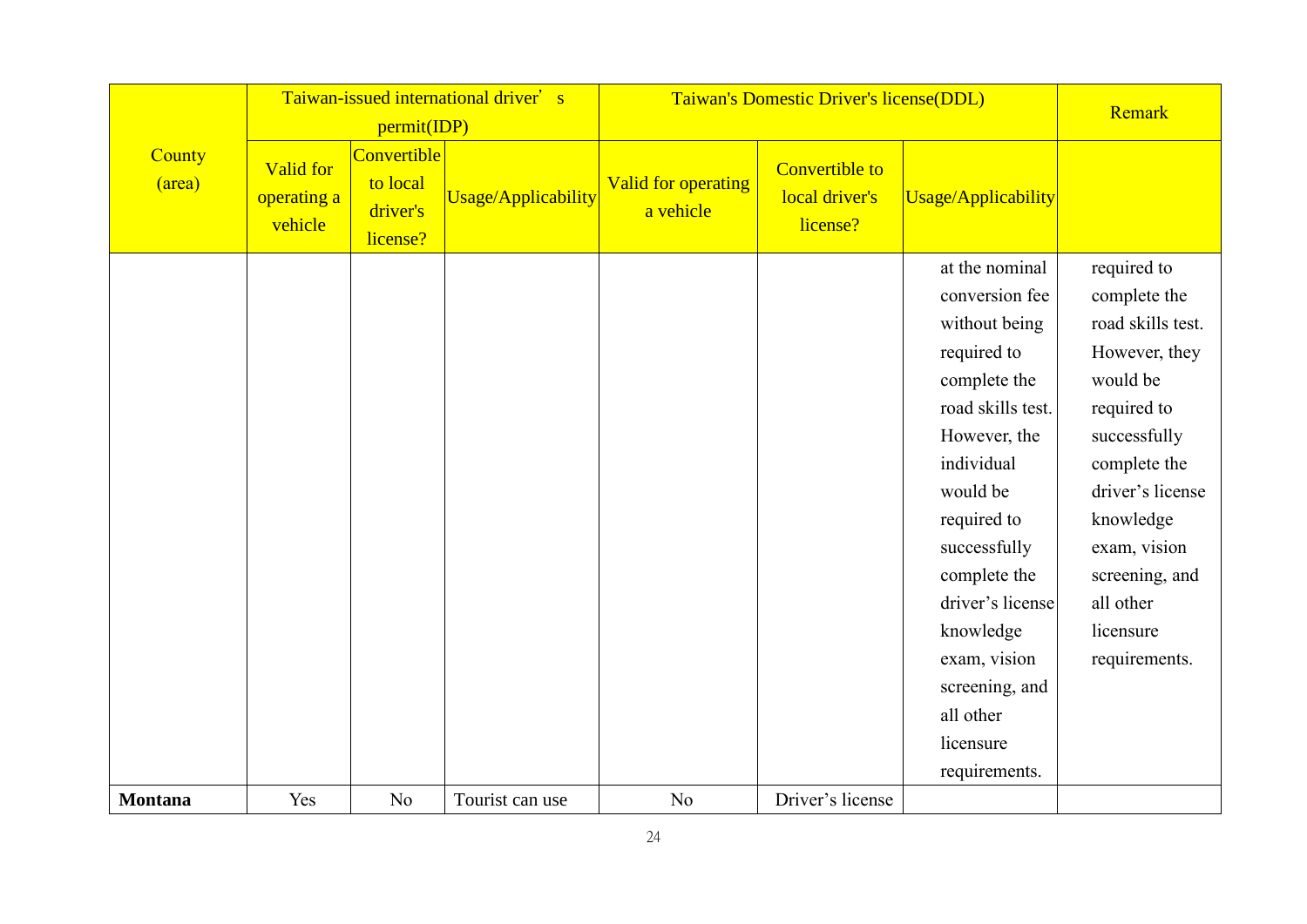|                  |                                     | permit(IDP)                                     | Taiwan-issued international driver's |                                         | Taiwan's Domestic Driver's license(DDL)             | Remark                                                                                                                                                                                                                                                                                                       |                                                                                                                                                                                                                                            |
|------------------|-------------------------------------|-------------------------------------------------|--------------------------------------|-----------------------------------------|-----------------------------------------------------|--------------------------------------------------------------------------------------------------------------------------------------------------------------------------------------------------------------------------------------------------------------------------------------------------------------|--------------------------------------------------------------------------------------------------------------------------------------------------------------------------------------------------------------------------------------------|
| County<br>(area) | Valid for<br>operating a<br>vehicle | Convertible<br>to local<br>driver's<br>license? | <b>Usage/Applicability</b>           | <b>Valid for operating</b><br>a vehicle | <b>Convertible to</b><br>local driver's<br>license? | Usage/Applicability                                                                                                                                                                                                                                                                                          |                                                                                                                                                                                                                                            |
|                  |                                     |                                                 |                                      |                                         |                                                     | at the nominal<br>conversion fee<br>without being<br>required to<br>complete the<br>road skills test.<br>However, the<br>individual<br>would be<br>required to<br>successfully<br>complete the<br>driver's license<br>knowledge<br>exam, vision<br>screening, and<br>all other<br>licensure<br>requirements. | required to<br>complete the<br>road skills test.<br>However, they<br>would be<br>required to<br>successfully<br>complete the<br>driver's license<br>knowledge<br>exam, vision<br>screening, and<br>all other<br>licensure<br>requirements. |
| <b>Montana</b>   | Yes                                 | No                                              | Tourist can use                      | N <sub>o</sub>                          | Driver's license                                    |                                                                                                                                                                                                                                                                                                              |                                                                                                                                                                                                                                            |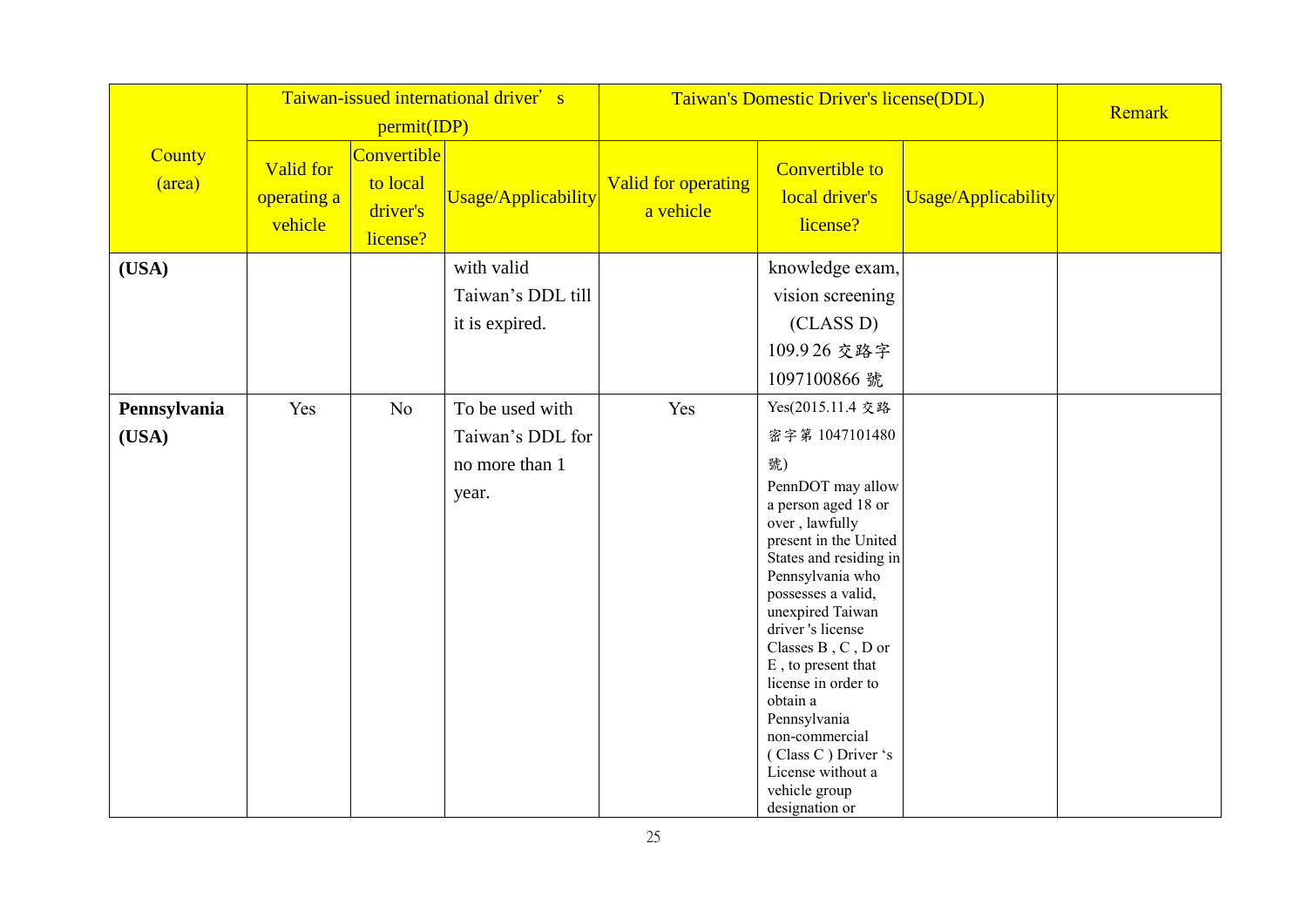|                  | Taiwan-issued international driver's |                                                 |                            | Taiwan's Domestic Driver's license(DDL) |                                                                                                                                                                                                                                                                                                                                                                                                                        | Remark                     |  |
|------------------|--------------------------------------|-------------------------------------------------|----------------------------|-----------------------------------------|------------------------------------------------------------------------------------------------------------------------------------------------------------------------------------------------------------------------------------------------------------------------------------------------------------------------------------------------------------------------------------------------------------------------|----------------------------|--|
|                  |                                      | permit(IDP)                                     |                            |                                         |                                                                                                                                                                                                                                                                                                                                                                                                                        |                            |  |
| County<br>(area) | Valid for<br>operating a<br>vehicle  | Convertible<br>to local<br>driver's<br>license? | <b>Usage/Applicability</b> | <b>Valid for operating</b><br>a vehicle | <b>Convertible to</b><br>local driver's<br>license?                                                                                                                                                                                                                                                                                                                                                                    | <b>Usage/Applicability</b> |  |
| (USA)            |                                      |                                                 | with valid                 |                                         | knowledge exam,                                                                                                                                                                                                                                                                                                                                                                                                        |                            |  |
|                  |                                      |                                                 | Taiwan's DDL till          |                                         | vision screening                                                                                                                                                                                                                                                                                                                                                                                                       |                            |  |
|                  |                                      |                                                 | it is expired.             |                                         | (CLASS D)                                                                                                                                                                                                                                                                                                                                                                                                              |                            |  |
|                  |                                      |                                                 |                            |                                         | 109.926 交路字                                                                                                                                                                                                                                                                                                                                                                                                            |                            |  |
|                  |                                      |                                                 |                            |                                         | 1097100866 號                                                                                                                                                                                                                                                                                                                                                                                                           |                            |  |
| Pennsylvania     | Yes                                  | N <sub>o</sub>                                  | To be used with            | Yes                                     | Yes(2015.11.4 交路                                                                                                                                                                                                                                                                                                                                                                                                       |                            |  |
| (USA)            |                                      |                                                 | Taiwan's DDL for           |                                         | 密字第 1047101480                                                                                                                                                                                                                                                                                                                                                                                                         |                            |  |
|                  |                                      |                                                 | no more than 1             |                                         | 號)                                                                                                                                                                                                                                                                                                                                                                                                                     |                            |  |
|                  |                                      |                                                 | year.                      |                                         | PennDOT may allow<br>a person aged 18 or<br>over, lawfully<br>present in the United<br>States and residing in<br>Pennsylvania who<br>possesses a valid,<br>unexpired Taiwan<br>driver's license<br>Classes $\rm{B}$ , $\rm{C}$ , $\rm{D}$ or<br>E, to present that<br>license in order to<br>obtain a<br>Pennsylvania<br>non-commercial<br>(Class C) Driver 's<br>License without a<br>vehicle group<br>designation or |                            |  |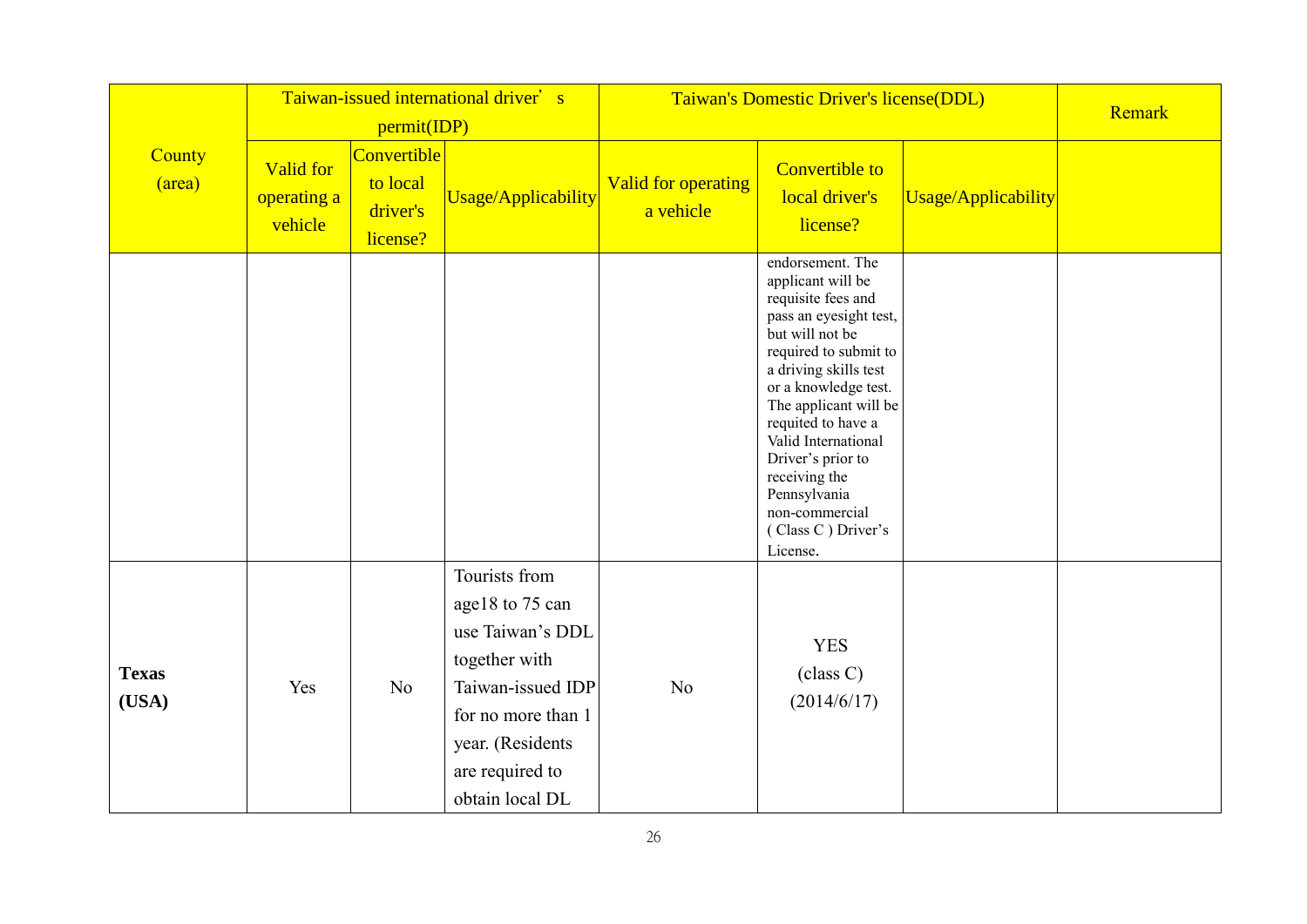|                       | Taiwan-issued international driver's<br>permit(IDP) |                                                 |                                                                                                                                                                            | Taiwan's Domestic Driver's license(DDL) |                                                                                                                                                                                                                                                                                                                                                                    |                     | Remark |
|-----------------------|-----------------------------------------------------|-------------------------------------------------|----------------------------------------------------------------------------------------------------------------------------------------------------------------------------|-----------------------------------------|--------------------------------------------------------------------------------------------------------------------------------------------------------------------------------------------------------------------------------------------------------------------------------------------------------------------------------------------------------------------|---------------------|--------|
| County<br>(area)      | <b>Valid for</b><br>operating a<br>vehicle          | Convertible<br>to local<br>driver's<br>license? | Usage/Applicability                                                                                                                                                        | <b>Valid for operating</b><br>a vehicle | <b>Convertible to</b><br>local driver's<br>license?                                                                                                                                                                                                                                                                                                                | Usage/Applicability |        |
|                       |                                                     |                                                 |                                                                                                                                                                            |                                         | endorsement. The<br>applicant will be<br>requisite fees and<br>pass an eyesight test,<br>but will not be<br>required to submit to<br>a driving skills test<br>or a knowledge test.<br>The applicant will be<br>requited to have a<br>Valid International<br>Driver's prior to<br>receiving the<br>Pennsylvania<br>non-commercial<br>(Class C) Driver's<br>License. |                     |        |
| <b>Texas</b><br>(USA) | Yes                                                 | N <sub>o</sub>                                  | Tourists from<br>age18 to 75 can<br>use Taiwan's DDL<br>together with<br>Taiwan-issued IDP<br>for no more than 1<br>year. (Residents<br>are required to<br>obtain local DL | N <sub>o</sub>                          | <b>YES</b><br>class C)<br>(2014/6/17)                                                                                                                                                                                                                                                                                                                              |                     |        |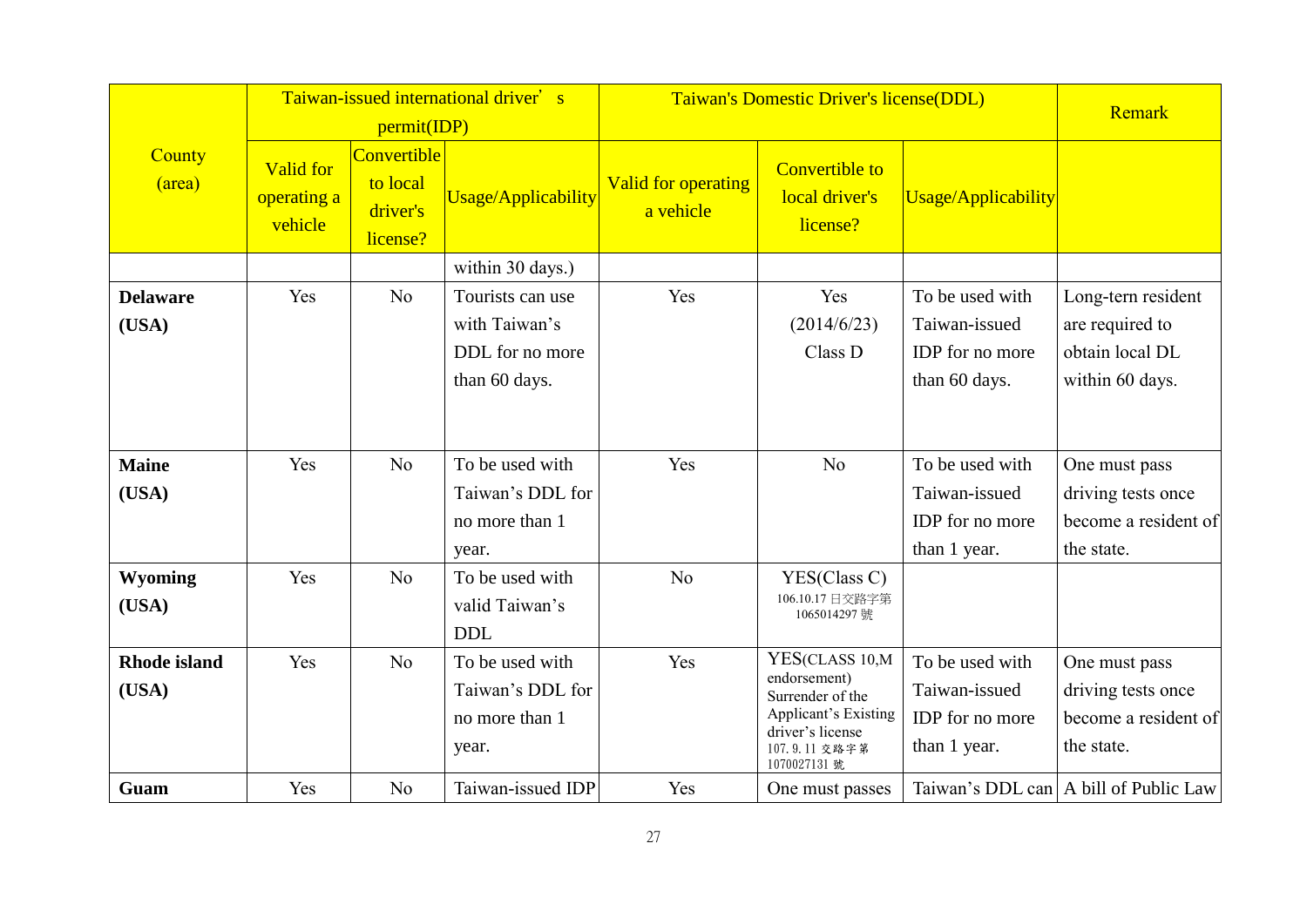|                              |                                            | permit(IDP)                                     | Taiwan-issued international driver's                                                |                                         | Taiwan's Domestic Driver's license(DDL)                                                                                                |                                                                      |                                                                                                                      |  |  |
|------------------------------|--------------------------------------------|-------------------------------------------------|-------------------------------------------------------------------------------------|-----------------------------------------|----------------------------------------------------------------------------------------------------------------------------------------|----------------------------------------------------------------------|----------------------------------------------------------------------------------------------------------------------|--|--|
| County<br>(area)             | <b>Valid for</b><br>operating a<br>vehicle | Convertible<br>to local<br>driver's<br>license? | <b>Usage/Applicability</b>                                                          | <b>Valid for operating</b><br>a vehicle | <b>Convertible to</b><br>local driver's<br>license?                                                                                    | <b>Usage/Applicability</b>                                           |                                                                                                                      |  |  |
|                              |                                            |                                                 | within 30 days.)                                                                    |                                         |                                                                                                                                        |                                                                      |                                                                                                                      |  |  |
| <b>Delaware</b><br>(USA)     | Yes                                        | N <sub>o</sub>                                  | Tourists can use<br>with Taiwan's<br>DDL for no more<br>than 60 days.               | Yes                                     | Yes<br>(2014/6/23)<br>Class D                                                                                                          | To be used with<br>Taiwan-issued<br>IDP for no more<br>than 60 days. | Long-tern resident<br>are required to<br>obtain local DL<br>within 60 days.                                          |  |  |
| <b>Maine</b><br>(USA)        | Yes                                        | No                                              | To be used with<br>Taiwan's DDL for<br>no more than 1<br>year.                      | Yes                                     | N <sub>o</sub>                                                                                                                         | To be used with<br>Taiwan-issued<br>IDP for no more<br>than 1 year.  | One must pass<br>driving tests once<br>become a resident of<br>the state.                                            |  |  |
| <b>Wyoming</b><br>(USA)      | Yes                                        | No                                              | To be used with<br>valid Taiwan's<br><b>DDL</b>                                     | N <sub>o</sub>                          | YES(Class C)<br>106.10.17 日交路字第<br>1065014297號                                                                                         |                                                                      |                                                                                                                      |  |  |
| <b>Rhode</b> island<br>(USA) | Yes<br>Yes                                 | N <sub>o</sub><br>No                            | To be used with<br>Taiwan's DDL for<br>no more than 1<br>year.<br>Taiwan-issued IDP | Yes<br>Yes                              | YES(CLASS 10,M<br>endorsement)<br>Surrender of the<br><b>Applicant's Existing</b><br>driver's license<br>107.9.11 交路字第<br>1070027131 號 | To be used with<br>Taiwan-issued<br>IDP for no more<br>than 1 year.  | One must pass<br>driving tests once<br>become a resident of<br>the state.<br>Taiwan's DDL can   A bill of Public Law |  |  |
| Guam                         |                                            |                                                 |                                                                                     |                                         | One must passes                                                                                                                        |                                                                      |                                                                                                                      |  |  |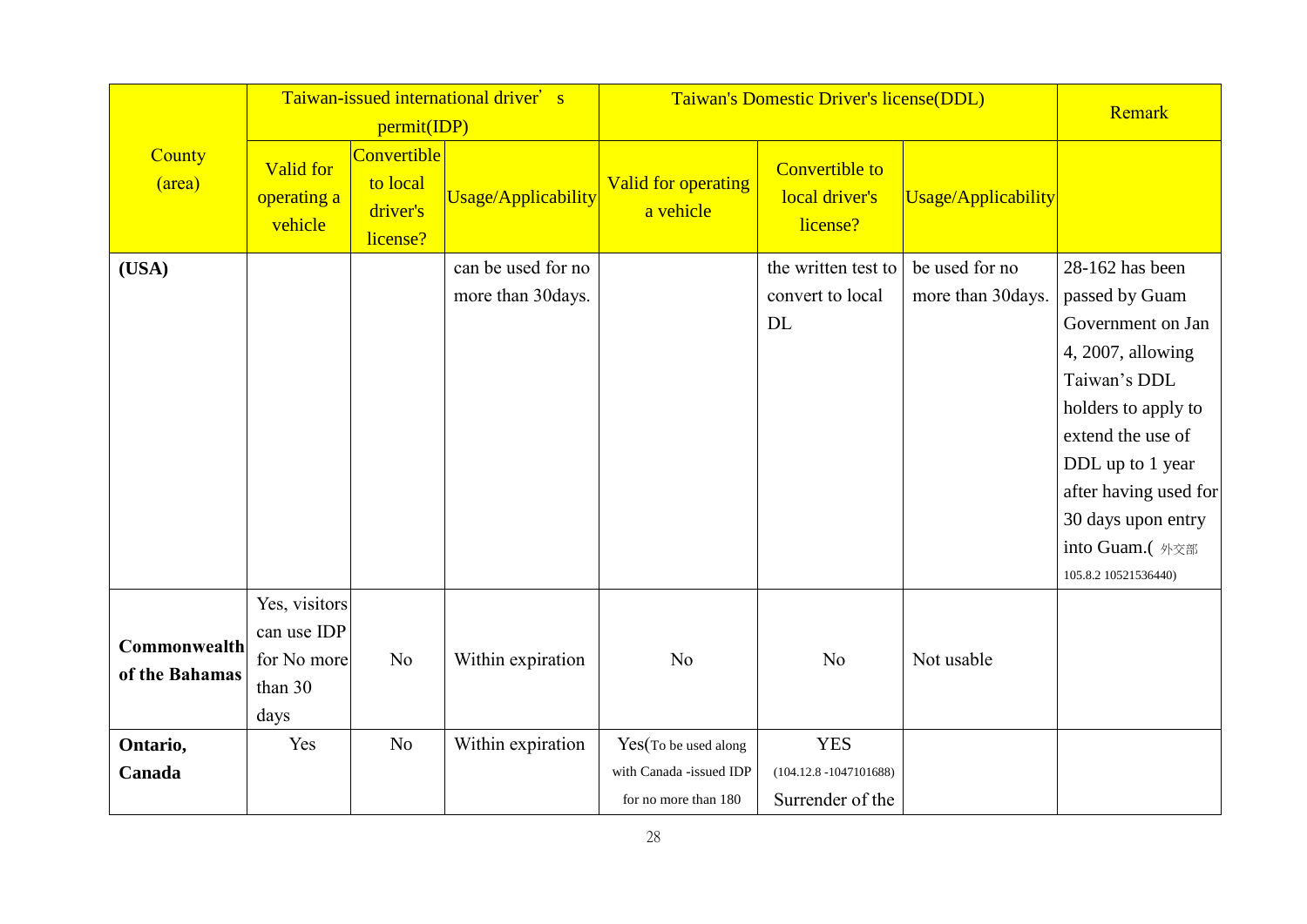|                                |                                                                | permit(IDP)                                     | Taiwan-issued international driver's    | Taiwan's Domestic Driver's license(DDL)                                 | Remark                                                      |                                     |                                                                                                                                                                                                                                                      |
|--------------------------------|----------------------------------------------------------------|-------------------------------------------------|-----------------------------------------|-------------------------------------------------------------------------|-------------------------------------------------------------|-------------------------------------|------------------------------------------------------------------------------------------------------------------------------------------------------------------------------------------------------------------------------------------------------|
| County<br>(area)               | <b>Valid for</b><br>operating a<br>vehicle                     | Convertible<br>to local<br>driver's<br>license? | <b>Usage/Applicability</b>              | Valid for operating<br>a vehicle                                        | <b>Convertible to</b><br>local driver's<br>license?         | Usage/Applicability                 |                                                                                                                                                                                                                                                      |
| (USA)                          |                                                                |                                                 | can be used for no<br>more than 30days. |                                                                         | the written test to<br>convert to local<br>DL               | be used for no<br>more than 30days. | 28-162 has been<br>passed by Guam<br>Government on Jan<br>4, 2007, allowing<br>Taiwan's DDL<br>holders to apply to<br>extend the use of<br>DDL up to 1 year<br>after having used for<br>30 days upon entry<br>into Guam.(外交部<br>105.8.2 10521536440) |
| Commonwealth<br>of the Bahamas | Yes, visitors<br>can use IDP<br>for No more<br>than 30<br>days | N <sub>o</sub>                                  | Within expiration                       | N <sub>o</sub>                                                          | N <sub>o</sub>                                              | Not usable                          |                                                                                                                                                                                                                                                      |
| Ontario,<br>Canada             | Yes                                                            | N <sub>o</sub>                                  | Within expiration                       | Yes(To be used along<br>with Canada -issued IDP<br>for no more than 180 | <b>YES</b><br>$(104.12.8 - 1047101688)$<br>Surrender of the |                                     |                                                                                                                                                                                                                                                      |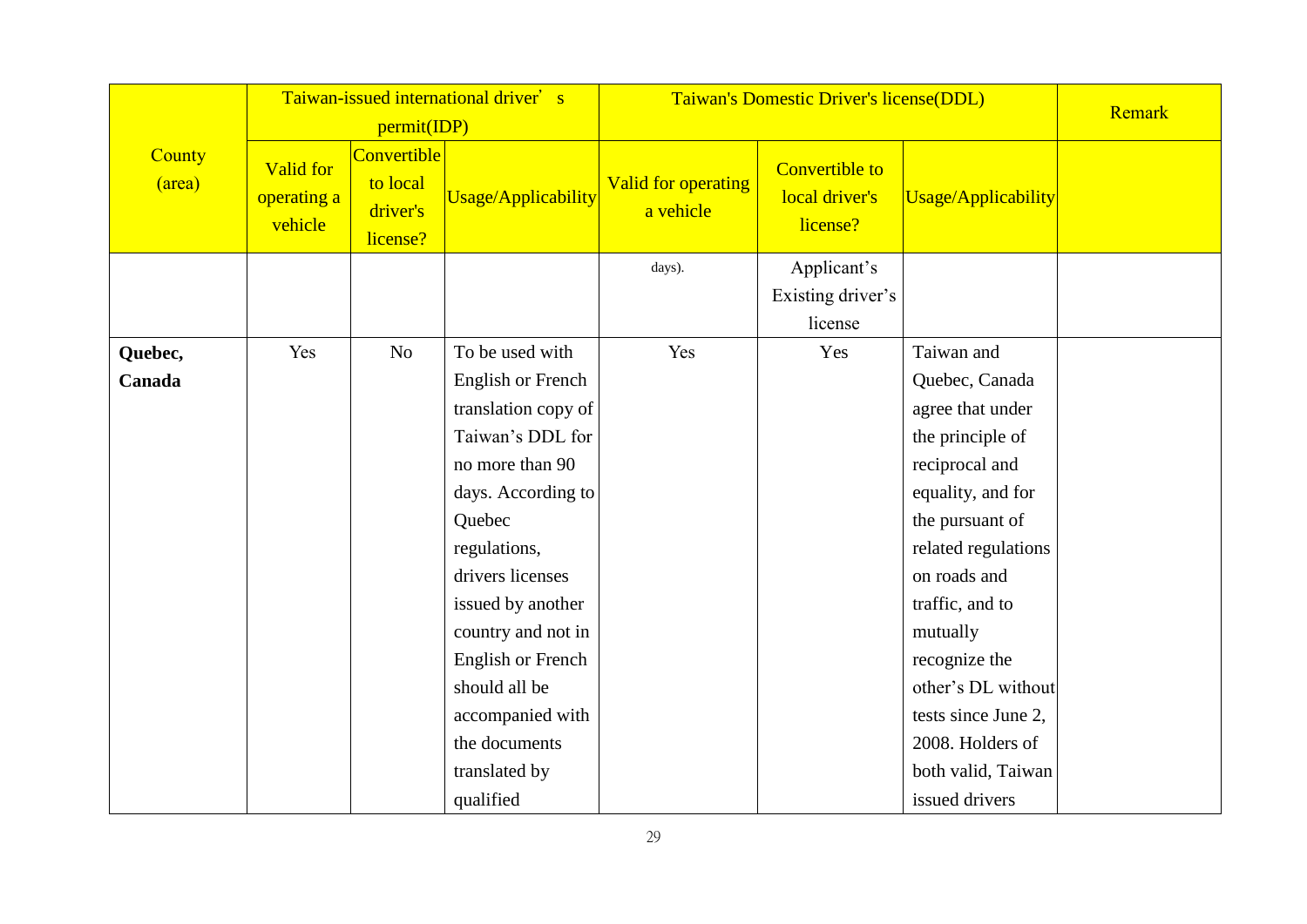|                         |                                     |                                                 | Taiwan-issued international driver's |                                  | Taiwan's Domestic Driver's license(DDL)             |                     |        |  |
|-------------------------|-------------------------------------|-------------------------------------------------|--------------------------------------|----------------------------------|-----------------------------------------------------|---------------------|--------|--|
|                         |                                     | permit(IDP)                                     |                                      |                                  |                                                     |                     | Remark |  |
| <b>County</b><br>(area) | Valid for<br>operating a<br>vehicle | Convertible<br>to local<br>driver's<br>license? | <b>Usage/Applicability</b>           | Valid for operating<br>a vehicle | <b>Convertible to</b><br>local driver's<br>license? | Usage/Applicability |        |  |
|                         |                                     |                                                 |                                      | days).                           | Applicant's                                         |                     |        |  |
|                         |                                     |                                                 |                                      |                                  | Existing driver's                                   |                     |        |  |
|                         |                                     |                                                 |                                      |                                  | license                                             |                     |        |  |
| Quebec,                 | Yes                                 | N <sub>o</sub>                                  | To be used with                      | Yes                              | Yes                                                 | Taiwan and          |        |  |
| Canada                  |                                     |                                                 | <b>English or French</b>             |                                  |                                                     | Quebec, Canada      |        |  |
|                         |                                     |                                                 | translation copy of                  |                                  |                                                     | agree that under    |        |  |
|                         |                                     |                                                 | Taiwan's DDL for                     |                                  |                                                     | the principle of    |        |  |
|                         |                                     |                                                 | no more than 90                      |                                  |                                                     | reciprocal and      |        |  |
|                         |                                     |                                                 | days. According to                   |                                  |                                                     | equality, and for   |        |  |
|                         |                                     |                                                 | Quebec                               |                                  |                                                     | the pursuant of     |        |  |
|                         |                                     |                                                 | regulations,                         |                                  |                                                     | related regulations |        |  |
|                         |                                     |                                                 | drivers licenses                     |                                  |                                                     | on roads and        |        |  |
|                         |                                     |                                                 | issued by another                    |                                  |                                                     | traffic, and to     |        |  |
|                         |                                     |                                                 | country and not in                   |                                  |                                                     | mutually            |        |  |
|                         |                                     |                                                 | <b>English or French</b>             |                                  |                                                     | recognize the       |        |  |
|                         |                                     |                                                 | should all be                        |                                  |                                                     | other's DL without  |        |  |
|                         |                                     |                                                 | accompanied with                     |                                  |                                                     | tests since June 2, |        |  |
|                         |                                     |                                                 | the documents                        |                                  |                                                     | 2008. Holders of    |        |  |
|                         |                                     |                                                 | translated by                        |                                  |                                                     | both valid, Taiwan  |        |  |
|                         |                                     |                                                 | qualified                            |                                  |                                                     | issued drivers      |        |  |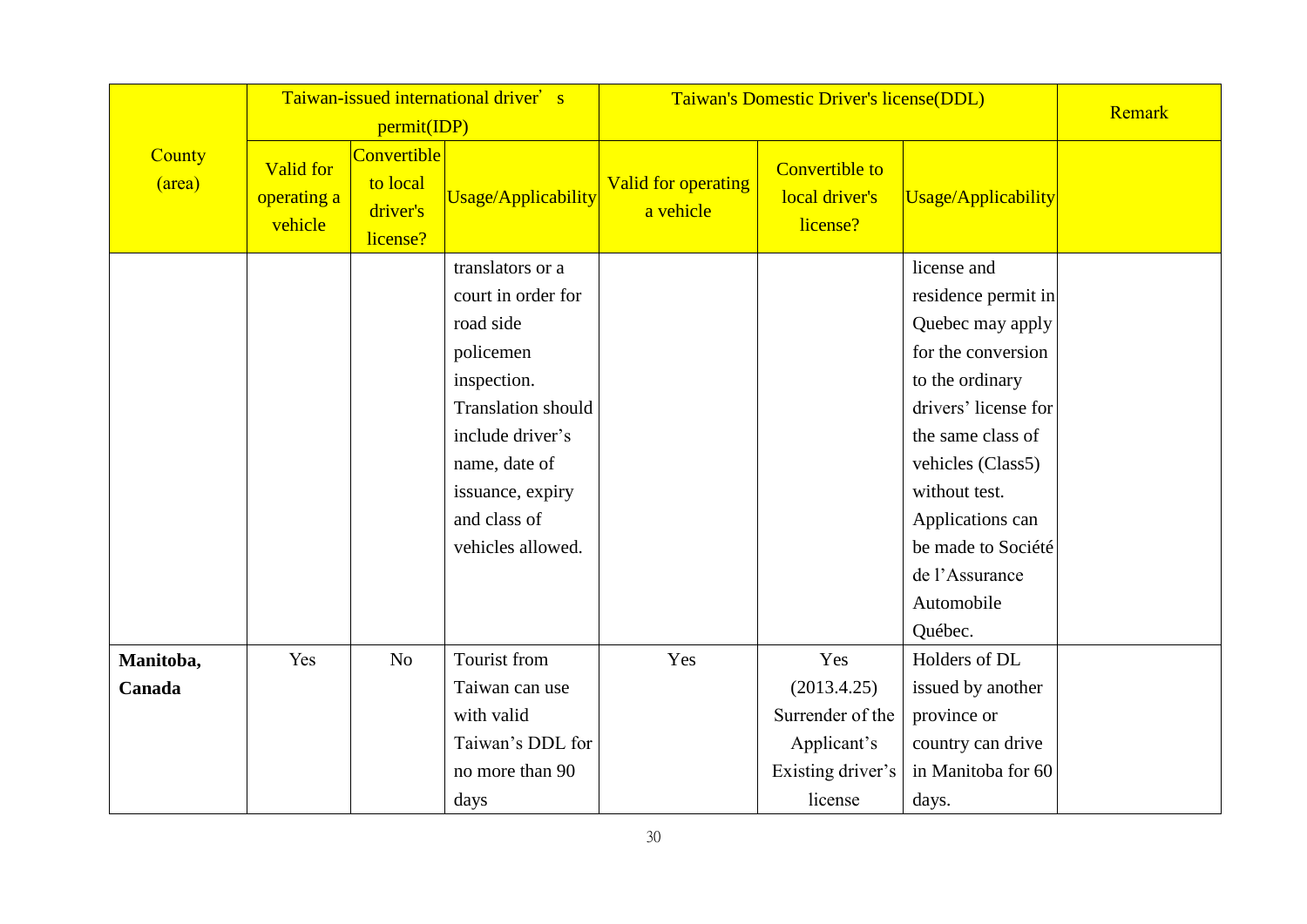|                     |                                            |                                                                | Taiwan-issued international driver's                                                                                                                                                                       | Taiwan's Domestic Driver's license(DDL) |                                                                                       | Remark                                                                                                                                                                                                                                                                  |  |
|---------------------|--------------------------------------------|----------------------------------------------------------------|------------------------------------------------------------------------------------------------------------------------------------------------------------------------------------------------------------|-----------------------------------------|---------------------------------------------------------------------------------------|-------------------------------------------------------------------------------------------------------------------------------------------------------------------------------------------------------------------------------------------------------------------------|--|
| County<br>(area)    | <b>Valid for</b><br>operating a<br>vehicle | permit(IDP)<br>Convertible<br>to local<br>driver's<br>license? | <b>Usage/Applicability</b>                                                                                                                                                                                 | <b>Valid for operating</b><br>a vehicle | <b>Convertible to</b><br>local driver's<br>license?                                   | <b>Usage/Applicability</b>                                                                                                                                                                                                                                              |  |
|                     |                                            |                                                                | translators or a<br>court in order for<br>road side<br>policemen<br>inspection.<br><b>Translation should</b><br>include driver's<br>name, date of<br>issuance, expiry<br>and class of<br>vehicles allowed. |                                         |                                                                                       | license and<br>residence permit in<br>Quebec may apply<br>for the conversion<br>to the ordinary<br>drivers' license for<br>the same class of<br>vehicles (Class5)<br>without test.<br>Applications can<br>be made to Société<br>de l'Assurance<br>Automobile<br>Québec. |  |
| Manitoba,<br>Canada | Yes                                        | N <sub>o</sub>                                                 | Tourist from<br>Taiwan can use<br>with valid<br>Taiwan's DDL for<br>no more than 90<br>days                                                                                                                | Yes                                     | Yes<br>(2013.4.25)<br>Surrender of the<br>Applicant's<br>Existing driver's<br>license | Holders of DL<br>issued by another<br>province or<br>country can drive<br>in Manitoba for 60<br>days.                                                                                                                                                                   |  |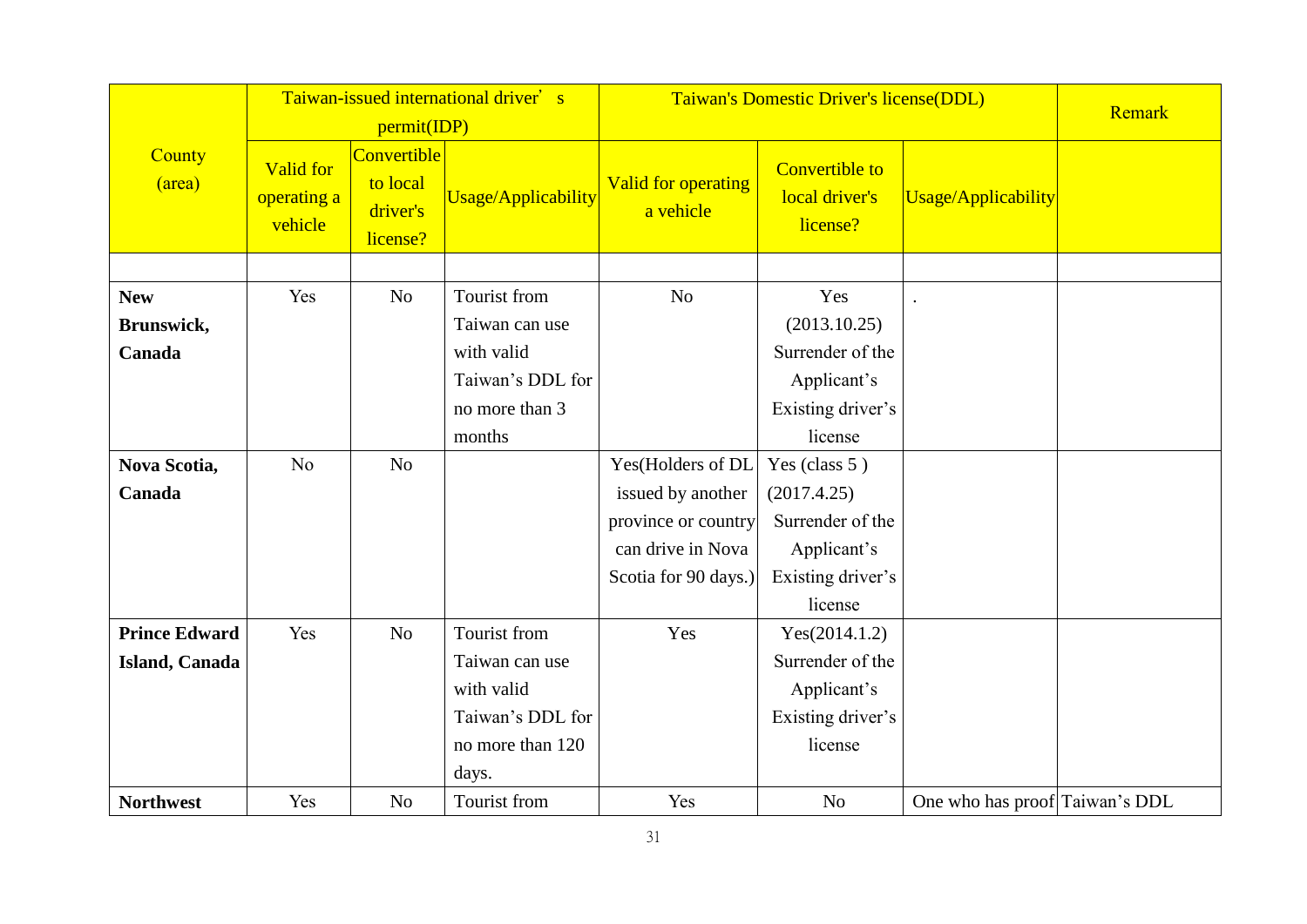|                      |                                            |                                                 | Taiwan-issued international driver's |                                         | Taiwan's Domestic Driver's license(DDL)             |                                |        |  |
|----------------------|--------------------------------------------|-------------------------------------------------|--------------------------------------|-----------------------------------------|-----------------------------------------------------|--------------------------------|--------|--|
|                      |                                            | permit(IDP)                                     |                                      |                                         |                                                     |                                | Remark |  |
| County<br>(area)     | <b>Valid for</b><br>operating a<br>vehicle | Convertible<br>to local<br>driver's<br>license? | <b>Usage/Applicability</b>           | <b>Valid for operating</b><br>a vehicle | <b>Convertible to</b><br>local driver's<br>license? | <b>Usage/Applicability</b>     |        |  |
|                      |                                            |                                                 |                                      |                                         |                                                     |                                |        |  |
| <b>New</b>           | Yes                                        | N <sub>o</sub>                                  | Tourist from                         | N <sub>o</sub>                          | Yes                                                 |                                |        |  |
| Brunswick,           |                                            |                                                 | Taiwan can use                       |                                         | (2013.10.25)                                        |                                |        |  |
| Canada               |                                            |                                                 | with valid                           |                                         | Surrender of the                                    |                                |        |  |
|                      |                                            |                                                 | Taiwan's DDL for                     |                                         | Applicant's                                         |                                |        |  |
|                      |                                            |                                                 | no more than 3                       |                                         | Existing driver's                                   |                                |        |  |
|                      |                                            |                                                 | months                               |                                         | license                                             |                                |        |  |
| Nova Scotia,         | No                                         | N <sub>o</sub>                                  |                                      | Yes(Holders of DL                       | Yes (class 5)                                       |                                |        |  |
| Canada               |                                            |                                                 |                                      | issued by another                       | (2017.4.25)                                         |                                |        |  |
|                      |                                            |                                                 |                                      | province or country                     | Surrender of the                                    |                                |        |  |
|                      |                                            |                                                 |                                      | can drive in Nova                       | Applicant's                                         |                                |        |  |
|                      |                                            |                                                 |                                      | Scotia for 90 days.)                    | Existing driver's                                   |                                |        |  |
|                      |                                            |                                                 |                                      |                                         | license                                             |                                |        |  |
| <b>Prince Edward</b> | Yes                                        | N <sub>o</sub>                                  | Tourist from                         | Yes                                     | Yes(2014.1.2)                                       |                                |        |  |
| Island, Canada       |                                            |                                                 | Taiwan can use                       |                                         | Surrender of the                                    |                                |        |  |
|                      |                                            |                                                 | with valid                           |                                         | Applicant's                                         |                                |        |  |
|                      |                                            |                                                 | Taiwan's DDL for                     |                                         | Existing driver's                                   |                                |        |  |
|                      |                                            |                                                 | no more than 120                     |                                         | license                                             |                                |        |  |
|                      |                                            |                                                 | days.                                |                                         |                                                     |                                |        |  |
| <b>Northwest</b>     | Yes                                        | N <sub>o</sub>                                  | Tourist from                         | Yes                                     | N <sub>o</sub>                                      | One who has proof Taiwan's DDL |        |  |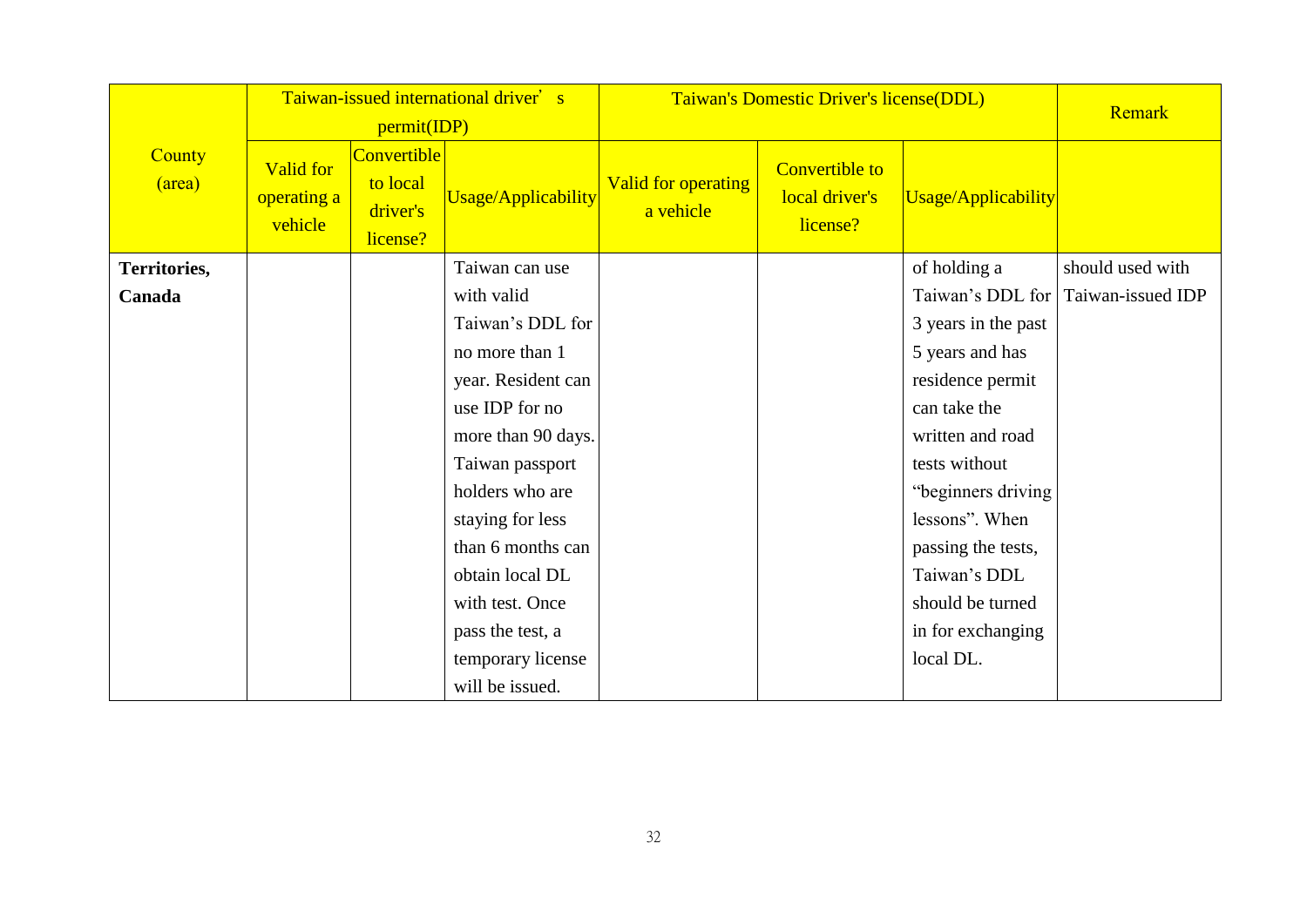|                  |                                     | permit(IDP)                                            | Taiwan-issued international driver's | Taiwan's Domestic Driver's license(DDL) |                                                     | Remark              |                   |
|------------------|-------------------------------------|--------------------------------------------------------|--------------------------------------|-----------------------------------------|-----------------------------------------------------|---------------------|-------------------|
| County<br>(area) | Valid for<br>operating a<br>vehicle | <b>Convertible</b><br>to local<br>driver's<br>license? | Usage/Applicability                  | Valid for operating<br>a vehicle        | <b>Convertible to</b><br>local driver's<br>license? | Usage/Applicability |                   |
| Territories,     |                                     |                                                        | Taiwan can use                       |                                         |                                                     | of holding a        | should used with  |
| Canada           |                                     |                                                        | with valid                           |                                         |                                                     | Taiwan's DDL for    | Taiwan-issued IDP |
|                  |                                     |                                                        | Taiwan's DDL for                     |                                         |                                                     | 3 years in the past |                   |
|                  |                                     |                                                        | no more than 1                       |                                         |                                                     | 5 years and has     |                   |
|                  |                                     |                                                        | year. Resident can                   |                                         |                                                     | residence permit    |                   |
|                  |                                     |                                                        | use IDP for no                       |                                         |                                                     | can take the        |                   |
|                  |                                     |                                                        | more than 90 days.                   |                                         |                                                     | written and road    |                   |
|                  |                                     |                                                        | Taiwan passport                      |                                         |                                                     | tests without       |                   |
|                  |                                     |                                                        | holders who are                      |                                         |                                                     | "beginners driving  |                   |
|                  |                                     |                                                        | staying for less                     |                                         |                                                     | lessons". When      |                   |
|                  |                                     |                                                        | than 6 months can                    |                                         |                                                     | passing the tests,  |                   |
|                  |                                     |                                                        | obtain local DL                      |                                         |                                                     | Taiwan's DDL        |                   |
|                  |                                     |                                                        | with test. Once                      |                                         |                                                     | should be turned    |                   |
|                  |                                     |                                                        | pass the test, a                     |                                         |                                                     | in for exchanging   |                   |
|                  |                                     |                                                        | temporary license                    |                                         |                                                     | local DL.           |                   |
|                  |                                     |                                                        | will be issued.                      |                                         |                                                     |                     |                   |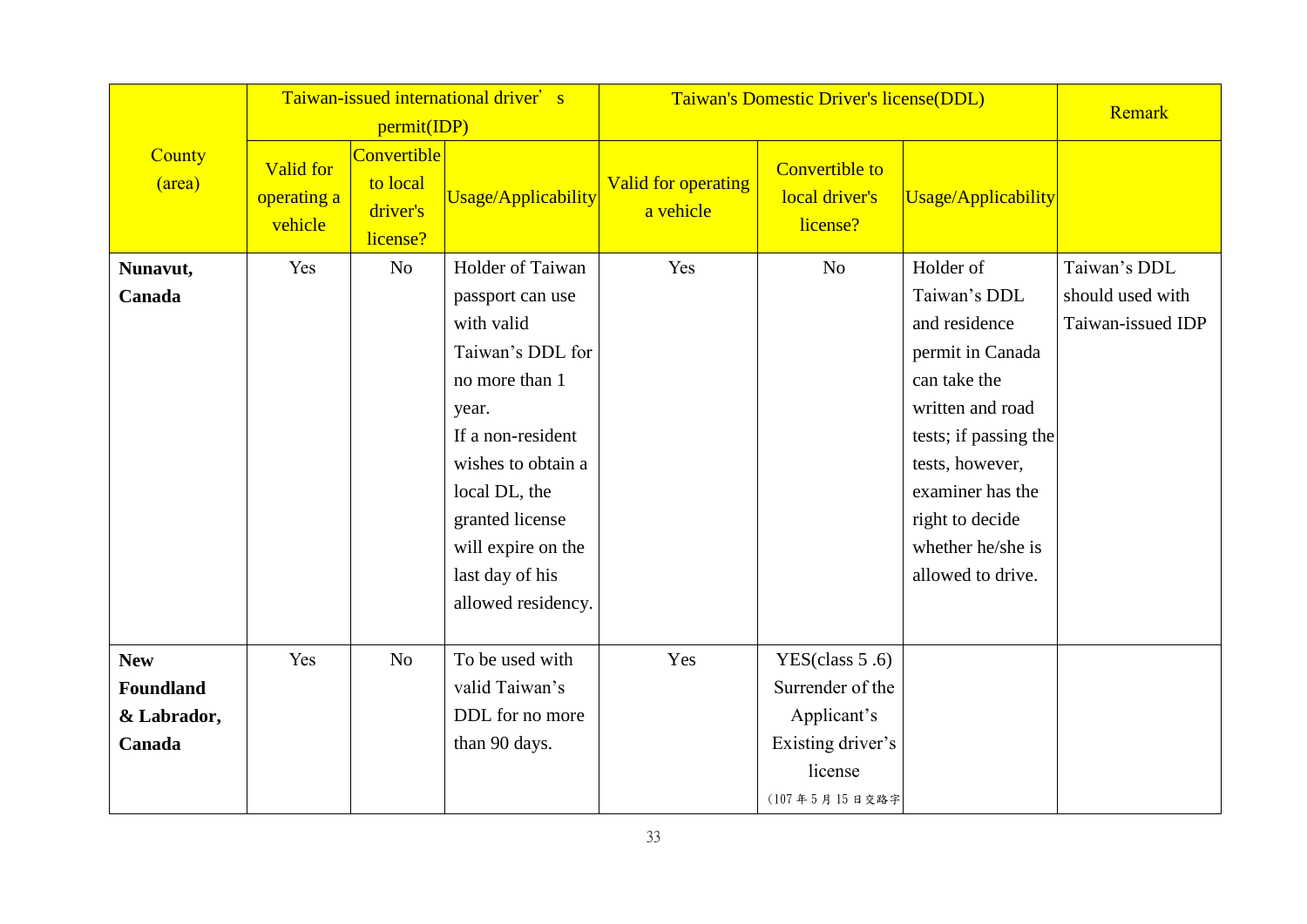|                  | Taiwan-issued international driver's<br>permit(IDP) |                                                 |                     | Taiwan's Domestic Driver's license(DDL) |                                                     | Remark                |                   |
|------------------|-----------------------------------------------------|-------------------------------------------------|---------------------|-----------------------------------------|-----------------------------------------------------|-----------------------|-------------------|
| County<br>(area) | Valid for<br>operating a<br>vehicle                 | Convertible<br>to local<br>driver's<br>license? | Usage/Applicability | <b>Valid for operating</b><br>a vehicle | <b>Convertible to</b><br>local driver's<br>license? | Usage/Applicability   |                   |
| Nunavut,         | Yes                                                 | No                                              | Holder of Taiwan    | Yes                                     | N <sub>o</sub>                                      | Holder of             | Taiwan's DDL      |
| Canada           |                                                     |                                                 | passport can use    |                                         |                                                     | Taiwan's DDL          | should used with  |
|                  |                                                     |                                                 | with valid          |                                         |                                                     | and residence         | Taiwan-issued IDP |
|                  |                                                     |                                                 | Taiwan's DDL for    |                                         |                                                     | permit in Canada      |                   |
|                  |                                                     |                                                 | no more than 1      |                                         |                                                     | can take the          |                   |
|                  |                                                     |                                                 | year.               |                                         |                                                     | written and road      |                   |
|                  |                                                     |                                                 | If a non-resident   |                                         |                                                     | tests; if passing the |                   |
|                  |                                                     |                                                 | wishes to obtain a  |                                         |                                                     | tests, however,       |                   |
|                  |                                                     |                                                 | local DL, the       |                                         |                                                     | examiner has the      |                   |
|                  |                                                     |                                                 | granted license     |                                         |                                                     | right to decide       |                   |
|                  |                                                     |                                                 | will expire on the  |                                         |                                                     | whether he/she is     |                   |
|                  |                                                     |                                                 | last day of his     |                                         |                                                     | allowed to drive.     |                   |
|                  |                                                     |                                                 | allowed residency.  |                                         |                                                     |                       |                   |
|                  |                                                     |                                                 |                     |                                         |                                                     |                       |                   |
| <b>New</b>       | Yes                                                 | N <sub>o</sub>                                  | To be used with     | Yes                                     | YES(class $5.6$ )                                   |                       |                   |
| <b>Foundland</b> |                                                     |                                                 | valid Taiwan's      |                                         | Surrender of the                                    |                       |                   |
| & Labrador,      |                                                     |                                                 | DDL for no more     |                                         | Applicant's                                         |                       |                   |
| Canada           |                                                     |                                                 | than 90 days.       |                                         | Existing driver's                                   |                       |                   |
|                  |                                                     |                                                 |                     |                                         | license                                             |                       |                   |
|                  |                                                     |                                                 |                     |                                         | (107年5月15日交路字                                       |                       |                   |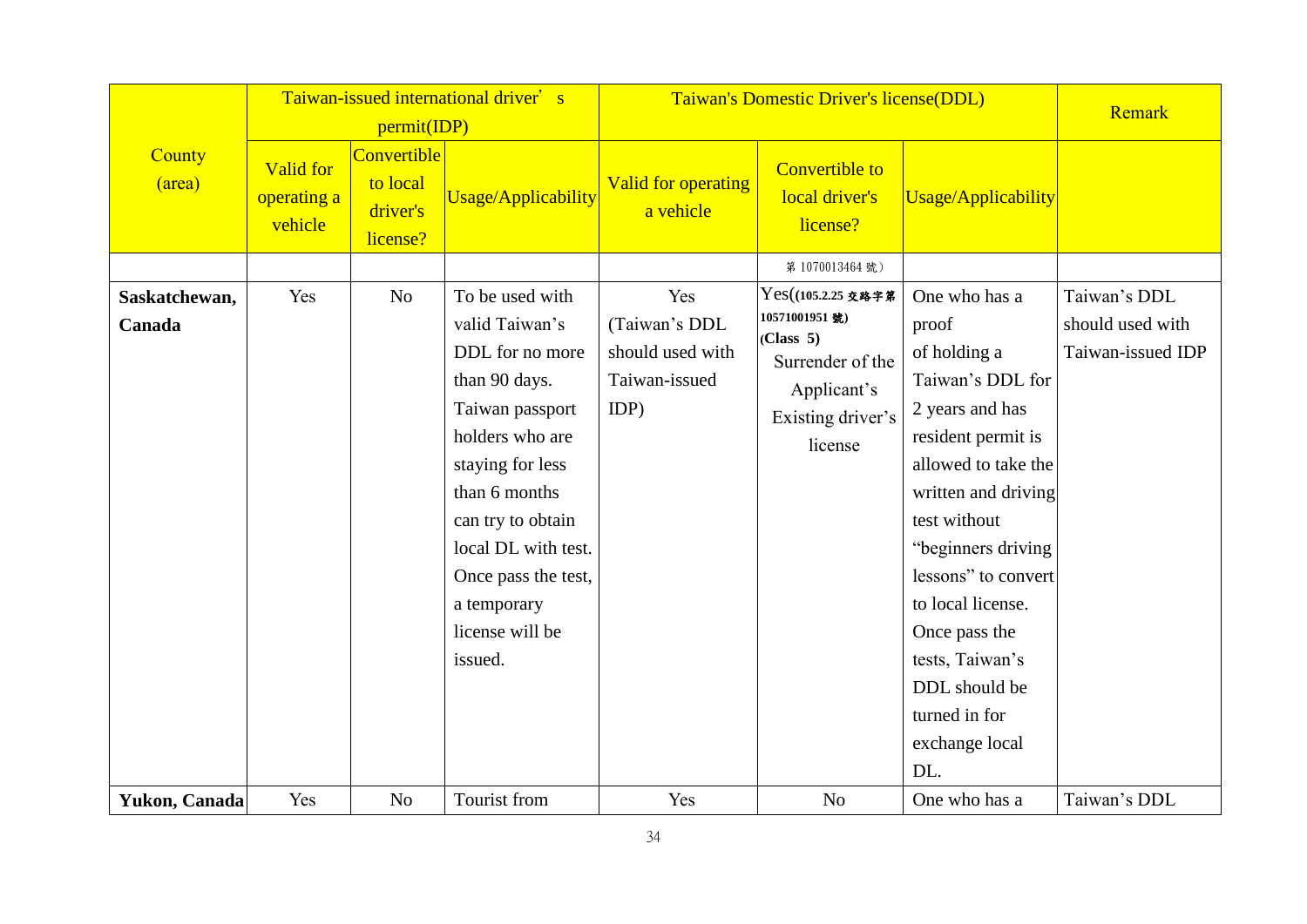|                         |                                            |                                                                       | Taiwan-issued international driver's                                                                                                                                                                                                                             | Taiwan's Domestic Driver's license(DDL)                           |                                                                                                                     | Remark                                                                                                                                                                                                                                                                                                                             |                                                       |
|-------------------------|--------------------------------------------|-----------------------------------------------------------------------|------------------------------------------------------------------------------------------------------------------------------------------------------------------------------------------------------------------------------------------------------------------|-------------------------------------------------------------------|---------------------------------------------------------------------------------------------------------------------|------------------------------------------------------------------------------------------------------------------------------------------------------------------------------------------------------------------------------------------------------------------------------------------------------------------------------------|-------------------------------------------------------|
| County<br>(area)        | <b>Valid for</b><br>operating a<br>vehicle | permit(IDP)<br><b>Convertible</b><br>to local<br>driver's<br>license? | <b>Usage/Applicability</b>                                                                                                                                                                                                                                       | Valid for operating<br>a vehicle                                  | <b>Convertible to</b><br>local driver's<br>license?                                                                 | Usage/Applicability                                                                                                                                                                                                                                                                                                                |                                                       |
|                         |                                            |                                                                       |                                                                                                                                                                                                                                                                  |                                                                   | 第1070013464號)                                                                                                       |                                                                                                                                                                                                                                                                                                                                    |                                                       |
| Saskatchewan,<br>Canada | Yes                                        | N <sub>o</sub>                                                        | To be used with<br>valid Taiwan's<br>DDL for no more<br>than 90 days.<br>Taiwan passport<br>holders who are<br>staying for less<br>than 6 months<br>can try to obtain<br>local DL with test.<br>Once pass the test,<br>a temporary<br>license will be<br>issued. | Yes<br>(Taiwan's DDL<br>should used with<br>Taiwan-issued<br>IDP) | Yes((105.2.25 交路字第<br>10571001951號)<br>(Class 5)<br>Surrender of the<br>Applicant's<br>Existing driver's<br>license | One who has a<br>proof<br>of holding a<br>Taiwan's DDL for<br>2 years and has<br>resident permit is<br>allowed to take the<br>written and driving<br>test without<br>"beginners driving<br>lessons" to convert<br>to local license.<br>Once pass the<br>tests, Taiwan's<br>DDL should be<br>turned in for<br>exchange local<br>DL. | Taiwan's DDL<br>should used with<br>Taiwan-issued IDP |
| Yukon, Canada           | Yes                                        | N <sub>o</sub>                                                        | Tourist from                                                                                                                                                                                                                                                     | Yes                                                               | N <sub>o</sub>                                                                                                      | One who has a                                                                                                                                                                                                                                                                                                                      | Taiwan's DDL                                          |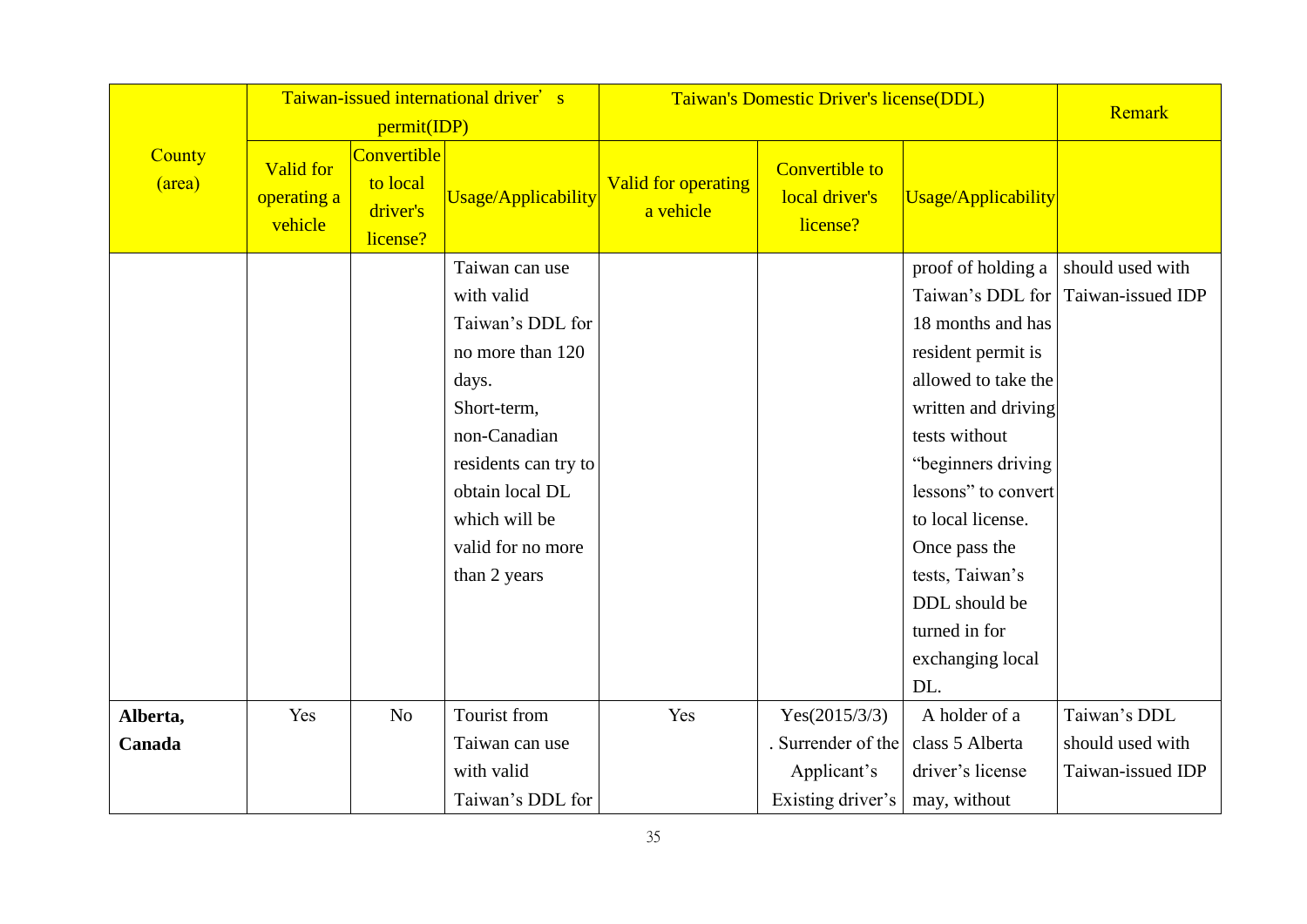|                  |                                            | permit(IDP)                                     | Taiwan-issued international driver's | Taiwan's Domestic Driver's license(DDL) |                                                     | Remark              |                                    |
|------------------|--------------------------------------------|-------------------------------------------------|--------------------------------------|-----------------------------------------|-----------------------------------------------------|---------------------|------------------------------------|
| County<br>(area) | <b>Valid for</b><br>operating a<br>vehicle | Convertible<br>to local<br>driver's<br>license? | Usage/Applicability                  | <b>Valid for operating</b><br>a vehicle | <b>Convertible to</b><br>local driver's<br>license? | Usage/Applicability |                                    |
|                  |                                            |                                                 | Taiwan can use                       |                                         |                                                     | proof of holding a  | should used with                   |
|                  |                                            |                                                 | with valid                           |                                         |                                                     |                     | Taiwan's DDL for Taiwan-issued IDP |
|                  |                                            |                                                 | Taiwan's DDL for                     |                                         |                                                     | 18 months and has   |                                    |
|                  |                                            |                                                 | no more than 120                     |                                         |                                                     | resident permit is  |                                    |
|                  |                                            |                                                 | days.                                |                                         |                                                     | allowed to take the |                                    |
|                  |                                            |                                                 | Short-term,                          |                                         |                                                     | written and driving |                                    |
|                  |                                            |                                                 | non-Canadian                         |                                         |                                                     | tests without       |                                    |
|                  |                                            |                                                 | residents can try to                 |                                         |                                                     | "beginners driving  |                                    |
|                  |                                            |                                                 | obtain local DL                      |                                         |                                                     | lessons" to convert |                                    |
|                  |                                            |                                                 | which will be                        |                                         |                                                     | to local license.   |                                    |
|                  |                                            |                                                 | valid for no more                    |                                         |                                                     | Once pass the       |                                    |
|                  |                                            |                                                 | than 2 years                         |                                         |                                                     | tests, Taiwan's     |                                    |
|                  |                                            |                                                 |                                      |                                         |                                                     | DDL should be       |                                    |
|                  |                                            |                                                 |                                      |                                         |                                                     | turned in for       |                                    |
|                  |                                            |                                                 |                                      |                                         |                                                     | exchanging local    |                                    |
|                  |                                            |                                                 |                                      |                                         |                                                     | DL.                 |                                    |
| Alberta,         | Yes                                        | N <sub>o</sub>                                  | Tourist from                         | Yes                                     | Yes(2015/3/3)                                       | A holder of a       | Taiwan's DDL                       |
| Canada           |                                            |                                                 | Taiwan can use                       |                                         | . Surrender of the                                  | class 5 Alberta     | should used with                   |
|                  |                                            |                                                 | with valid                           |                                         | Applicant's                                         | driver's license    | Taiwan-issued IDP                  |
|                  |                                            |                                                 | Taiwan's DDL for                     |                                         | Existing driver's                                   | may, without        |                                    |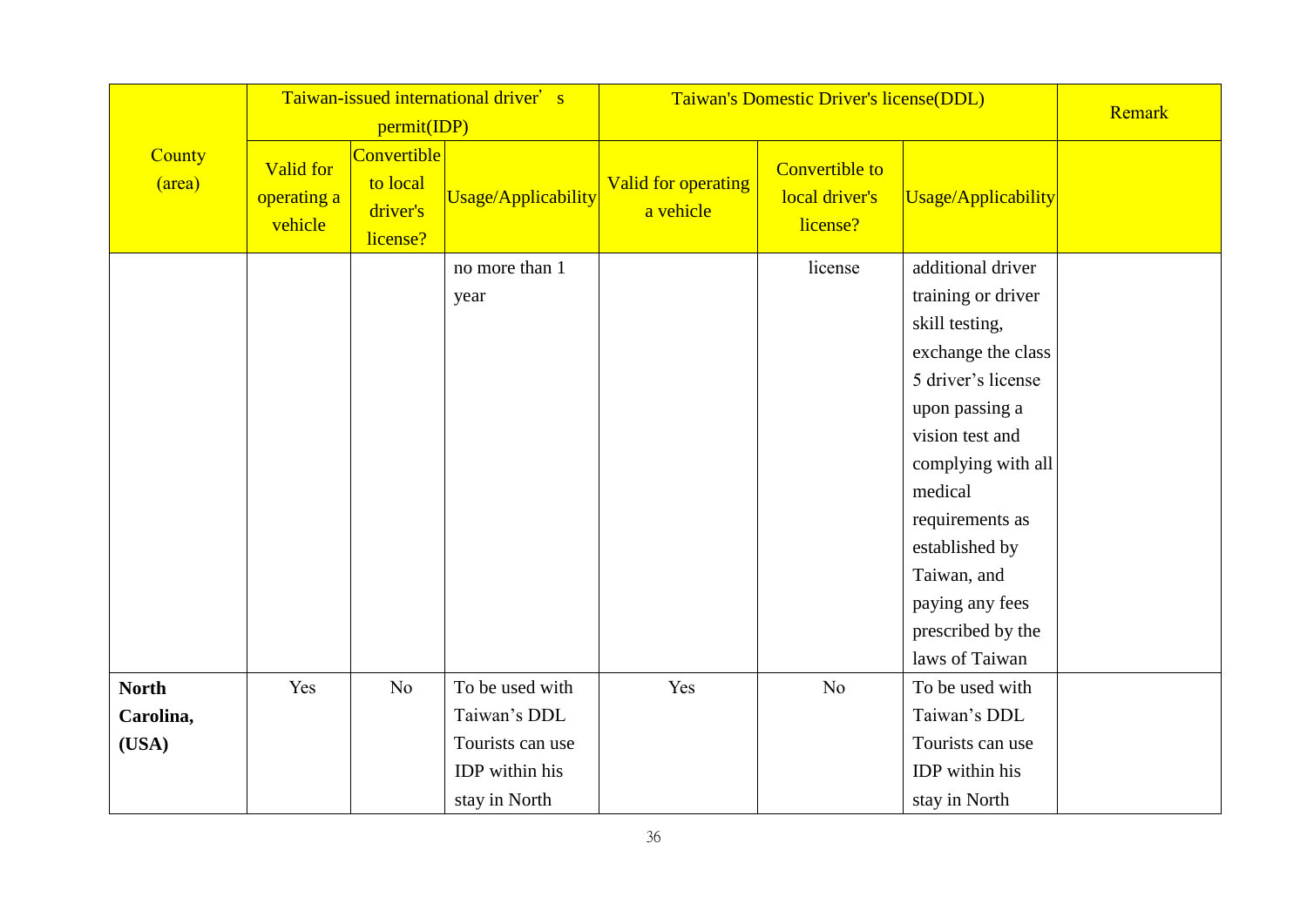|                  |                                            | permit(IDP)                                     | Taiwan-issued international driver's | Taiwan's Domestic Driver's license(DDL) |                                                     | Remark                                                                                                                                                                                                                                                                                    |  |
|------------------|--------------------------------------------|-------------------------------------------------|--------------------------------------|-----------------------------------------|-----------------------------------------------------|-------------------------------------------------------------------------------------------------------------------------------------------------------------------------------------------------------------------------------------------------------------------------------------------|--|
| County<br>(area) | <b>Valid for</b><br>operating a<br>vehicle | Convertible<br>to local<br>driver's<br>license? | Usage/Applicability                  | <b>Valid for operating</b><br>a vehicle | <b>Convertible to</b><br>local driver's<br>license? | Usage/Applicability                                                                                                                                                                                                                                                                       |  |
|                  |                                            |                                                 | no more than 1<br>year               |                                         | license                                             | additional driver<br>training or driver<br>skill testing,<br>exchange the class<br>5 driver's license<br>upon passing a<br>vision test and<br>complying with all<br>medical<br>requirements as<br>established by<br>Taiwan, and<br>paying any fees<br>prescribed by the<br>laws of Taiwan |  |
| <b>North</b>     | Yes                                        | No                                              | To be used with                      | Yes                                     | No                                                  | To be used with                                                                                                                                                                                                                                                                           |  |
| Carolina,        |                                            |                                                 | Taiwan's DDL                         |                                         |                                                     | Taiwan's DDL                                                                                                                                                                                                                                                                              |  |
| (USA)            |                                            |                                                 | Tourists can use<br>IDP within his   |                                         |                                                     | Tourists can use<br>IDP within his                                                                                                                                                                                                                                                        |  |
|                  |                                            |                                                 | stay in North                        |                                         |                                                     | stay in North                                                                                                                                                                                                                                                                             |  |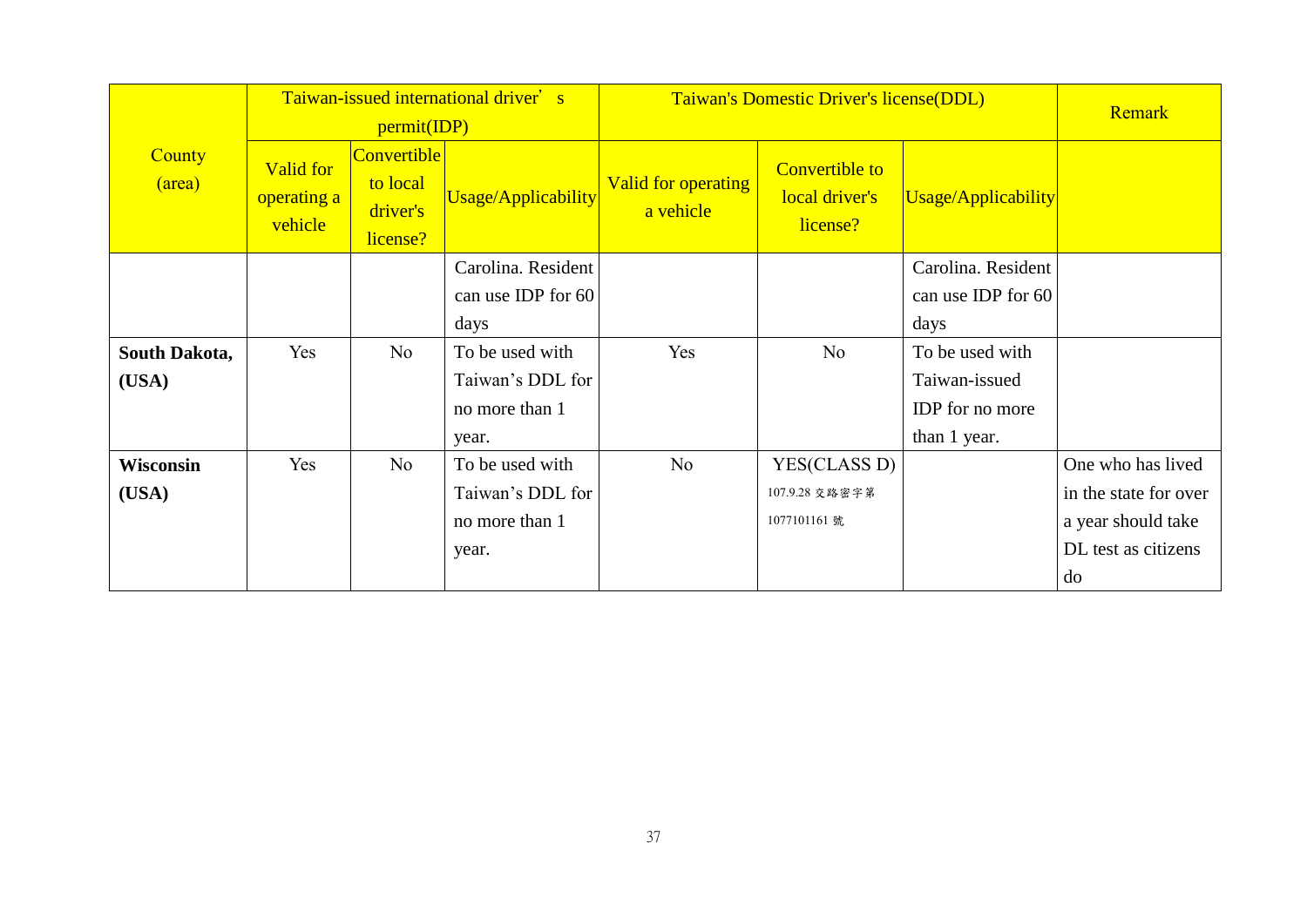|                  |                                            |                                                 | Taiwan-issued international driver's |                                  | Taiwan's Domestic Driver's license(DDL)             |                     |                       |  |
|------------------|--------------------------------------------|-------------------------------------------------|--------------------------------------|----------------------------------|-----------------------------------------------------|---------------------|-----------------------|--|
|                  |                                            | permit(IDP)                                     |                                      |                                  | <b>Remark</b>                                       |                     |                       |  |
| County<br>(area) | <b>Valid for</b><br>operating a<br>vehicle | Convertible<br>to local<br>driver's<br>license? | Usage/Applicability                  | Valid for operating<br>a vehicle | <b>Convertible to</b><br>local driver's<br>license? | Usage/Applicability |                       |  |
|                  |                                            |                                                 | Carolina. Resident                   |                                  |                                                     | Carolina. Resident  |                       |  |
|                  |                                            |                                                 | can use IDP for 60                   |                                  |                                                     | can use IDP for 60  |                       |  |
|                  |                                            |                                                 | days                                 |                                  |                                                     | days                |                       |  |
| South Dakota,    | Yes                                        | No                                              | To be used with                      | Yes                              | N <sub>o</sub>                                      | To be used with     |                       |  |
| (USA)            |                                            |                                                 | Taiwan's DDL for                     |                                  |                                                     | Taiwan-issued       |                       |  |
|                  |                                            |                                                 | no more than 1                       |                                  |                                                     | IDP for no more     |                       |  |
|                  |                                            |                                                 | year.                                |                                  |                                                     | than 1 year.        |                       |  |
| Wisconsin        | Yes                                        | N <sub>o</sub>                                  | To be used with                      | No                               | YES(CLASS D)                                        |                     | One who has lived     |  |
| (USA)            |                                            |                                                 | Taiwan's DDL for                     |                                  | 107.9.28 交路密字第                                      |                     | in the state for over |  |
|                  |                                            |                                                 | no more than 1                       |                                  | 1077101161 號                                        |                     | a year should take    |  |
|                  |                                            |                                                 | year.                                |                                  |                                                     |                     | DL test as citizens   |  |
|                  |                                            |                                                 |                                      |                                  |                                                     |                     | do                    |  |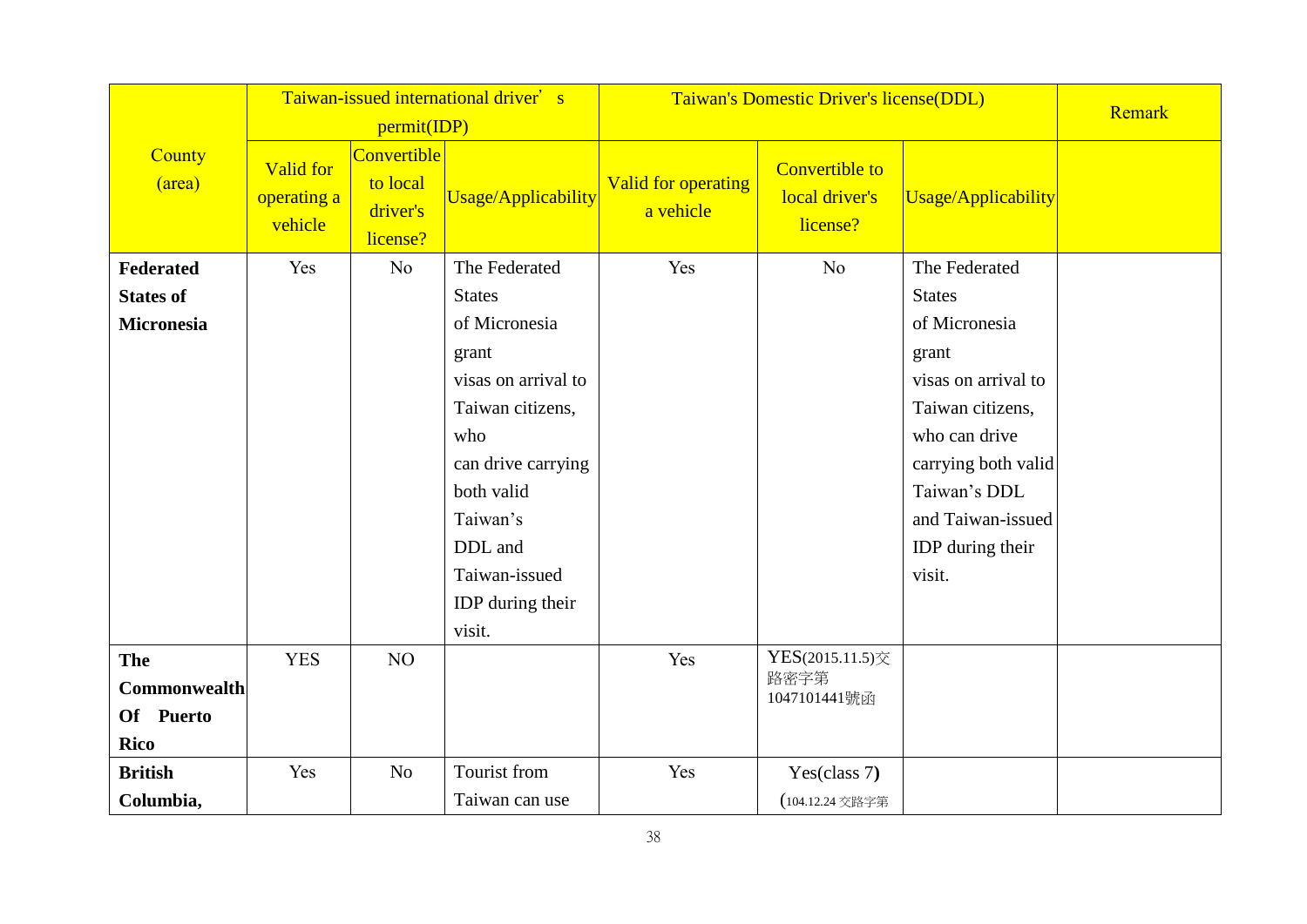|                     | Taiwan-issued international driver's       |                                                 |                            | Taiwan's Domestic Driver's license(DDL) |                                                     |                     | Remark |
|---------------------|--------------------------------------------|-------------------------------------------------|----------------------------|-----------------------------------------|-----------------------------------------------------|---------------------|--------|
|                     | permit(IDP)                                |                                                 |                            |                                         |                                                     |                     |        |
| County<br>(area)    | <b>Valid for</b><br>operating a<br>vehicle | Convertible<br>to local<br>driver's<br>license? | <b>Usage/Applicability</b> | <b>Valid for operating</b><br>a vehicle | <b>Convertible to</b><br>local driver's<br>license? | Usage/Applicability |        |
| Federated           | Yes                                        | No                                              | The Federated              | Yes                                     | N <sub>o</sub>                                      | The Federated       |        |
| <b>States of</b>    |                                            |                                                 | <b>States</b>              |                                         |                                                     | <b>States</b>       |        |
| <b>Micronesia</b>   |                                            |                                                 | of Micronesia              |                                         |                                                     | of Micronesia       |        |
|                     |                                            |                                                 | grant                      |                                         |                                                     | grant               |        |
|                     |                                            |                                                 | visas on arrival to        |                                         |                                                     | visas on arrival to |        |
|                     |                                            |                                                 | Taiwan citizens,           |                                         |                                                     | Taiwan citizens,    |        |
|                     |                                            |                                                 | who                        |                                         |                                                     | who can drive       |        |
|                     |                                            |                                                 | can drive carrying         |                                         |                                                     | carrying both valid |        |
|                     |                                            |                                                 | both valid                 |                                         |                                                     | Taiwan's DDL        |        |
|                     |                                            |                                                 | Taiwan's                   |                                         |                                                     | and Taiwan-issued   |        |
|                     |                                            |                                                 | DDL and                    |                                         |                                                     | IDP during their    |        |
|                     |                                            |                                                 | Taiwan-issued              |                                         |                                                     | visit.              |        |
|                     |                                            |                                                 | IDP during their           |                                         |                                                     |                     |        |
|                     |                                            |                                                 | visit.                     |                                         |                                                     |                     |        |
| The                 | <b>YES</b>                                 | NO                                              |                            | Yes                                     | YES(2015.11.5)交                                     |                     |        |
| <b>Commonwealth</b> |                                            |                                                 |                            |                                         | 路密字第<br>1047101441號函                                |                     |        |
| Of Puerto           |                                            |                                                 |                            |                                         |                                                     |                     |        |
| <b>Rico</b>         |                                            |                                                 |                            |                                         |                                                     |                     |        |
| <b>British</b>      | Yes                                        | N <sub>o</sub>                                  | Tourist from               | Yes                                     | Yes(class 7)                                        |                     |        |
| Columbia,           |                                            |                                                 | Taiwan can use             |                                         | (104.12.24 交路字第                                     |                     |        |